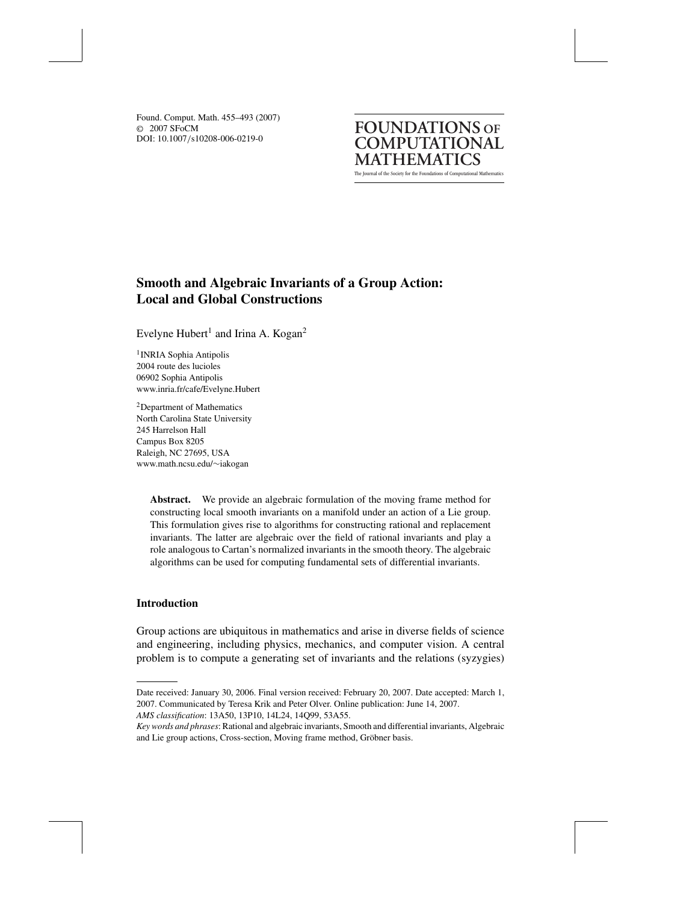© 2007 SFoCM DOI: 10.1007/s10208-006-0219-0 Found. Comput. Math. 455–493 (2007)

The Journal of the Society for the Foundations of Computational Mathematics **FOUNDATIONS OF COMPUTATIONAL MATHEMATICS**

# **Smooth and Algebraic Invariants of a Group Action: Local and Global Constructions**

Evelyne Hubert<sup>1</sup> and Irina A. Kogan<sup>2</sup>

<sup>1</sup> INRIA Sophia Antipolis 2004 route des lucioles 06902 Sophia Antipolis www.inria.fr/cafe/Evelyne.Hubert

2Department of Mathematics North Carolina State University 245 Harrelson Hall Campus Box 8205 Raleigh, NC 27695, USA www.math.ncsu.edu/∼iakogan

> **Abstract.** We provide an algebraic formulation of the moving frame method for constructing local smooth invariants on a manifold under an action of a Lie group. This formulation gives rise to algorithms for constructing rational and replacement invariants. The latter are algebraic over the field of rational invariants and play a role analogous to Cartan's normalized invariants in the smooth theory. The algebraic algorithms can be used for computing fundamental sets of differential invariants.

## **Introduction**

Group actions are ubiquitous in mathematics and arise in diverse fields of science and engineering, including physics, mechanics, and computer vision. A central problem is to compute a generating set of invariants and the relations (syzygies)

*AMS classification*: 13A50, 13P10, 14L24, 14Q99, 53A55.

Date received: January 30, 2006. Final version received: February 20, 2007. Date accepted: March 1, 2007. Communicated by Teresa Krik and Peter Olver. Online publication: June 14, 2007.

*Key words and phrases*: Rational and algebraic invariants, Smooth and differential invariants, Algebraic and Lie group actions, Cross-section, Moving frame method, Gröbner basis.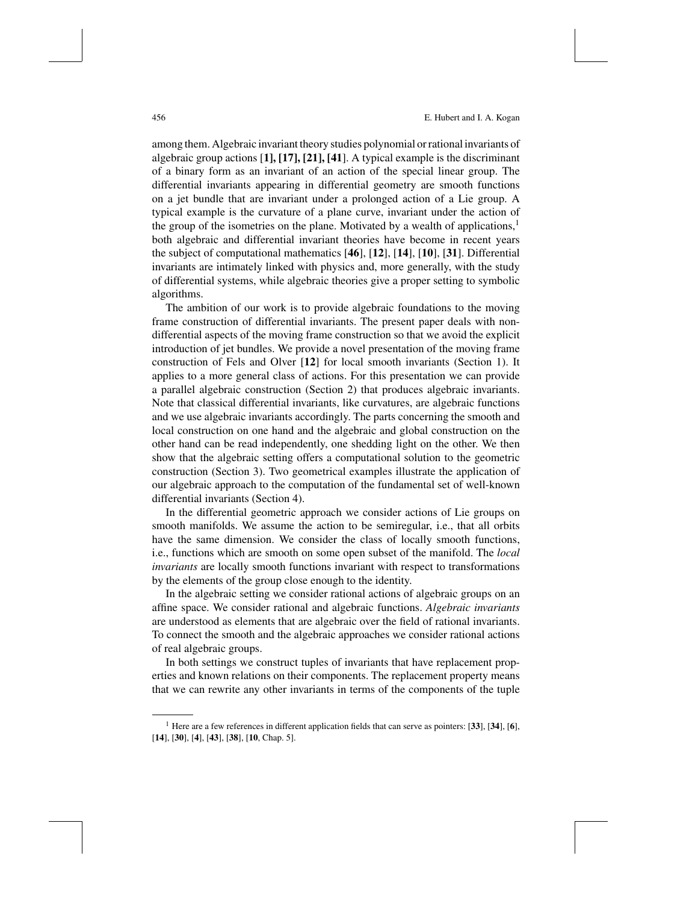456 E. Hubert and I. A. Kogan

among them. Algebraic invariant theory studies polynomial orrational invariants of algebraic group actions [**1], [17], [21], [41**]. A typical example is the discriminant of a binary form as an invariant of an action of the special linear group. The differential invariants appearing in differential geometry are smooth functions on a jet bundle that are invariant under a prolonged action of a Lie group. A typical example is the curvature of a plane curve, invariant under the action of the group of the isometries on the plane. Motivated by a wealth of applications, $<sup>1</sup>$ </sup> both algebraic and differential invariant theories have become in recent years the subject of computational mathematics [**46**], [**12**], [**14**], [**10**], [**31**]. Differential invariants are intimately linked with physics and, more generally, with the study of differential systems, while algebraic theories give a proper setting to symbolic algorithms.

The ambition of our work is to provide algebraic foundations to the moving frame construction of differential invariants. The present paper deals with nondifferential aspects of the moving frame construction so that we avoid the explicit introduction of jet bundles. We provide a novel presentation of the moving frame construction of Fels and Olver [**12**] for local smooth invariants (Section 1). It applies to a more general class of actions. For this presentation we can provide a parallel algebraic construction (Section 2) that produces algebraic invariants. Note that classical differential invariants, like curvatures, are algebraic functions and we use algebraic invariants accordingly. The parts concerning the smooth and local construction on one hand and the algebraic and global construction on the other hand can be read independently, one shedding light on the other. We then show that the algebraic setting offers a computational solution to the geometric construction (Section 3). Two geometrical examples illustrate the application of our algebraic approach to the computation of the fundamental set of well-known differential invariants (Section 4).

In the differential geometric approach we consider actions of Lie groups on smooth manifolds. We assume the action to be semiregular, i.e., that all orbits have the same dimension. We consider the class of locally smooth functions, i.e., functions which are smooth on some open subset of the manifold. The *local invariants* are locally smooth functions invariant with respect to transformations by the elements of the group close enough to the identity.

In the algebraic setting we consider rational actions of algebraic groups on an affine space. We consider rational and algebraic functions. *Algebraic invariants* are understood as elements that are algebraic over the field of rational invariants. To connect the smooth and the algebraic approaches we consider rational actions of real algebraic groups.

In both settings we construct tuples of invariants that have replacement properties and known relations on their components. The replacement property means that we can rewrite any other invariants in terms of the components of the tuple

<sup>1</sup> Here are a few references in different application fields that can serve as pointers: [**33**], [**34**], [**6**], [**14**], [**30**], [**4**], [**43**], [**38**], [**10**, Chap. 5].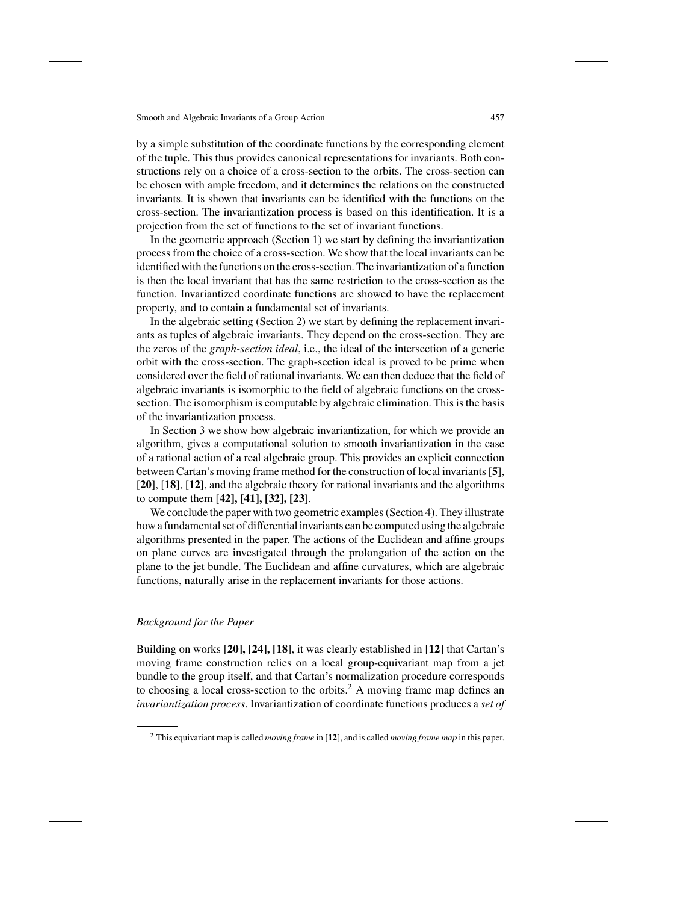by a simple substitution of the coordinate functions by the corresponding element of the tuple. This thus provides canonical representations for invariants. Both constructions rely on a choice of a cross-section to the orbits. The cross-section can be chosen with ample freedom, and it determines the relations on the constructed invariants. It is shown that invariants can be identified with the functions on the cross-section. The invariantization process is based on this identification. It is a projection from the set of functions to the set of invariant functions.

In the geometric approach (Section 1) we start by defining the invariantization processfrom the choice of a cross-section. We show that the local invariants can be identified with the functions on the cross-section. The invariantization of a function is then the local invariant that has the same restriction to the cross-section as the function. Invariantized coordinate functions are showed to have the replacement property, and to contain a fundamental set of invariants.

In the algebraic setting (Section 2) we start by defining the replacement invariants as tuples of algebraic invariants. They depend on the cross-section. They are the zeros of the *graph-section ideal*, i.e., the ideal of the intersection of a generic orbit with the cross-section. The graph-section ideal is proved to be prime when considered over the field of rational invariants. We can then deduce that the field of algebraic invariants is isomorphic to the field of algebraic functions on the crosssection. The isomorphism is computable by algebraic elimination. This is the basis of the invariantization process.

In Section 3 we show how algebraic invariantization, for which we provide an algorithm, gives a computational solution to smooth invariantization in the case of a rational action of a real algebraic group. This provides an explicit connection between Cartan's moving frame method for the construction of local invariants[**5**], [**20**], [**18**], [**12**], and the algebraic theory for rational invariants and the algorithms to compute them [**42], [41], [32], [23**].

We conclude the paper with two geometric examples (Section 4). They illustrate howa fundamentalset of differential invariants can be computed using the algebraic algorithms presented in the paper. The actions of the Euclidean and affine groups on plane curves are investigated through the prolongation of the action on the plane to the jet bundle. The Euclidean and affine curvatures, which are algebraic functions, naturally arise in the replacement invariants for those actions.

## *Background for the Paper*

Building on works [**20], [24], [18**], it was clearly established in [**12**] that Cartan's moving frame construction relies on a local group-equivariant map from a jet bundle to the group itself, and that Cartan's normalization procedure corresponds to choosing a local cross-section to the orbits.<sup>2</sup> A moving frame map defines an *invariantization process*. Invariantization of coordinate functions produces a *set of*

<sup>2</sup> This equivariant map is called *moving frame* in [**12**], and is called *moving frame map* in this paper.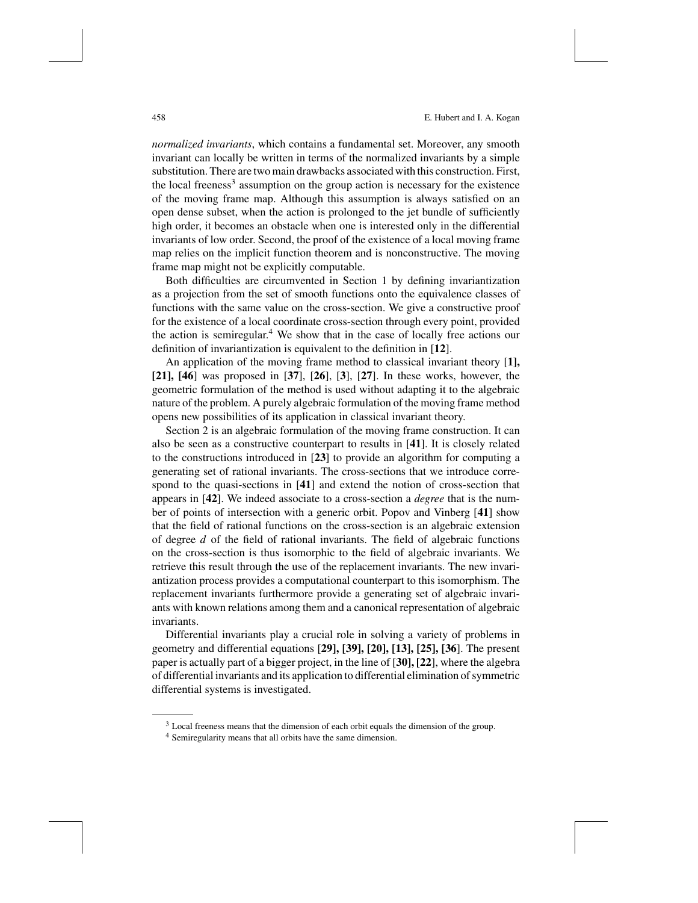*normalized invariants*, which contains a fundamental set. Moreover, any smooth invariant can locally be written in terms of the normalized invariants by a simple substitution. There are two main drawbacks associated with this construction. First, the local freeness<sup>3</sup> assumption on the group action is necessary for the existence of the moving frame map. Although this assumption is always satisfied on an open dense subset, when the action is prolonged to the jet bundle of sufficiently high order, it becomes an obstacle when one is interested only in the differential invariants of low order. Second, the proof of the existence of a local moving frame map relies on the implicit function theorem and is nonconstructive. The moving frame map might not be explicitly computable.

Both difficulties are circumvented in Section 1 by defining invariantization as a projection from the set of smooth functions onto the equivalence classes of functions with the same value on the cross-section. We give a constructive proof for the existence of a local coordinate cross-section through every point, provided the action is semiregular. <sup>4</sup> We show that in the case of locally free actions our definition of invariantization is equivalent to the definition in [**12**].

An application of the moving frame method to classical invariant theory [**1], [21], [46**] was proposed in [**37**], [**26**], [**3**], [**27**]. In these works, however, the geometric formulation of the method is used without adapting it to the algebraic nature of the problem. A purely algebraic formulation of the moving frame method opens new possibilities of its application in classical invariant theory.

Section 2 is an algebraic formulation of the moving frame construction. It can also be seen as a constructive counterpart to results in [**41**]. It is closely related to the constructions introduced in [**23**] to provide an algorithm for computing a generating set of rational invariants. The cross-sections that we introduce correspond to the quasi-sections in [**41**] and extend the notion of cross-section that appears in [**42**]. We indeed associate to a cross-section a *degree* that is the number of points of intersection with a generic orbit. Popov and Vinberg [**41**] show that the field of rational functions on the cross-section is an algebraic extension of degree *d* of the field of rational invariants. The field of algebraic functions on the cross-section is thus isomorphic to the field of algebraic invariants. We retrieve this result through the use of the replacement invariants. The new invariantization process provides a computational counterpart to this isomorphism. The replacement invariants furthermore provide a generating set of algebraic invariants with known relations among them and a canonical representation of algebraic invariants.

Differential invariants play a crucial role in solving a variety of problems in geometry and differential equations [**29], [39], [20], [13], [25], [36**]. The present paper is actually part of a bigger project, in the line of [**30], [22**], where the algebra of differential invariants and its application to differential elimination ofsymmetric differential systems is investigated.

<sup>&</sup>lt;sup>3</sup> Local freeness means that the dimension of each orbit equals the dimension of the group.

<sup>4</sup> Semiregularity means that all orbits have the same dimension.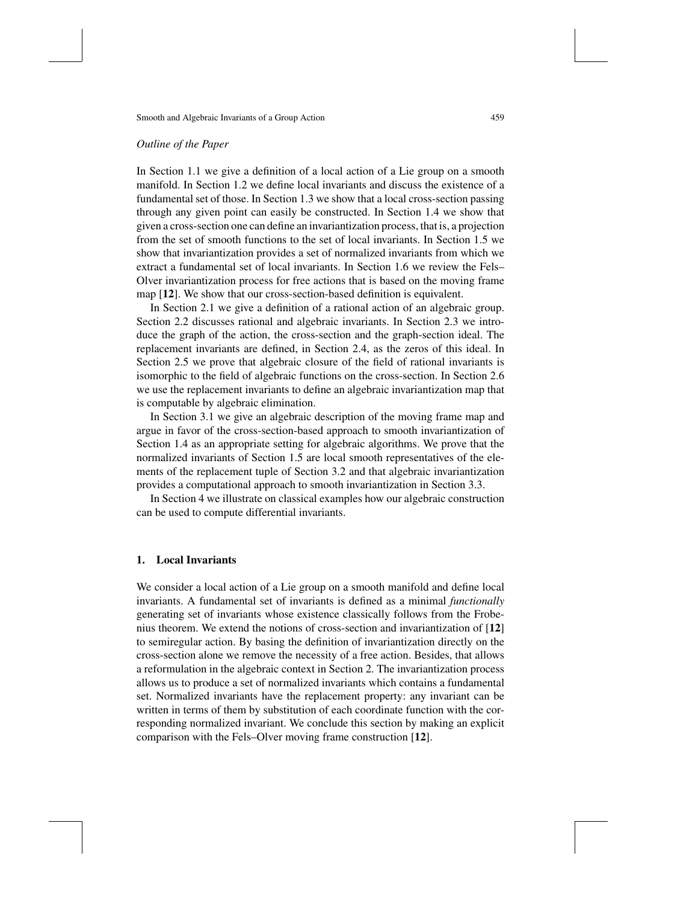#### *Outline of the Paper*

In Section 1.1 we give a definition of a local action of a Lie group on a smooth manifold. In Section 1.2 we define local invariants and discuss the existence of a fundamental set of those. In Section 1.3 we show that a local cross-section passing through any given point can easily be constructed. In Section 1.4 we show that given a cross-section one can define an invariantization process, that is, a projection from the set of smooth functions to the set of local invariants. In Section 1.5 we show that invariantization provides a set of normalized invariants from which we extract a fundamental set of local invariants. In Section 1.6 we review the Fels– Olver invariantization process for free actions that is based on the moving frame map [**12**]. We show that our cross-section-based definition is equivalent.

In Section 2.1 we give a definition of a rational action of an algebraic group. Section 2.2 discusses rational and algebraic invariants. In Section 2.3 we introduce the graph of the action, the cross-section and the graph-section ideal. The replacement invariants are defined, in Section 2.4, as the zeros of this ideal. In Section 2.5 we prove that algebraic closure of the field of rational invariants is isomorphic to the field of algebraic functions on the cross-section. In Section 2.6 we use the replacement invariants to define an algebraic invariantization map that is computable by algebraic elimination.

In Section 3.1 we give an algebraic description of the moving frame map and argue in favor of the cross-section-based approach to smooth invariantization of Section 1.4 as an appropriate setting for algebraic algorithms. We prove that the normalized invariants of Section 1.5 are local smooth representatives of the elements of the replacement tuple of Section 3.2 and that algebraic invariantization provides a computational approach to smooth invariantization in Section 3.3.

In Section 4 we illustrate on classical examples how our algebraic construction can be used to compute differential invariants.

### **1. Local Invariants**

We consider a local action of a Lie group on a smooth manifold and define local invariants. A fundamental set of invariants is defined as a minimal *functionally* generating set of invariants whose existence classically follows from the Frobenius theorem. We extend the notions of cross-section and invariantization of [**12**] to semiregular action. By basing the definition of invariantization directly on the cross-section alone we remove the necessity of a free action. Besides, that allows a reformulation in the algebraic context in Section 2. The invariantization process allows us to produce a set of normalized invariants which contains a fundamental set. Normalized invariants have the replacement property: any invariant can be written in terms of them by substitution of each coordinate function with the corresponding normalized invariant. We conclude this section by making an explicit comparison with the Fels–Olver moving frame construction [**12**].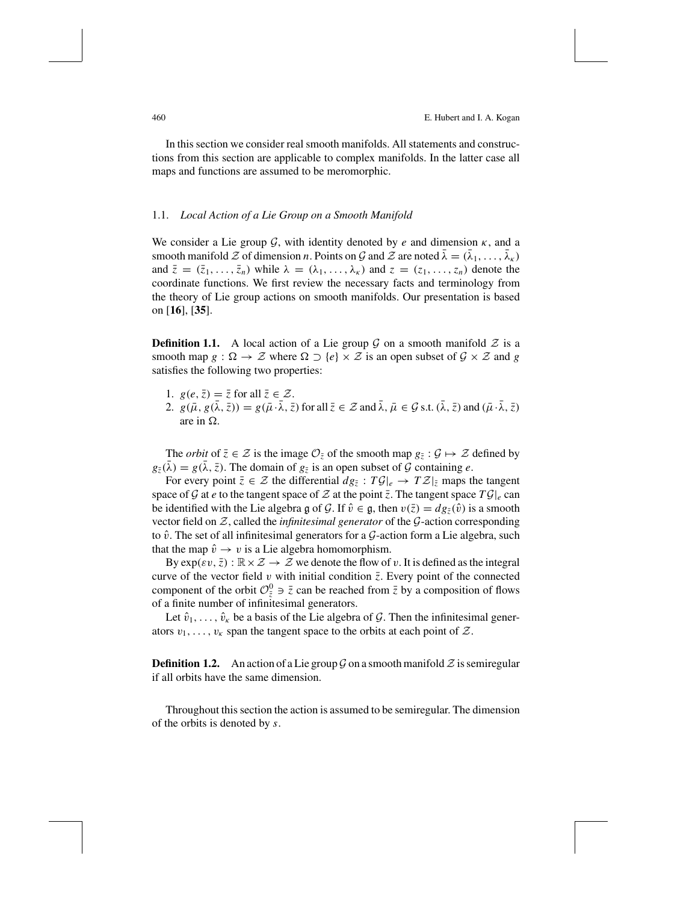In this section we consider real smooth manifolds. All statements and constructions from this section are applicable to complex manifolds. In the latter case all maps and functions are assumed to be meromorphic.

#### 1.1. *Local Action of a Lie Group on a Smooth Manifold*

We consider a Lie group  $G$ , with identity denoted by  $e$  and dimension  $\kappa$ , and a smooth manifold  $\mathcal Z$  of dimension *n*. Points on  $\mathcal G$  and  $\mathcal Z$  are noted  $\lambda = (\lambda_1, \ldots, \lambda_k)$ and  $\bar{z} = (\bar{z}_1, \ldots, \bar{z}_n)$  while  $\lambda = (\lambda_1, \ldots, \lambda_k)$  and  $z = (z_1, \ldots, z_n)$  denote the coordinate functions. We first review the necessary facts and terminology from the theory of Lie group actions on smooth manifolds. Our presentation is based on [**16**], [**35**].

**Definition 1.1.** A local action of a Lie group  $\mathcal G$  on a smooth manifold  $\mathcal Z$  is a smooth map  $g : \Omega \to \mathcal{Z}$  where  $\Omega \supset \{e\} \times \mathcal{Z}$  is an open subset of  $\mathcal{G} \times \mathcal{Z}$  and  $g$ satisfies the following two properties:

- 1.  $g(e, \bar{z}) = \bar{z}$  for all  $\bar{z} \in \mathcal{Z}$ .
- 2.  $g(\bar{\mu}, g(\bar{\lambda}, \bar{z})) = g(\bar{\mu} \cdot \bar{\lambda}, \bar{z})$  for all  $\bar{z} \in \mathcal{Z}$  and  $\bar{\lambda}, \bar{\mu} \in \mathcal{G}$  s.t.  $(\bar{\lambda}, \bar{z})$  and  $(\bar{\mu} \cdot \bar{\lambda}, \bar{z})$ are in  $\Omega$ .

The *orbit* of  $\bar{z} \in \mathcal{Z}$  is the image  $\mathcal{O}_{\bar{z}}$  of the smooth map  $g_{\bar{z}} : \mathcal{G} \mapsto \mathcal{Z}$  defined by  $g_{\bar{z}}(\lambda) = g(\lambda, \bar{z})$ . The domain of  $g_{\bar{z}}$  is an open subset of G containing *e*.

For every point  $\bar{z} \in \mathcal{Z}$  the differential  $dg_{\bar{z}} : T \mathcal{G}|_{e} \to T \mathcal{Z}|_{\bar{z}}$  maps the tangent space of G at *e* to the tangent space of Z at the point  $\overline{z}$ . The tangent space  $T \mathcal{G}|_{e}$  can be identified with the Lie algebra g of G. If  $\hat{v} \in \mathfrak{g}$ , then  $v(\bar{z}) = dg_{\bar{z}}(\hat{v})$  is a smooth vector field on Z, called the *infinitesimal generator* of the G-action corresponding to  $\hat{v}$ . The set of all infinitesimal generators for a G-action form a Lie algebra, such that the map  $\hat{v} \rightarrow v$  is a Lie algebra homomorphism.

By  $\exp(\varepsilon v, \overline{z}) : \mathbb{R} \times \mathcal{Z} \to \mathcal{Z}$  we denote the flow of v. It is defined as the integral curve of the vector field  $v$  with initial condition  $\overline{z}$ . Every point of the connected component of the orbit  $\mathcal{O}^0_{\overline{z}} \ni \overline{z}$  can be reached from  $\overline{z}$  by a composition of flows of a finite number of infinitesimal generators.

Let  $\hat{v}_1, \ldots, \hat{v}_k$  be a basis of the Lie algebra of G. Then the infinitesimal generators  $v_1, \ldots, v_k$  span the tangent space to the orbits at each point of  $\mathcal{Z}$ .

**Definition 1.2.** An action of a Lie group  $\mathcal G$  on a smooth manifold  $\mathcal Z$  is semiregular if all orbits have the same dimension.

Throughout this section the action is assumed to be semiregular. The dimension of the orbits is denoted by *s*.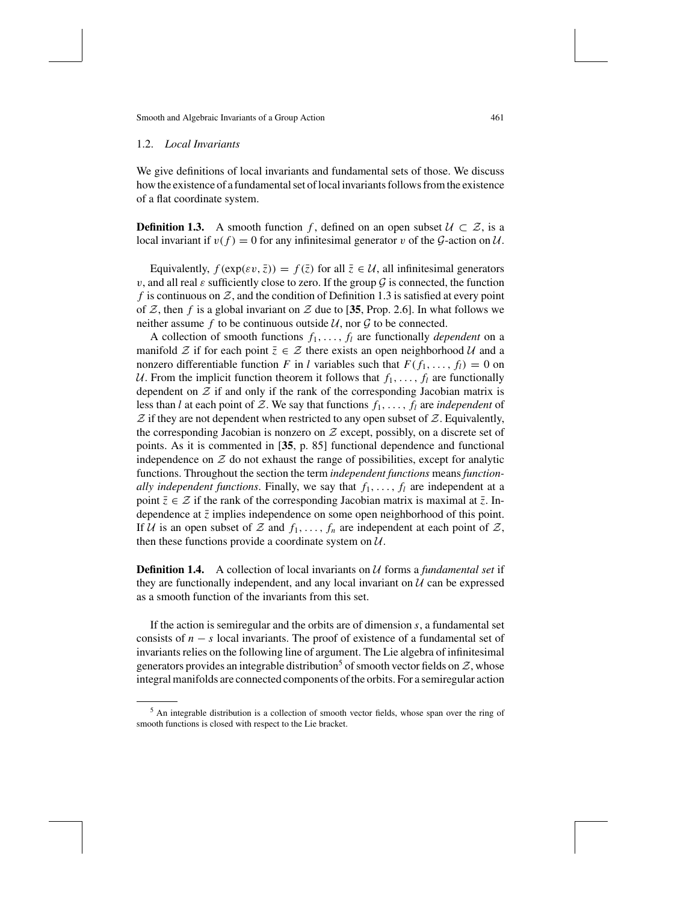#### 1.2. *Local Invariants*

We give definitions of local invariants and fundamental sets of those. We discuss how the existence of a fundamental set of local invariants follows from the existence of a flat coordinate system.

**Definition 1.3.** A smooth function f, defined on an open subset  $\mathcal{U} \subset \mathcal{Z}$ , is a local invariant if  $v(f) = 0$  for any infinitesimal generator v of the G-action on U.

Equivalently,  $f(\exp(\varepsilon v, \bar{z})) = f(\bar{z})$  for all  $\bar{z} \in \mathcal{U}$ , all infinitesimal generators v, and all real  $\varepsilon$  sufficiently close to zero. If the group  $\mathcal G$  is connected, the function f is continuous on  $\mathcal{Z}$ , and the condition of Definition 1.3 is satisfied at every point of Z, then f is a global invariant on Z due to [35, Prop. 2.6]. In what follows we neither assume f to be continuous outside  $U$ , nor  $\mathcal G$  to be connected.

A collection of smooth functions  $f_1, \ldots, f_l$  are functionally *dependent* on a manifold  $\mathcal Z$  if for each point  $\bar z \in \mathcal Z$  there exists an open neighborhood  $\mathcal U$  and a nonzero differentiable function *F* in *l* variables such that  $F(f_1, \ldots, f_l) = 0$  on U. From the implicit function theorem it follows that  $f_1, \ldots, f_l$  are functionally dependent on  $Z$  if and only if the rank of the corresponding Jacobian matrix is less than *l* at each point of Z. We say that functions  $f_1, \ldots, f_l$  are *independent* of  $Z$  if they are not dependent when restricted to any open subset of  $Z$ . Equivalently, the corresponding Jacobian is nonzero on  $Z$  except, possibly, on a discrete set of points. As it is commented in [**35**, p. 85] functional dependence and functional independence on  $\mathcal Z$  do not exhaust the range of possibilities, except for analytic functions. Throughout the section the term *independent functions* means *functionally independent functions.* Finally, we say that  $f_1, \ldots, f_l$  are independent at a point  $\bar{z} \in \mathcal{Z}$  if the rank of the corresponding Jacobian matrix is maximal at  $\bar{z}$ . Independence at  $\bar{z}$  implies independence on some open neighborhood of this point. If U is an open subset of Z and  $f_1, \ldots, f_n$  are independent at each point of Z, then these functions provide a coordinate system on  $U$ .

**Definition 1.4.** A collection of local invariants on  $U$  forms a *fundamental set* if they are functionally independent, and any local invariant on  $U$  can be expressed as a smooth function of the invariants from this set.

If the action is semiregular and the orbits are of dimension *s*, a fundamental set consists of  $n - s$  local invariants. The proof of existence of a fundamental set of invariants relies on the following line of argument. The Lie algebra of infinitesimal generators provides an integrable distribution<sup>5</sup> of smooth vector fields on  $\mathcal{Z}$ , whose integral manifolds are connected components of the orbits. For a semiregular action

<sup>&</sup>lt;sup>5</sup> An integrable distribution is a collection of smooth vector fields, whose span over the ring of smooth functions is closed with respect to the Lie bracket.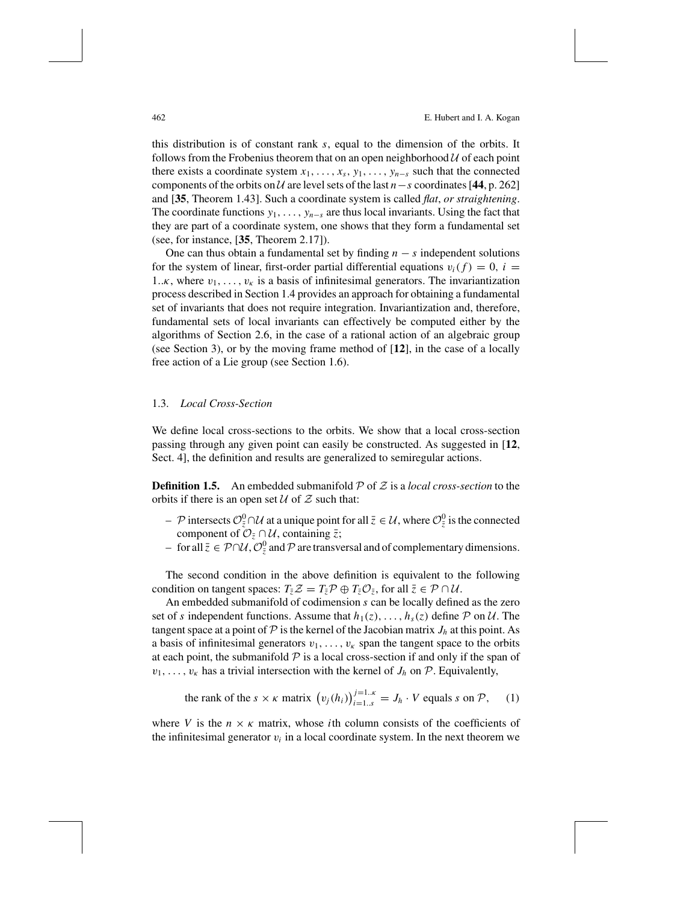462 E. Hubert and I. A. Kogan

this distribution is of constant rank *s*, equal to the dimension of the orbits. It follows from the Frobenius theorem that on an open neighborhood  $U$  of each point there exists a coordinate system  $x_1, \ldots, x_s, y_1, \ldots, y_{n-s}$  such that the connected components of the orbits on  $U$  are level sets of the last *n*−*s* coordinates [44, p. 262] and [**35**, Theorem 1.43]. Such a coordinate system is called *flat*, *or straightening*. The coordinate functions  $y_1, \ldots, y_{n-s}$  are thus local invariants. Using the fact that they are part of a coordinate system, one shows that they form a fundamental set (see, for instance, [**35**, Theorem 2.17]).

One can thus obtain a fundamental set by finding  $n - s$  independent solutions for the system of linear, first-order partial differential equations  $v_i(f) = 0$ ,  $i =$ 1.. $\kappa$ , where  $v_1, \ldots, v_{\kappa}$  is a basis of infinitesimal generators. The invariantization process described in Section 1.4 provides an approach for obtaining a fundamental set of invariants that does not require integration. Invariantization and, therefore, fundamental sets of local invariants can effectively be computed either by the algorithms of Section 2.6, in the case of a rational action of an algebraic group (see Section 3), or by the moving frame method of [**12**], in the case of a locally free action of a Lie group (see Section 1.6).

## 1.3. *Local Cross-Section*

We define local cross-sections to the orbits. We show that a local cross-section passing through any given point can easily be constructed. As suggested in [**12**, Sect. 4], the definition and results are generalized to semiregular actions.

**Definition 1.5.** An embedded submanifold  $\mathcal{P}$  of  $\mathcal{Z}$  is a *local cross-section* to the orbits if there is an open set  $U$  of  $Z$  such that:

- *− P* intersects  $\mathcal{O}_{\bar{z}}^0 \cap \mathcal{U}$  at a unique point for all  $\bar{z} \in \mathcal{U}$ , where  $\mathcal{O}_{\bar{z}}^0$  is the connected component of  $\mathcal{O}_{\bar{z}} \cap \mathcal{U}$ , containing  $\bar{z}$ ;
- $-$  for all  $\bar{z} \in \mathcal{P} \cap \mathcal{U}$ ,  $\mathcal{O}_{\bar{z}}^0$  and  $\mathcal P$  are transversal and of complementary dimensions.

The second condition in the above definition is equivalent to the following condition on tangent spaces:  $T_{\bar{z}}Z = T_{\bar{z}}P \oplus T_{\bar{z}}O_{\bar{z}}$ , for all  $\bar{z} \in \mathcal{P} \cap \mathcal{U}$ .

An embedded submanifold of codimension *s* can be locally defined as the zero set of *s* independent functions. Assume that  $h_1(z), \ldots, h_s(z)$  define  $P$  on  $U$ . The tangent space at a point of  $P$  is the kernel of the Jacobian matrix  $J_h$  at this point. As a basis of infinitesimal generators  $v_1, \ldots, v_k$  span the tangent space to the orbits at each point, the submanifold  $P$  is a local cross-section if and only if the span of  $v_1, \ldots, v_k$  has a trivial intersection with the kernel of  $J_h$  on  $P$ . Equivalently,

the rank of the 
$$
s \times \kappa
$$
 matrix  $(v_j(h_i))_{i=1..s}^{j=1..\kappa} = J_h \cdot V$  equals  $s$  on  $\mathcal{P}$ , (1)

where *V* is the  $n \times \kappa$  matrix, whose *i*th column consists of the coefficients of the infinitesimal generator  $v_i$  in a local coordinate system. In the next theorem we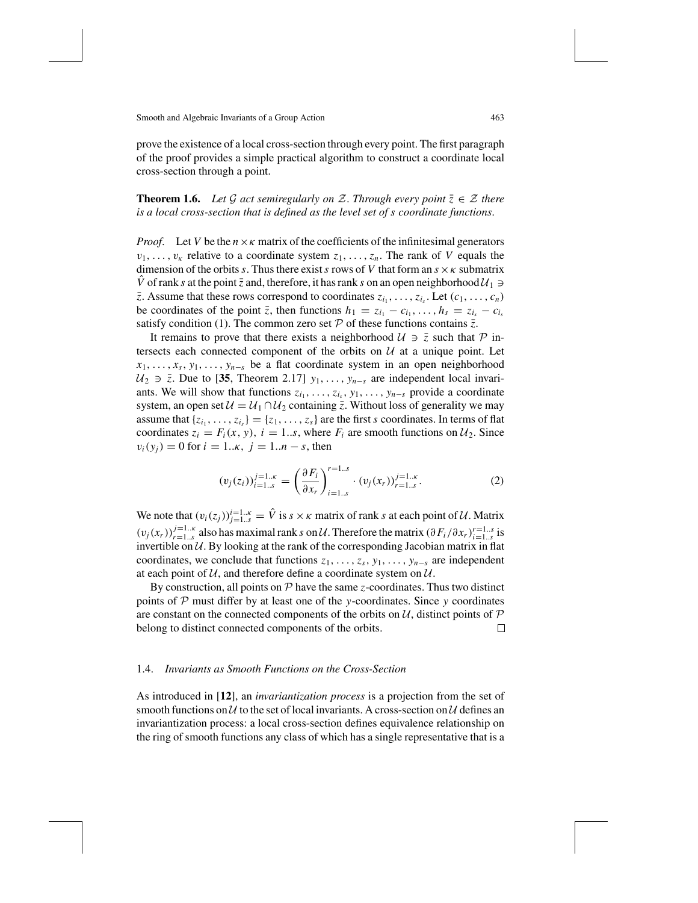prove the existence of a local cross-section through every point. The first paragraph of the proof provides a simple practical algorithm to construct a coordinate local cross-section through a point.

## **Theorem 1.6.** *Let* G *act semiregularly on* Z. *Through every point*  $\overline{z} \in \mathcal{Z}$  *there is a local cross-section that is defined as the level set of s coordinate functions*.

*Proof.* Let *V* be the  $n \times k$  matrix of the coefficients of the infinitesimal generators  $v_1, \ldots, v_k$  relative to a coordinate system  $z_1, \ldots, z_n$ . The rank of *V* equals the dimension of the orbits *s*. Thus there exist *s* rows of *V* that form an  $s \times \kappa$  submatrix  $\hat{V}$  of rank *s* at the point  $\bar{z}$  and, therefore, it has rank *s* on an open neighborhood  $\mathcal{U}_1 \ni$  $\overline{z}$ . Assume that these rows correspond to coordinates  $z_i$ , . . . . ,  $z_i$ . Let  $(c_1, \ldots, c_n)$ be coordinates of the point  $\overline{z}$ , then functions  $h_1 = z_{i_1} - c_{i_1}, \ldots, h_s = z_{i_s} - c_{i_s}$ satisfy condition (1). The common zero set  $P$  of these functions contains  $\bar{z}$ .

It remains to prove that there exists a neighborhood  $\mathcal{U} \ni \overline{z}$  such that  $\mathcal{P}$  intersects each connected component of the orbits on  $U$  at a unique point. Let *x*<sub>1</sub>, . . . , *x*<sub>*s*</sub>, *y*<sub>1</sub>, . . . . , *y*<sub>*n*−*s*</sub> be a flat coordinate system in an open neighborhood  $U_2$  ∋  $\bar{z}$ . Due to [35, Theorem 2.17]  $y_1, \ldots, y_{n-s}$  are independent local invariants. We will show that functions  $z_{i_1}, \ldots, z_{i_s}, y_1, \ldots, y_{n-s}$  provide a coordinate system, an open set  $U = U_1 \cap U_2$  containing  $\overline{z}$ . Without loss of generality we may assume that  ${z_i_1, \ldots, z_i_s} = {z_1, \ldots, z_s}$  are the first *s* coordinates. In terms of flat coordinates  $z_i = F_i(x, y)$ ,  $i = 1...s$ , where  $F_i$  are smooth functions on  $\mathcal{U}_2$ . Since  $v_i(y_i) = 0$  for  $i = 1..k, j = 1..n - s$ , then

$$
(v_j(z_i))_{i=1..s}^{j=1..k} = \left(\frac{\partial F_i}{\partial x_r}\right)_{i=1..s}^{r=1..s} \cdot (v_j(x_r))_{r=1..s}^{j=1..k}.
$$
 (2)

We note that  $(v_i(z_j))_{j=1..s}^{i=1..k} = \hat{V}$  is  $s \times \kappa$  matrix of rank *s* at each point of U. Matrix  $(v_j(x_r))_{r=1...s}^{j=1...k}$  also has maximal rank *s* on U. Therefore the matrix  $(\partial F_i/\partial x_r)_{i=1...s}^{r=1...s}$  is invertible on  $U$ . By looking at the rank of the corresponding Jacobian matrix in flat coordinates, we conclude that functions  $z_1, \ldots, z_s, y_1, \ldots, y_{n-s}$  are independent at each point of  $U$ , and therefore define a coordinate system on  $U$ .

By construction, all points on  $P$  have the same *z*-coordinates. Thus two distinct points of P must differ by at least one of the *y*-coordinates. Since *y* coordinates are constant on the connected components of the orbits on  $U$ , distinct points of  $\mathcal{P}$ <br>belong to distinct connected components of the orbits. belong to distinct connected components of the orbits.

### 1.4. *Invariants as Smooth Functions on the Cross-Section*

As introduced in [**12**], an *invariantization process* is a projection from the set of smooth functions on  $U$  to the set of local invariants. A cross-section on  $U$  defines an invariantization process: a local cross-section defines equivalence relationship on the ring of smooth functions any class of which has a single representative that is a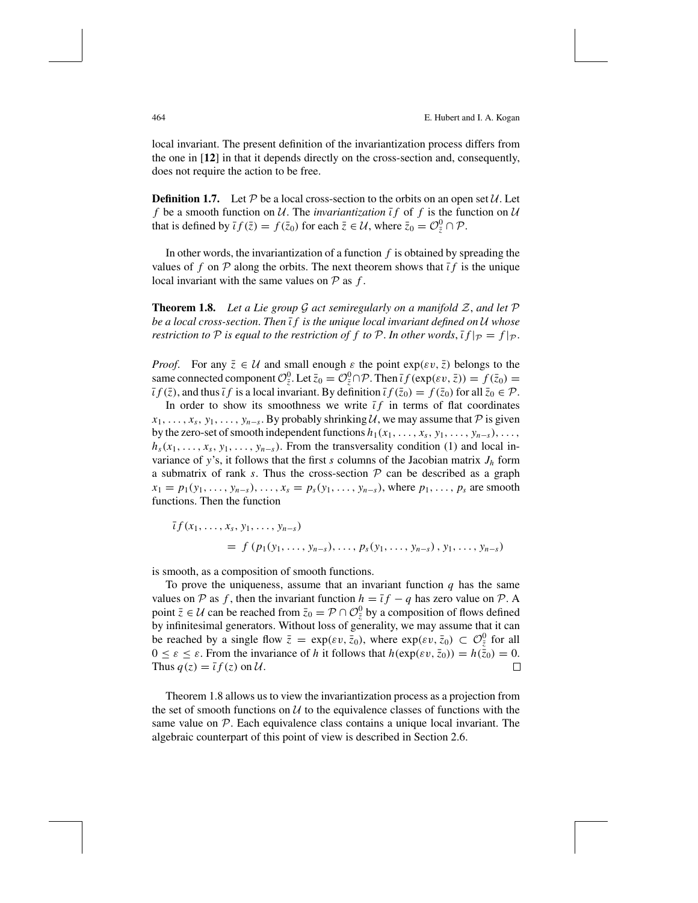local invariant. The present definition of the invariantization process differs from the one in [**12**] in that it depends directly on the cross-section and, consequently, does not require the action to be free.

**Definition 1.7.** Let  $P$  be a local cross-section to the orbits on an open set  $U$ . Let *f* be a smooth function on U. The *invariantization*  $\overline{t}f$  of f is the function on U that is defined by  $\overline{i} f(\overline{z}) = f(\overline{z}_0)$  for each  $\overline{z} \in \mathcal{U}$ , where  $\overline{z}_0 = \mathcal{O}_{\overline{z}}^0 \cap \mathcal{P}$ .

In other words, the invariantization of a function *f* is obtained by spreading the values of f on  $\mathcal P$  along the orbits. The next theorem shows that  $\bar t f$  is the unique local invariant with the same values on  $P$  as  $f$ .

**Theorem 1.8.** Let a Lie group  $G$  act semiregularly on a manifold  $Z$ , and let  $P$ *be a local cross-section*. *Then* ι¯ *f is the unique local invariant defined on* U *whose restriction to*  $\mathcal P$  *is equal to the restriction of*  $f$  *to*  $\mathcal P$ *. In other words*,  $\overline{f}$  $\overline{f}$  $\overline{p} = f|_{\mathcal P}$ *.* 

*Proof.* For any  $\bar{z} \in \mathcal{U}$  and small enough  $\varepsilon$  the point  $\exp(\varepsilon v, \bar{z})$  belongs to the same connected component  $\mathcal{O}^0_{\bar{z}}$ . Let  $\bar{z}_0 = \mathcal{O}^0_{\bar{z}} \cap \mathcal{P}$ . Then  $\bar{i} f(\exp(\varepsilon v, \bar{z})) = f(\bar{z}_0) =$  $\bar{\iota} f(\bar{z})$ , and thus  $\bar{\iota} f$  is a local invariant. By definition  $\bar{\iota} f(\bar{z}_0) = f(\bar{z}_0)$  for all  $\bar{z}_0 \in \mathcal{P}$ .

In order to show its smoothness we write  $\bar{t}f$  in terms of flat coordinates  $x_1, \ldots, x_s, y_1, \ldots, y_{n-s}$ . By probably shrinking  $\mathcal U$ , we may assume that  $\mathcal P$  is given by the zero-set of smooth independent functions  $h_1(x_1, \ldots, x_s, y_1, \ldots, y_{n-s}), \ldots$  $h_s(x_1, \ldots, x_s, y_1, \ldots, y_{n-s})$ . From the transversality condition (1) and local invariance of y's, it follows that the first *s* columns of the Jacobian matrix  $J_h$  form a submatrix of rank  $s$ . Thus the cross-section  $P$  can be described as a graph  $x_1 = p_1(y_1, \ldots, y_{n-s}), \ldots, x_s = p_s(y_1, \ldots, y_{n-s}),$  where  $p_1, \ldots, p_s$  are smooth functions. Then the function

$$
\bar{t}f(x_1,...,x_s, y_1,..., y_{n-s})
$$
  
=  $f(p_1(y_1,..., y_{n-s}), ..., p_s(y_1,..., y_{n-s}), y_1,..., y_{n-s})$ 

is smooth, as a composition of smooth functions.

To prove the uniqueness, assume that an invariant function  $q$  has the same values on P as f, then the invariant function  $h = \bar{t}f - q$  has zero value on P. A point  $\overline{z} \in U$  can be reached from  $\overline{z}_0 = \mathcal{P} \cap \mathcal{O}_{\overline{z}}^0$  by a composition of flows defined by infinitesimal generators. Without loss of generality, we may assume that it can be reached by a single flow  $\bar{z} = \exp(\varepsilon v, \bar{z}_0)$ , where  $\exp(\varepsilon v, \bar{z}_0) \subset \mathcal{O}^0_{\bar{z}}$  for all  $0 \le \varepsilon \le \varepsilon$ . From the invariance of *h* it follows that  $h(\exp(\varepsilon v, \bar{z}_0)) = h(\bar{z}_0) = 0$ .<br>Thus  $a(z) = \bar{t} f(z)$  on  $\mathcal{U}$ . Thus  $q(z) = \overline{i} f(z)$  on  $\mathcal{U}$ .

Theorem 1.8 allows us to view the invariantization process as a projection from the set of smooth functions on  $U$  to the equivalence classes of functions with the same value on  $P$ . Each equivalence class contains a unique local invariant. The algebraic counterpart of this point of view is described in Section 2.6.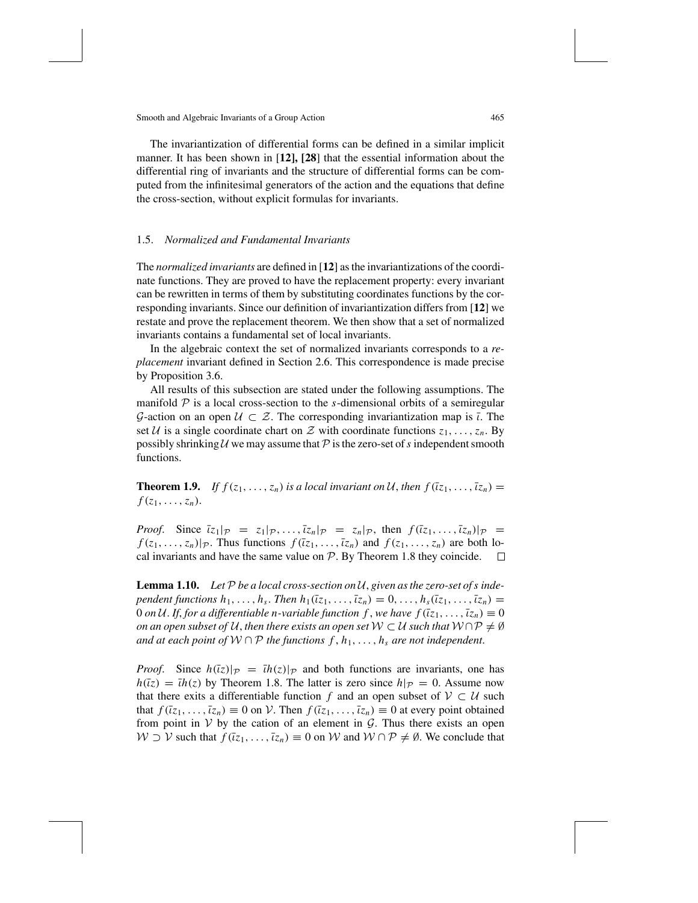The invariantization of differential forms can be defined in a similar implicit manner. It has been shown in [**12], [28**] that the essential information about the differential ring of invariants and the structure of differential forms can be computed from the infinitesimal generators of the action and the equations that define the cross-section, without explicit formulas for invariants.

#### 1.5. *Normalized and Fundamental Invariants*

The *normalized invariants* are defined in [**12**] asthe invariantizations of the coordinate functions. They are proved to have the replacement property: every invariant can be rewritten in terms of them by substituting coordinates functions by the corresponding invariants. Since our definition of invariantization differs from [**12**] we restate and prove the replacement theorem. We then show that a set of normalized invariants contains a fundamental set of local invariants.

In the algebraic context the set of normalized invariants corresponds to a *replacement* invariant defined in Section 2.6. This correspondence is made precise by Proposition 3.6.

All results of this subsection are stated under the following assumptions. The manifold  $P$  is a local cross-section to the *s*-dimensional orbits of a semiregular G-action on an open  $U \subset \mathcal{Z}$ . The corresponding invariantization map is  $\overline{\iota}$ . The set U is a single coordinate chart on Z with coordinate functions  $z_1, \ldots, z_n$ . By possibly shrinking U we may assume that  $\mathcal P$  is the zero-set of s independent smooth functions.

**Theorem 1.9.** *If*  $f(z_1, \ldots, z_n)$  *is a local invariant on* U, *then*  $f(\overline{z_1}, \ldots, \overline{z_n}) =$  $f(z_1,\ldots,z_n)$ .

*Proof.* Since  $\overline{z_1|p} = z_1|p, \ldots, \overline{z_n|p} = z_n|p$ , then  $f(\overline{z_1}, \ldots, \overline{z_n})|p = z_n|p$  $f(z_1, \ldots, z_n)|_{\mathcal{P}}$ . Thus functions  $f(\overline{z_1}, \ldots, \overline{z_n})$  and  $f(z_1, \ldots, z_n)$  are both lo-<br>cal invariants and have the same value on  $\mathcal{P}$ . By Theorem 1.8 they coincide.  $\Box$ cal invariants and have the same value on  $P$ . By Theorem 1.8 they coincide.

**Lemma 1.10.** Let  $P$  be a local cross-section on  $U$ , given as the zero-set of s inde*pendent functions*  $h_1, \ldots, h_s$ . *Then*  $h_1(\bar{z}_1, \ldots, \bar{z}_n) = 0, \ldots, h_s(\bar{z}_1, \ldots, \bar{z}_n) =$ 0 *on* U. If, for a differentiable *n*-variable function f, we have  $f(\overline{z_1}, \ldots, \overline{z_n}) \equiv 0$ *on an open subset of*  $U$ , *then there exists an open set*  $W \subset U$  *such that*  $W \cap P \neq \emptyset$ *and at each point of*  $W ∩ P$  *the functions*  $f, h_1, ..., h_s$  *are not independent.* 

*Proof.* Since  $h(\overline{z})|_{\mathcal{P}} = \overline{u}h(z)|_{\mathcal{P}}$  and both functions are invariants, one has  $h(\overline{z}) = \overline{u}(z)$  by Theorem 1.8. The latter is zero since  $h|_{\mathcal{P}} = 0$ . Assume now that there exits a differentiable function *f* and an open subset of  $V \subset U$  such that  $f(\overline{z_1}, \ldots, \overline{z_n}) \equiv 0$  on V. Then  $f(\overline{z_1}, \ldots, \overline{z_n}) \equiv 0$  at every point obtained from point in  $V$  by the cation of an element in  $G$ . Thus there exists an open  $W \supset V$  such that  $f(\bar{t}z_1, \ldots, \bar{t}z_n) \equiv 0$  on W and  $W \cap \mathcal{P} \neq \emptyset$ . We conclude that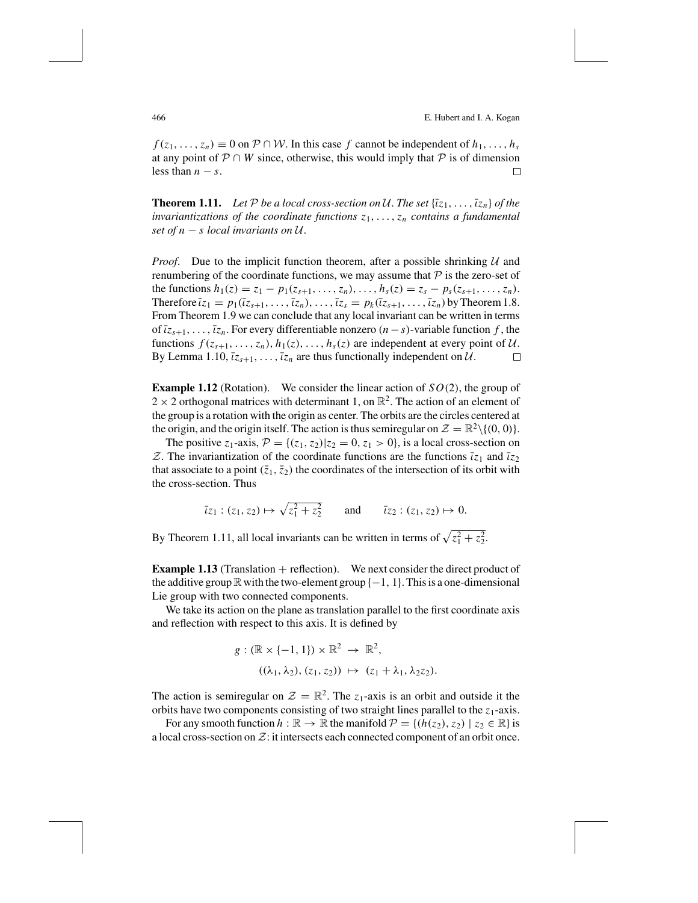466 E. Hubert and I. A. Kogan

 $f(z_1, \ldots, z_n) \equiv 0$  on  $P \cap W$ . In this case *f* cannot be independent of  $h_1, \ldots, h_s$ at any point of P ∩ *W* since, otherwise, this would imply that P is of dimension less than  $n - s$ .  $\Box$ less than  $n - s$ .

**Theorem 1.11.** Let P be a local cross-section on U. The set  $\{\bar{x}_1, \ldots, \bar{x}_n\}$  of the *invariantizations of the coordinate functions z*1, . . . ,*zn contains a fundamental set of*  $n - s$  *local invariants on*  $U$ .

*Proof.* Due to the implicit function theorem, after a possible shrinking  $U$  and renumbering of the coordinate functions, we may assume that  $P$  is the zero-set of the functions  $h_1(z) = z_1 - p_1(z_{s+1}, \ldots, z_n), \ldots, h_s(z) = z_s - p_s(z_{s+1}, \ldots, z_n).$ Therefore  $\overline{z_1} = p_1(\overline{z_{s+1}}, \ldots, \overline{z_n}), \ldots, \overline{z_s} = p_k(\overline{z_{s+1}}, \ldots, \overline{z_n})$  by Theorem 1.8. From Theorem 1.9 we can conclude that any local invariant can be written in terms of  $\overline{z}_{s+1}, \ldots, \overline{z}_n$ . For every differentiable nonzero  $(n-s)$ -variable function f, the functions  $f(z_{s+1},..., z_n)$ ,  $h_1(z),..., h_s(z)$  are independent at every point of U.<br>By Lemma 1.10,  $\overline{z}_{s+1},..., \overline{z}_n$  are thus functionally independent on U. By Lemma 1.10,  $\overline{z}_{s+1}, \ldots, \overline{z}_n$  are thus functionally independent on  $\mathcal{U}$ .

**Example 1.12** (Rotation). We consider the linear action of *SO*(2), the group of  $2 \times 2$  orthogonal matrices with determinant 1, on  $\mathbb{R}^2$ . The action of an element of the group is a rotation with the origin as center. The orbits are the circles centered at the origin, and the origin itself. The action is thus semiregular on  $\mathcal{Z} = \mathbb{R}^2 \setminus \{(0, 0)\}.$ 

The positive  $z_1$ -axis,  $P = \{(z_1, z_2) | z_2 = 0, z_1 > 0\}$ , is a local cross-section on  $\mathcal{Z}$ . The invariantization of the coordinate functions are the functions  $\bar{i}z_1$  and  $\bar{i}z_2$ that associate to a point  $(\bar{z}_1, \bar{z}_2)$  the coordinates of the intersection of its orbit with the cross-section. Thus

$$
\bar{i}z_1 : (z_1, z_2) \mapsto \sqrt{z_1^2 + z_2^2}
$$
 and  $\bar{i}z_2 : (z_1, z_2) \mapsto 0$ .

By Theorem 1.11, all local invariants can be written in terms of  $\sqrt{z_1^2 + z_2^2}$ .

**Example 1.13** (Translation + reflection). We next consider the direct product of the additive group  $\mathbb R$  with the two-element group  $\{-1, 1\}$ . This is a one-dimensional Lie group with two connected components.

We take its action on the plane as translation parallel to the first coordinate axis and reflection with respect to this axis. It is defined by

$$
g: (\mathbb{R} \times \{-1, 1\}) \times \mathbb{R}^2 \to \mathbb{R}^2,
$$
  

$$
((\lambda_1, \lambda_2), (z_1, z_2)) \mapsto (z_1 + \lambda_1, \lambda_2 z_2).
$$

The action is semiregular on  $\mathcal{Z} = \mathbb{R}^2$ . The  $z_1$ -axis is an orbit and outside it the orbits have two components consisting of two straight lines parallel to the  $z_1$ -axis.

For any smooth function  $h : \mathbb{R} \to \mathbb{R}$  the manifold  $\mathcal{P} = \{(h(z_2), z_2) \mid z_2 \in \mathbb{R}\}\$ is a local cross-section on  $\mathcal{Z}$ : it intersects each connected component of an orbit once.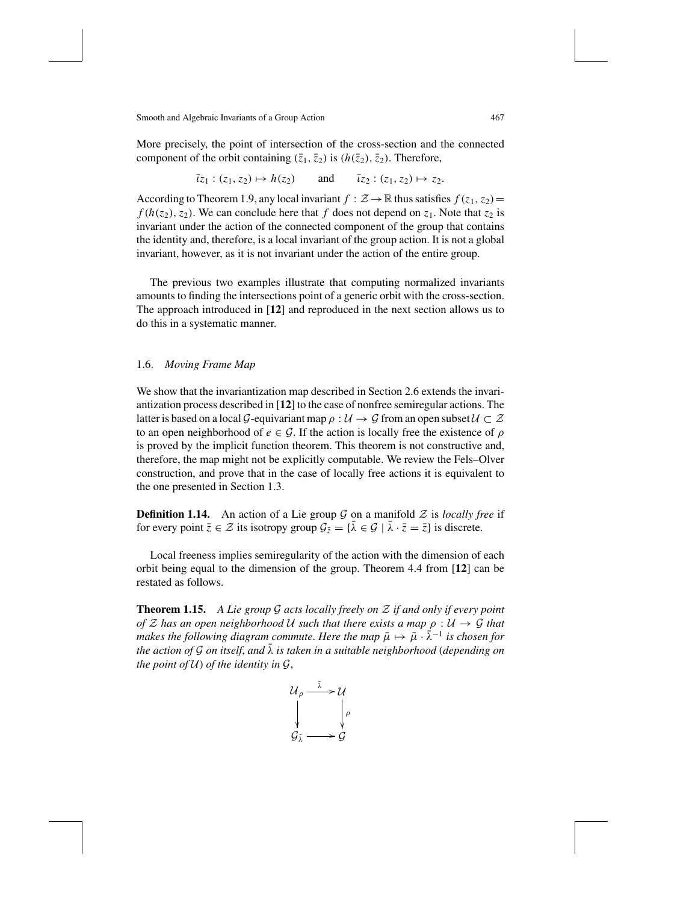More precisely, the point of intersection of the cross-section and the connected component of the orbit containing  $(\bar{z}_1, \bar{z}_2)$  is  $(h(\bar{z}_2), \bar{z}_2)$ . Therefore,

 $\overline{i}z_1$  :  $(z_1, z_2) \mapsto h(z_2)$  and  $\overline{i}z_2$  :  $(z_1, z_2) \mapsto z_2$ .

According to Theorem 1.9, any local invariant  $f : \mathcal{Z} \to \mathbb{R}$  thus satisfies  $f(z_1, z_2) =$  $f(h(z_2), z_2)$ . We can conclude here that *f* does not depend on  $z_1$ . Note that  $z_2$  is invariant under the action of the connected component of the group that contains the identity and, therefore, is a local invariant of the group action. It is not a global invariant, however, as it is not invariant under the action of the entire group.

The previous two examples illustrate that computing normalized invariants amounts to finding the intersections point of a generic orbit with the cross-section. The approach introduced in [**12**] and reproduced in the next section allows us to do this in a systematic manner.

## 1.6. *Moving Frame Map*

We show that the invariantization map described in Section 2.6 extends the invariantization process described in [**12**] to the case of nonfree semiregular actions. The latter is based on a local G-equivariant map  $\rho : U \to G$  from an open subset  $U \subset \mathcal{Z}$ to an open neighborhood of  $e \in \mathcal{G}$ . If the action is locally free the existence of  $\rho$ is proved by the implicit function theorem. This theorem is not constructive and, therefore, the map might not be explicitly computable. We review the Fels–Olver construction, and prove that in the case of locally free actions it is equivalent to the one presented in Section 1.3.

**Definition 1.14.** An action of a Lie group  $G$  on a manifold  $Z$  is *locally free* if for every point  $\bar{z} \in \mathcal{Z}$  its isotropy group  $\mathcal{G}_{\bar{z}} = {\bar{\lambda} \in \mathcal{G} \mid \bar{\lambda} \cdot \bar{z} = \bar{z}}$  is discrete.

Local freeness implies semiregularity of the action with the dimension of each orbit being equal to the dimension of the group. Theorem 4.4 from [**12**] can be restated as follows.

**Theorem 1.15.** *A Lie group* G *acts locally freely on* Z *if and only if every point of*  $Z$  *has an open neighborhood*  $U$  *such that there exists a map*  $\rho : U \rightarrow \mathcal{G}$  *that makes the following diagram commute*. Here *the map*  $\bar{\mu} \mapsto \bar{\mu} \cdot \bar{\lambda}^{-1}$  *is chosen for the* action of G on itself, and  $\bar{\lambda}$  is taken in a suitable neighborhood (depending on *the point of*  $U$ *) of the identity in*  $G$ *,* 

$$
\begin{array}{ccc}\n U_{\rho} & \xrightarrow{\bar{\lambda}} & U \\
 \downarrow & & \downarrow{\rho} \\
 \downarrow & & \downarrow{\rho} \\
 \downarrow & & \downarrow{\rho} \\
 \downarrow & & \downarrow{\rho} \\
 \downarrow & & \downarrow{\rho} \\
 \downarrow & & \downarrow{\rho} \\
 \downarrow & & \downarrow{\rho} \\
 \downarrow & & \downarrow{\rho}\n \end{array}
$$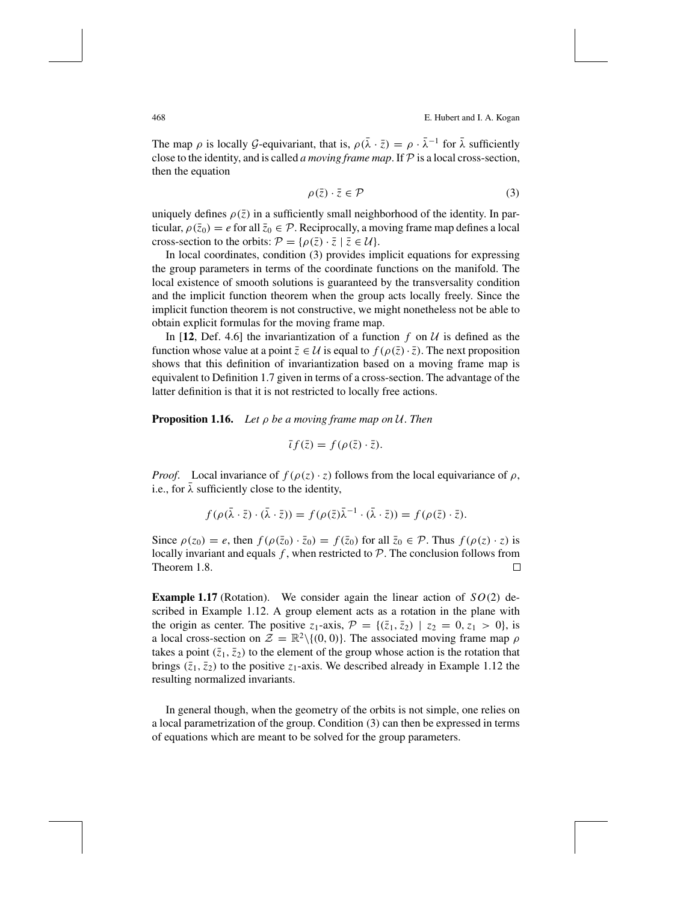468 E. Hubert and I. A. Kogan

The map  $\rho$  is locally G-equivariant, that is,  $\rho(\bar{\lambda} \cdot \bar{z}) = \rho \cdot \bar{\lambda}^{-1}$  for  $\bar{\lambda}$  sufficiently close to the identity, and is called *a moving frame map*. If  $P$  is a local cross-section, then the equation

$$
\rho(\bar{z}) \cdot \bar{z} \in \mathcal{P} \tag{3}
$$

uniquely defines  $\rho(\bar{z})$  in a sufficiently small neighborhood of the identity. In particular,  $\rho(\bar{z}_0) = e$  for all  $\bar{z}_0 \in \mathcal{P}$ . Reciprocally, a moving frame map defines a local cross-section to the orbits:  $\mathcal{P} = {\rho(\bar{z}) \cdot \bar{z} \mid \bar{z} \in \mathcal{U}}$ .

In local coordinates, condition (3) provides implicit equations for expressing the group parameters in terms of the coordinate functions on the manifold. The local existence of smooth solutions is guaranteed by the transversality condition and the implicit function theorem when the group acts locally freely. Since the implicit function theorem is not constructive, we might nonetheless not be able to obtain explicit formulas for the moving frame map.

In [12, Def. 4.6] the invariantization of a function  $f$  on  $U$  is defined as the function whose value at a point  $\bar{z} \in U$  is equal to  $f(\rho(\bar{z}) \cdot \bar{z})$ . The next proposition shows that this definition of invariantization based on a moving frame map is equivalent to Definition 1.7 given in terms of a cross-section. The advantage of the latter definition is that it is not restricted to locally free actions.

**Proposition 1.16.** *Let* ρ *be a moving frame map on* U. *Then*

$$
\bar{t}f(\bar{z}) = f(\rho(\bar{z}) \cdot \bar{z}).
$$

*Proof.* Local invariance of  $f(\rho(z) \cdot z)$  follows from the local equivariance of  $\rho$ , i.e., for  $\lambda$  sufficiently close to the identity,

$$
f(\rho(\bar{\lambda}\cdot\bar{z})\cdot(\bar{\lambda}\cdot\bar{z}))=f(\rho(\bar{z})\bar{\lambda}^{-1}\cdot(\bar{\lambda}\cdot\bar{z}))=f(\rho(\bar{z})\cdot\bar{z}).
$$

Since  $\rho(z_0) = e$ , then  $f(\rho(\bar{z}_0) \cdot \bar{z}_0) = f(\bar{z}_0)$  for all  $\bar{z}_0 \in \mathcal{P}$ . Thus  $f(\rho(z) \cdot z)$  is locally invariant and equals  $f$ , when restricted to  $\mathcal{P}$ . The conclusion follows from Theorem 1.8. Theorem 1.8.

**Example 1.17** (Rotation). We consider again the linear action of  $SO(2)$  described in Example 1.12. A group element acts as a rotation in the plane with the origin as center. The positive  $z_1$ -axis,  $P = \{(\bar{z}_1, \bar{z}_2) | z_2 = 0, z_1 > 0\}$ , is a local cross-section on  $\mathcal{Z} = \mathbb{R}^2 \setminus \{(0, 0)\}\.$  The associated moving frame map  $\rho$ takes a point  $(\bar{z}_1, \bar{z}_2)$  to the element of the group whose action is the rotation that brings  $(\bar{z}_1, \bar{z}_2)$  to the positive  $z_1$ -axis. We described already in Example 1.12 the resulting normalized invariants.

In general though, when the geometry of the orbits is not simple, one relies on a local parametrization of the group. Condition (3) can then be expressed in terms of equations which are meant to be solved for the group parameters.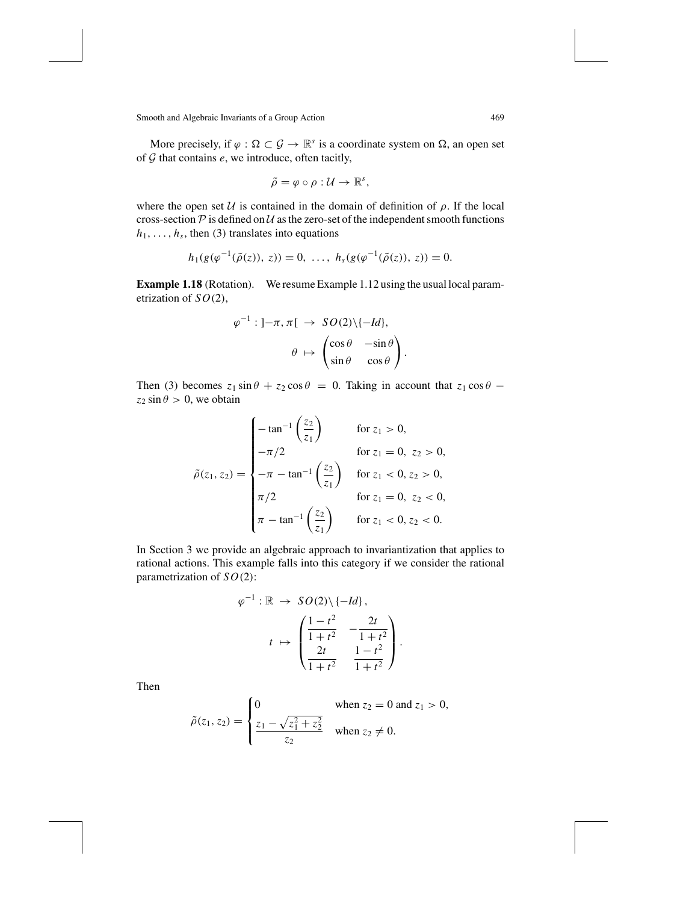More precisely, if  $\varphi : \Omega \subset \mathcal{G} \to \mathbb{R}^s$  is a coordinate system on  $\Omega$ , an open set of G that contains *e*, we introduce, often tacitly,

$$
\tilde{\rho} = \varphi \circ \rho : \mathcal{U} \to \mathbb{R}^s,
$$

where the open set  $U$  is contained in the domain of definition of  $\rho$ . If the local cross-section  $P$  is defined on  $U$  as the zero-set of the independent smooth functions  $h_1, \ldots, h_s$ , then (3) translates into equations

$$
h_1(g(\varphi^{-1}(\tilde{\rho}(z)), z)) = 0, \ldots, h_s(g(\varphi^{-1}(\tilde{\rho}(z)), z)) = 0.
$$

**Example 1.18** (Rotation). We resume Example 1.12 using the usual local parametrization of *SO*(2),

$$
\varphi^{-1}: ]-\pi, \pi[ \rightarrow SO(2)\setminus \{-Id\},
$$

$$
\theta \mapsto \begin{pmatrix} \cos \theta & -\sin \theta \\ \sin \theta & \cos \theta \end{pmatrix}
$$

.

Then (3) becomes  $z_1 \sin \theta + z_2 \cos \theta = 0$ . Taking in account that  $z_1 \cos \theta$  –  $z_2 \sin \theta > 0$ , we obtain

$$
\tilde{\rho}(z_1, z_2) = \begin{cases}\n-\tan^{-1}\left(\frac{z_2}{z_1}\right) & \text{for } z_1 > 0, \\
-\pi/2 & \text{for } z_1 = 0, \ z_2 > 0, \\
-\pi - \tan^{-1}\left(\frac{z_2}{z_1}\right) & \text{for } z_1 < 0, z_2 > 0, \\
\pi/2 & \text{for } z_1 = 0, \ z_2 < 0, \\
\pi - \tan^{-1}\left(\frac{z_2}{z_1}\right) & \text{for } z_1 < 0, z_2 < 0.\n\end{cases}
$$

In Section 3 we provide an algebraic approach to invariantization that applies to rational actions. This example falls into this category if we consider the rational parametrization of *SO*(2):

$$
\varphi^{-1} : \mathbb{R} \to SO(2) \setminus \{-Id\},
$$

$$
t \mapsto \begin{pmatrix} \frac{1-t^2}{1+t^2} & -\frac{2t}{1+t^2} \\ \frac{2t}{1+t^2} & \frac{1-t^2}{1+t^2} \end{pmatrix}.
$$

Then

$$
\tilde{\rho}(z_1, z_2) = \begin{cases}\n0 & \text{when } z_2 = 0 \text{ and } z_1 > 0, \\
\frac{z_1 - \sqrt{z_1^2 + z_2^2}}{z_2} & \text{when } z_2 \neq 0.\n\end{cases}
$$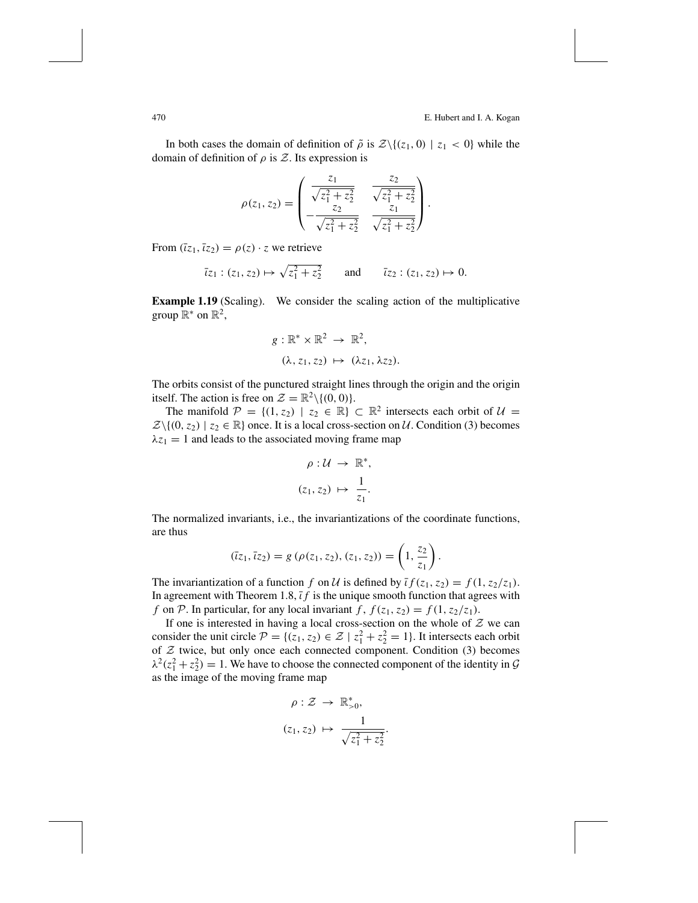In both cases the domain of definition of  $\tilde{\rho}$  is  $\mathcal{Z}\setminus\{(z_1, 0) | z_1 < 0\}$  while the domain of definition of  $\rho$  is  $\mathcal Z$ . Its expression is

$$
\rho(z_1, z_2) = \begin{pmatrix} \frac{z_1}{\sqrt{z_1^2 + z_2^2}} & \frac{z_2}{\sqrt{z_1^2 + z_2^2}} \\ -\frac{z_2}{\sqrt{z_1^2 + z_2^2}} & \frac{z_1}{\sqrt{z_1^2 + z_2^2}} \end{pmatrix}.
$$

From  $(\overline{z}_1, \overline{z}_2) = \rho(z) \cdot z$  we retrieve

$$
\bar{z}_1 : (z_1, z_2) \mapsto \sqrt{z_1^2 + z_2^2}
$$
 and  $\bar{z}_2 : (z_1, z_2) \mapsto 0$ .

**Example 1.19** (Scaling). We consider the scaling action of the multiplicative group  $\mathbb{R}^*$  on  $\mathbb{R}^2$ ,

$$
g: \mathbb{R}^* \times \mathbb{R}^2 \to \mathbb{R}^2,
$$
  

$$
(\lambda, z_1, z_2) \mapsto (\lambda z_1, \lambda z_2).
$$

The orbits consist of the punctured straight lines through the origin and the origin itself. The action is free on  $\mathcal{Z} = \mathbb{R}^2 \setminus \{(0, 0)\}.$ 

The manifold  $\mathcal{P} = \{(1, z_2) \mid z_2 \in \mathbb{R}\}\subset \mathbb{R}^2$  intersects each orbit of  $\mathcal{U} =$  $\mathcal{Z}\setminus\{(0, z_2) \mid z_2 \in \mathbb{R}\}\$  once. It is a local cross-section on U. Condition (3) becomes  $\lambda z_1 = 1$  and leads to the associated moving frame map

$$
\rho: \mathcal{U} \to \mathbb{R}^*,
$$
  

$$
(z_1, z_2) \mapsto \frac{1}{z_1}.
$$

The normalized invariants, i.e., the invariantizations of the coordinate functions, are thus

$$
(\overline{z}_1, \overline{z}_2) = g(\rho(z_1, z_2), (z_1, z_2)) = \left(1, \frac{z_2}{z_1}\right).
$$

The invariantization of a function *f* on *U* is defined by  $\overline{i} f(z_1, z_2) = f(1, z_2/z_1)$ . In agreement with Theorem 1.8,  $\bar{t}f$  is the unique smooth function that agrees with *f* on P. In particular, for any local invariant *f*,  $f(z_1, z_2) = f(1, z_2/z_1)$ .

If one is interested in having a local cross-section on the whole of  $Z$  we can consider the unit circle  $\mathcal{P} = \{(z_1, z_2) \in \mathcal{Z} \mid z_1^2 + z_2^2 = 1\}$ . It intersects each orbit of  $Z$  twice, but only once each connected component. Condition (3) becomes  $\lambda^2(z_1^2 + z_2^2) = 1$ . We have to choose the connected component of the identity in G as the image of the moving frame map

$$
\rho: \mathcal{Z} \to \mathbb{R}^*_{>0},
$$

$$
(z_1, z_2) \mapsto \frac{1}{\sqrt{z_1^2 + z_2^2}}.
$$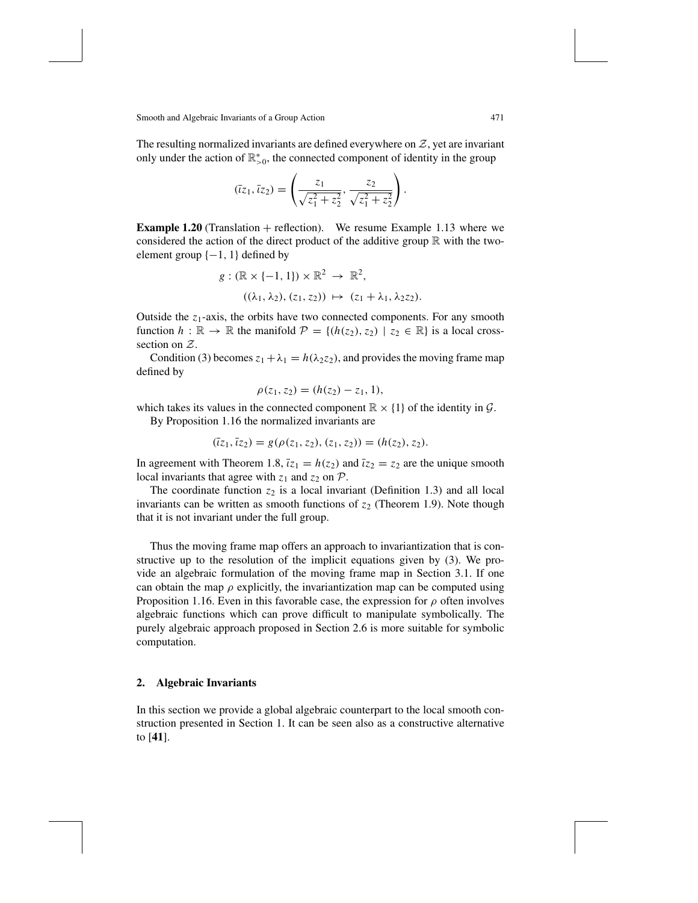The resulting normalized invariants are defined everywhere on  $Z$ , yet are invariant only under the action of  $\mathbb{R}^*_{>0}$ , the connected component of identity in the group

$$
(\overline{z}_1, \overline{z}_2) = \left(\frac{z_1}{\sqrt{z_1^2 + z_2^2}}, \frac{z_2}{\sqrt{z_1^2 + z_2^2}}\right).
$$

**Example 1.20** (Translation + reflection). We resume Example 1.13 where we considered the action of the direct product of the additive group  $\mathbb R$  with the twoelement group  $\{-1, 1\}$  defined by

$$
g: (\mathbb{R} \times \{-1, 1\}) \times \mathbb{R}^2 \to \mathbb{R}^2,
$$
  

$$
((\lambda_1, \lambda_2), (z_1, z_2)) \mapsto (z_1 + \lambda_1, \lambda_2 z_2).
$$

Outside the *z*<sub>1</sub>-axis, the orbits have two connected components. For any smooth function  $h : \mathbb{R} \to \mathbb{R}$  the manifold  $\mathcal{P} = \{(h(z_2), z_2) \mid z_2 \in \mathbb{R}\}\)$  is a local crosssection on Z.

Condition (3) becomes  $z_1 + \lambda_1 = h(\lambda_2 z_2)$ , and provides the moving frame map defined by

$$
\rho(z_1, z_2) = (h(z_2) - z_1, 1),
$$

which takes its values in the connected component  $\mathbb{R} \times \{1\}$  of the identity in  $\mathcal{G}$ .

By Proposition 1.16 the normalized invariants are

$$
(\overline{t}z_1,\overline{t}z_2)=g(\rho(z_1,z_2),(z_1,z_2))=(h(z_2),z_2).
$$

In agreement with Theorem 1.8,  $\overline{z_1} = h(z_2)$  and  $\overline{z_2} = z_2$  are the unique smooth local invariants that agree with  $z_1$  and  $z_2$  on  $P$ .

The coordinate function  $z_2$  is a local invariant (Definition 1.3) and all local invariants can be written as smooth functions of  $z<sub>2</sub>$  (Theorem 1.9). Note though that it is not invariant under the full group.

Thus the moving frame map offers an approach to invariantization that is constructive up to the resolution of the implicit equations given by (3). We provide an algebraic formulation of the moving frame map in Section 3.1. If one can obtain the map  $\rho$  explicitly, the invariantization map can be computed using Proposition 1.16. Even in this favorable case, the expression for  $\rho$  often involves algebraic functions which can prove difficult to manipulate symbolically. The purely algebraic approach proposed in Section 2.6 is more suitable for symbolic computation.

### **2. Algebraic Invariants**

In this section we provide a global algebraic counterpart to the local smooth construction presented in Section 1. It can be seen also as a constructive alternative to [**41**].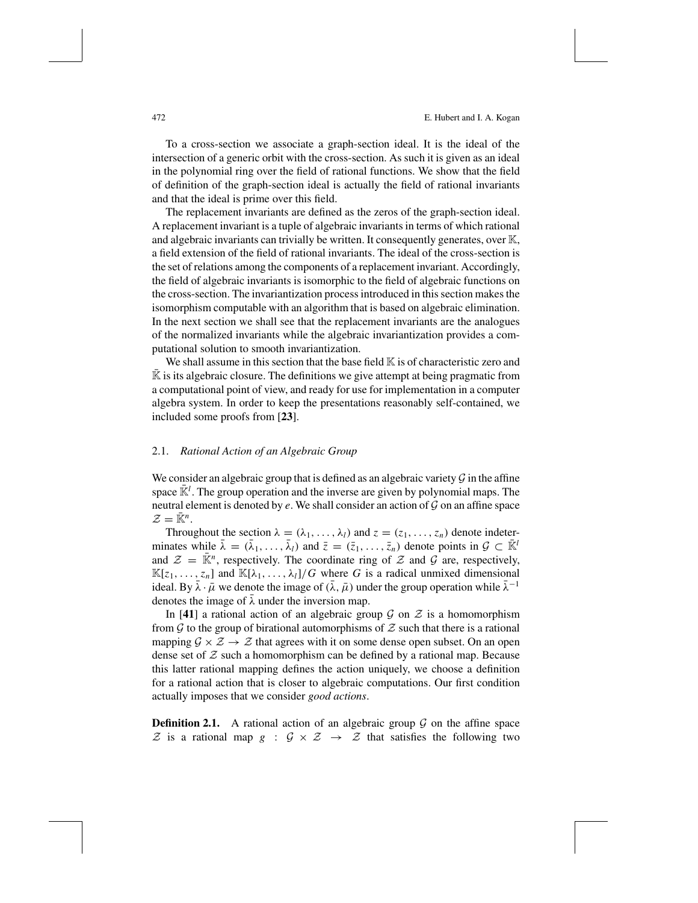To a cross-section we associate a graph-section ideal. It is the ideal of the intersection of a generic orbit with the cross-section. As such it is given as an ideal in the polynomial ring over the field of rational functions. We show that the field of definition of the graph-section ideal is actually the field of rational invariants and that the ideal is prime over this field.

The replacement invariants are defined as the zeros of the graph-section ideal. A replacement invariant is a tuple of algebraic invariants in terms of which rational and algebraic invariants can trivially be written. It consequently generates, over K, a field extension of the field of rational invariants. The ideal of the cross-section is the set of relations among the components of a replacement invariant. Accordingly, the field of algebraic invariants is isomorphic to the field of algebraic functions on the cross-section. The invariantization processintroduced in thissection makesthe isomorphism computable with an algorithm that is based on algebraic elimination. In the next section we shall see that the replacement invariants are the analogues of the normalized invariants while the algebraic invariantization provides a computational solution to smooth invariantization.

We shall assume in this section that the base field  $\mathbb K$  is of characteristic zero and  $K$  is its algebraic closure. The definitions we give attempt at being pragmatic from a computational point of view, and ready for use for implementation in a computer algebra system. In order to keep the presentations reasonably self-contained, we included some proofs from [**23**].

## 2.1. *Rational Action of an Algebraic Group*

We consider an algebraic group that is defined as an algebraic variety  $\mathcal G$  in the affine space  $\mathbb{R}^l$ . The group operation and the inverse are given by polynomial maps. The neutral element is denoted by  $e$ . We shall consider an action of  $\mathcal G$  on an affine space  $\mathcal{Z} = \overline{\mathbb{K}}^n$ .

Throughout the section  $\lambda = (\lambda_1, \ldots, \lambda_l)$  and  $z = (z_1, \ldots, z_n)$  denote indeterminates while  $\bar{\lambda} = (\bar{\lambda}_1, \ldots, \bar{\lambda}_l)$  and  $\bar{z} = (\bar{z}_1, \ldots, \bar{z}_n)$  denote points in  $\mathcal{G} \subset \bar{\mathbb{K}}^l$ and  $\mathcal{Z} = \overline{\mathbb{K}}^n$ , respectively. The coordinate ring of  $\mathcal Z$  and  $\mathcal G$  are, respectively,  $\mathbb{K}[z_1, \ldots, z_n]$  and  $\mathbb{K}[\lambda_1, \ldots, \lambda_l]/G$  where *G* is a radical unmixed dimensional ideal. By  $\bar{\lambda} \cdot \bar{\mu}$  we denote the image of  $(\bar{\lambda}, \bar{\mu})$  under the group operation while  $\bar{\lambda}^{-1}$ denotes the image of  $\overline{\lambda}$  under the inversion map.

In [41] a rational action of an algebraic group  $G$  on  $Z$  is a homomorphism from  $\mathcal G$  to the group of birational automorphisms of  $\mathcal Z$  such that there is a rational mapping  $\mathcal{G} \times \mathcal{Z} \rightarrow \mathcal{Z}$  that agrees with it on some dense open subset. On an open dense set of  $Z$  such a homomorphism can be defined by a rational map. Because this latter rational mapping defines the action uniquely, we choose a definition for a rational action that is closer to algebraic computations. Our first condition actually imposes that we consider *good actions*.

**Definition 2.1.** A rational action of an algebraic group  $\mathcal G$  on the affine space  $\mathcal Z$  is a rational map  $g : \mathcal G \times \mathcal Z \to \mathcal Z$  that satisfies the following two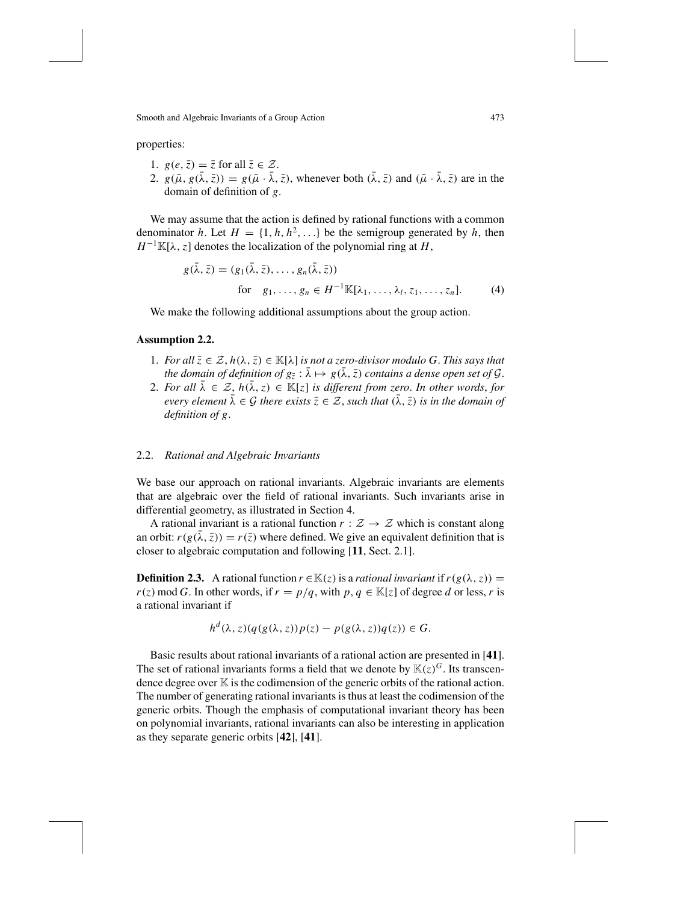properties:

- 1.  $g(e, \overline{z}) = \overline{z}$  for all  $\overline{z} \in \mathcal{Z}$ .
- 2.  $g(\bar{\mu}, g(\bar{\lambda}, \bar{z})) = g(\bar{\mu} \cdot \bar{\lambda}, \bar{z})$ , whenever both  $(\bar{\lambda}, \bar{z})$  and  $(\bar{\mu} \cdot \bar{\lambda}, \bar{z})$  are in the domain of definition of *g*.

We may assume that the action is defined by rational functions with a common denominator *h*. Let  $H = \{1, h, h^2, \ldots\}$  be the semigroup generated by *h*, then  $H^{-1}\mathbb{K}[\lambda, z]$  denotes the localization of the polynomial ring at *H*,

$$
g(\bar{\lambda}, \bar{z}) = (g_1(\bar{\lambda}, \bar{z}), \dots, g_n(\bar{\lambda}, \bar{z}))
$$
  
for  $g_1, \dots, g_n \in H^{-1} \mathbb{K}[\lambda_1, \dots, \lambda_l, z_1, \dots, z_n].$  (4)

We make the following additional assumptions about the group action.

#### **Assumption 2.2.**

- 1. *For all*  $\overline{z} \in \mathcal{Z}$ ,  $h(\lambda, \overline{z}) \in \mathbb{K}[\lambda]$  *is not a zero-divisor modulo G. This says that the domain of definition of*  $g_{\overline{z}}$  :  $\overline{\lambda} \mapsto g(\overline{\lambda}, \overline{z})$  *contains a dense open set of G.*
- 2. For all  $\bar{\lambda} \in \mathcal{Z}$ ,  $h(\bar{\lambda}, z) \in \mathbb{K}[z]$  is different from zero. In other words, for *every element*  $\bar{\lambda} \in \mathcal{G}$  *there exists*  $\bar{z} \in \mathcal{Z}$ *, such that*  $(\bar{\lambda}, \bar{z})$  *is in the domain of definition of g*.

## 2.2. *Rational and Algebraic Invariants*

We base our approach on rational invariants. Algebraic invariants are elements that are algebraic over the field of rational invariants. Such invariants arise in differential geometry, as illustrated in Section 4.

A rational invariant is a rational function  $r : \mathcal{Z} \to \mathcal{Z}$  which is constant along an orbit:  $r(g(\lambda, \bar{z})) = r(\bar{z})$  where defined. We give an equivalent definition that is closer to algebraic computation and following [**11**, Sect. 2.1].

**Definition 2.3.** A rational function  $r \in \mathbb{K}(z)$  is a *rational invariant* if  $r(g(\lambda, z)) =$  $r(z) \mod G$ . In other words, if  $r = p/q$ , with  $p, q \in \mathbb{K}[z]$  of degree *d* or less, *r* is a rational invariant if

$$
h^d(\lambda, z)(q(g(\lambda, z))p(z) - p(g(\lambda, z))q(z)) \in G.
$$

Basic results about rational invariants of a rational action are presented in [**41**]. The set of rational invariants forms a field that we denote by  $\mathbb{K}(z)^G$ . Its transcendence degree over  $K$  is the codimension of the generic orbits of the rational action. The number of generating rational invariants is thus at least the codimension of the generic orbits. Though the emphasis of computational invariant theory has been on polynomial invariants, rational invariants can also be interesting in application as they separate generic orbits [**42**], [**41**].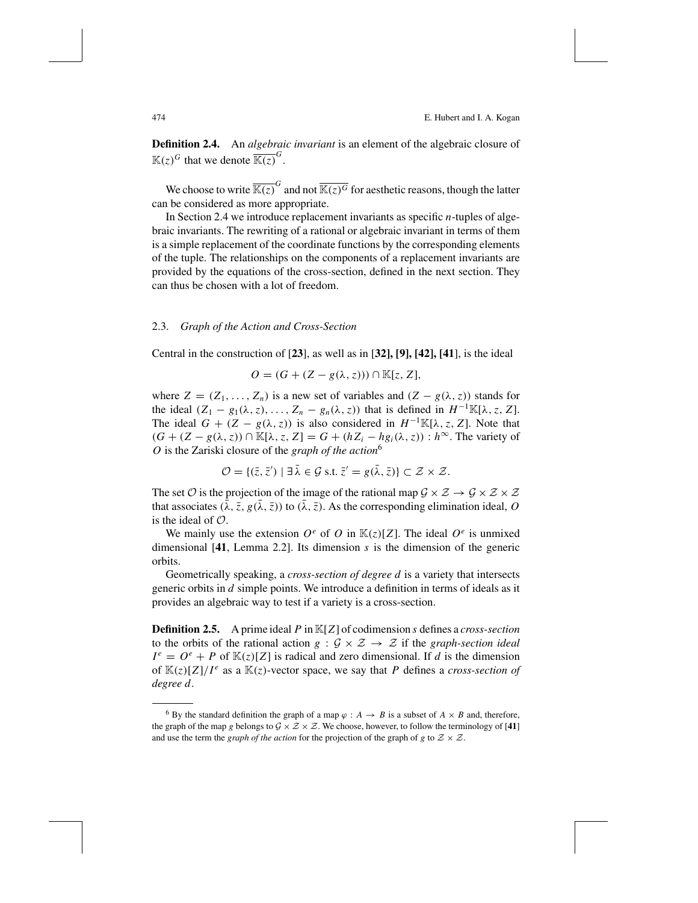474 E. Hubert and I. A. Kogan

**Definition 2.4.** An *algebraic invariant* is an element of the algebraic closure of  $\mathbb{K}(z)^G$  that we denote  $\overline{\mathbb{K}(z)}^G$ .

We choose to write  $\overline{\mathbb{K}(z)}^G$  and not  $\overline{\mathbb{K}(z)^G}$  for aesthetic reasons, though the latter can be considered as more appropriate.

In Section 2.4 we introduce replacement invariants as specific *n*-tuples of algebraic invariants. The rewriting of a rational or algebraic invariant in terms of them is a simple replacement of the coordinate functions by the corresponding elements of the tuple. The relationships on the components of a replacement invariants are provided by the equations of the cross-section, defined in the next section. They can thus be chosen with a lot of freedom.

#### 2.3. *Graph of the Action and Cross-Section*

Central in the construction of [**23**], as well as in [**32], [9], [42], [41**], is the ideal

$$
O = (G + (Z - g(\lambda, z))) \cap \mathbb{K}[z, Z],
$$

where  $Z = (Z_1, \ldots, Z_n)$  is a new set of variables and  $(Z - g(\lambda, z))$  stands for the ideal  $(Z_1 - g_1(\lambda, z), \ldots, Z_n - g_n(\lambda, z))$  that is defined in  $H^{-1}\mathbb{K}[\lambda, z, Z]$ . The ideal  $G + (Z - g(\lambda, z))$  is also considered in  $H^{-1}\mathbb{K}[\lambda, z, Z]$ . Note that  $(G + (Z - g(\lambda, z)) ∩ \mathbb{K}[\lambda, z, Z] = G + (hZ_i - hg_i(\lambda, z)) : h^\infty$ . The variety of *O* is the Zariski closure of the *graph of the action*<sup>6</sup>

$$
\mathcal{O} = \{(\bar{z}, \bar{z}') \mid \exists \bar{\lambda} \in \mathcal{G} \text{ s.t. } \bar{z}' = g(\bar{\lambda}, \bar{z})\} \subset \mathcal{Z} \times \mathcal{Z}.
$$

The set O is the projection of the image of the rational map  $\mathcal{G} \times \mathcal{Z} \to \mathcal{G} \times \mathcal{Z} \times \mathcal{Z}$ that associates  $(\bar{\lambda}, \bar{z}, g(\bar{\lambda}, \bar{z}))$  to  $(\bar{\lambda}, \bar{z})$ . As the corresponding elimination ideal, *O* is the ideal of  $\mathcal{O}$ .

We mainly use the extension  $O^e$  of  $O$  in  $\mathbb{K}(z)[Z]$ . The ideal  $O^e$  is unmixed dimensional [**41**, Lemma 2.2]. Its dimension *s* is the dimension of the generic orbits.

Geometrically speaking, a *cross-section of degree d* is a variety that intersects generic orbits in *d* simple points. We introduce a definition in terms of ideals as it provides an algebraic way to test if a variety is a cross-section.

**Definition 2.5.** A prime ideal *P* in K[*Z*] of codimension *s* defines a *cross-section* to the orbits of the rational action *g* :  $\mathcal{G} \times \mathcal{Z} \rightarrow \mathcal{Z}$  if the *graph-section ideal*  $I^e = O^e + P$  of  $\mathbb{K}(z)[Z]$  is radical and zero dimensional. If *d* is the dimension of  $\mathbb{K}(z)[Z]/I^e$  as a  $\mathbb{K}(z)$ -vector space, we say that *P* defines a *cross-section* of *degree d*.

<sup>&</sup>lt;sup>6</sup> By the standard definition the graph of a map  $\varphi$  : *A*  $\rightarrow$  *B* is a subset of *A*  $\times$  *B* and, therefore, the graph of the map *g* belongs to  $\mathcal{G} \times \mathcal{Z} \times \mathcal{Z}$ . We choose, however, to follow the terminology of [41] and use the term the *graph* of the *action* for the projection of the graph of *g* to  $Z \times Z$ .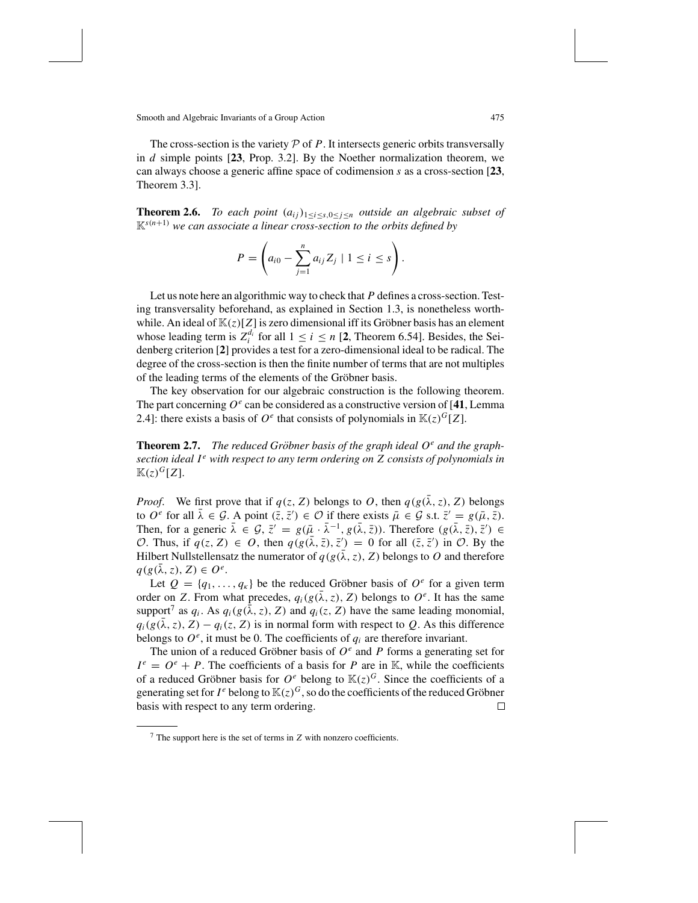The cross-section is the variety  $P$  of  $P$ . It intersects generic orbits transversally in *d* simple points [**23**, Prop. 3.2]. By the Noether normalization theorem, we can always choose a generic affine space of codimension *s* as a cross-section [**23**, Theorem 3.3].

**Theorem 2.6.** *To each point*  $(a_{ij})_{1 \leq i \leq s, 0 \leq j \leq n}$  *outside an algebraic subset of*  $K^{s(n+1)}$  *we can associate a linear cross-section to the orbits defined by* 

$$
P = \left( a_{i0} - \sum_{j=1}^{n} a_{ij} Z_j \mid 1 \leq i \leq s \right).
$$

Let us note here an algorithmic way to check that *P* defines a cross-section. Testing transversality beforehand, as explained in Section 1.3, is nonetheless worthwhile. An ideal of  $\mathbb{K}(z)[Z]$  is zero dimensional iff its Gröbner basis has an element whose leading term is  $Z_i^{d_i}$  for all  $1 \le i \le n$  [2, Theorem 6.54]. Besides, the Seidenberg criterion [**2**] provides a test for a zero-dimensional ideal to be radical. The degree of the cross-section is then the finite number of terms that are not multiples of the leading terms of the elements of the Gröbner basis.

The key observation for our algebraic construction is the following theorem. The part concerning  $O^e$  can be considered as a constructive version of [41, Lemma 2.4]: there exists a basis of  $O^e$  that consists of polynomials in  $\mathbb{K}(z)^G[Z]$ .

**Theorem 2.7.** The reduced Gröbner basis of the graph ideal  $O<sup>e</sup>$  and the graph*section ideal I <sup>e</sup> with respect to any term ordering on Z consists of polynomials in*  $K(z)^G[Z]$ .

*Proof.* We first prove that if  $q(z, Z)$  belongs to *O*, then  $q(g(\lambda, z), Z)$  belongs to  $O^e$  for all  $\bar{\lambda} \in \mathcal{G}$ . A point  $(\bar{z}, \bar{z}') \in \mathcal{O}$  if there exists  $\bar{\mu} \in \mathcal{G}$  s.t.  $\bar{z}' = g(\bar{\mu}, \bar{z})$ . Then, for a generic  $\bar{\lambda} \in \mathcal{G}, \bar{z}' = g(\bar{\mu} \cdot \bar{\lambda}^{-1}, g(\bar{\lambda}, \bar{z}))$ . Therefore  $(g(\bar{\lambda}, \bar{z}), \bar{z}') \in$ O. Thus, if  $q(z, Z) \in O$ , then  $q(g(\overline{\lambda}, \overline{z}), \overline{z}') = 0$  for all  $(\overline{z}, \overline{z}')$  in O. By the Hilbert Nullstellensatz the numerator of  $q(g(\lambda, z), Z)$  belongs to O and therefore  $q(g(\lambda, z), Z) \in O^e$ .

Let  $Q = \{q_1, \ldots, q_{\kappa}\}\$  be the reduced Gröbner basis of  $O^e$  for a given term order on *Z*. From what precedes,  $q_i(g(\lambda, z), Z)$  belongs to  $O^e$ . It has the same support<sup>7</sup> as  $q_i$ . As  $q_i(g(\lambda, z), Z)$  and  $q_i(z, Z)$  have the same leading monomial,  $q_i(g(\lambda, z), Z) - q_i(z, Z)$  is in normal form with respect to Q. As this difference belongs to  $O^e$ , it must be 0. The coefficients of  $q_i$  are therefore invariant.

The union of a reduced Gröbner basis of  $O^e$  and P forms a generating set for  $I^e = O^e + P$ . The coefficients of a basis for *P* are in K, while the coefficients of a reduced Gröbner basis for  $O^e$  belong to  $\mathbb{K}(z)^G$ . Since the coefficients of a generating set for  $I^e$  belong to  $\mathbb{K}(z)^G$ , so do the coefficients of the reduced Gröbner basis with respect to any term ordering.  $\Box$ 

<sup>7</sup> The support here is the set of terms in *Z* with nonzero coefficients.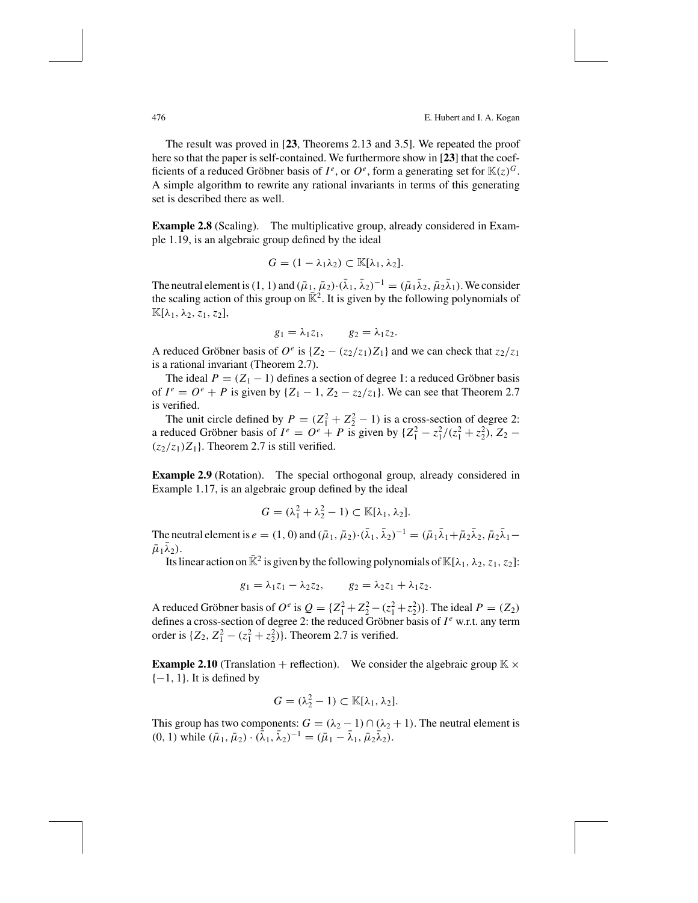The result was proved in [**23**, Theorems 2.13 and 3.5]. We repeated the proof here so that the paper is self-contained. We furthermore show in [23] that the coefficients of a reduced Gröbner basis of  $I^e$ , or  $O^e$ , form a generating set for  $\mathbb{K}(z)^G$ . A simple algorithm to rewrite any rational invariants in terms of this generating set is described there as well.

**Example 2.8** (Scaling). The multiplicative group, already considered in Example 1.19, is an algebraic group defined by the ideal

$$
G=(1-\lambda_1\lambda_2)\subset \mathbb{K}[\lambda_1,\lambda_2].
$$

The neutral element is (1, 1) and  $(\bar{\mu}_1, \bar{\mu}_2) \cdot (\bar{\lambda}_1, \bar{\lambda}_2)^{-1} = (\bar{\mu}_1 \bar{\lambda}_2, \bar{\mu}_2 \bar{\lambda}_1)$ . We consider the scaling action of this group on  $\mathbb{R}^2$ . It is given by the following polynomials of  $\mathbb{K}[\lambda_1, \lambda_2, z_1, z_2],$ 

$$
g_1 = \lambda_1 z_1, \qquad g_2 = \lambda_1 z_2.
$$

A reduced Gröbner basis of  $O^e$  is  $\{Z_2 - (z_2/z_1)Z_1\}$  and we can check that  $z_2/z_1$ is a rational invariant (Theorem 2.7).

The ideal  $P = (Z_1 - 1)$  defines a section of degree 1: a reduced Gröbner basis of  $I^e = O^e + P$  is given by  $\{Z_1 - 1, Z_2 - z_2/z_1\}$ . We can see that Theorem 2.7 is verified.

The unit circle defined by  $P = (Z_1^2 + Z_2^2 - 1)$  is a cross-section of degree 2: a reduced Gröbner basis of  $I^e = O^e + P$  is given by  $\{Z_1^2 - z_1^2/(z_1^2 + z_2^2), Z_2 - P_1\}$  $(z_2/z_1)Z_1$ . Theorem 2.7 is still verified.

**Example 2.9** (Rotation). The special orthogonal group, already considered in Example 1.17, is an algebraic group defined by the ideal

$$
G = (\lambda_1^2 + \lambda_2^2 - 1) \subset \mathbb{K}[\lambda_1, \lambda_2].
$$

The neutral element is  $e = (1, 0)$  and  $(\bar{\mu}_1, \bar{\mu}_2) \cdot (\bar{\lambda}_1, \bar{\lambda}_2)^{-1} = (\bar{\mu}_1 \bar{\lambda}_1 + \bar{\mu}_2 \bar{\lambda}_2, \bar{\mu}_2 \bar{\lambda}_1 - \bar{\lambda}_1)$  $\bar{\mu}_1\lambda_2$ ).

Its linear action on  $\mathbb{R}^2$  is given by the following polynomials of  $\mathbb{K}[\lambda_1, \lambda_2, z_1, z_2]$ :

$$
g_1 = \lambda_1 z_1 - \lambda_2 z_2, \qquad g_2 = \lambda_2 z_1 + \lambda_1 z_2.
$$

A reduced Gröbner basis of  $O^e$  is  $Q = \{Z_1^2 + Z_2^2 - (z_1^2 + z_2^2)\}\.$  The ideal  $P = (Z_2)$ defines a cross-section of degree 2: the reduced Gröbner basis of  $I^e$  w.r.t. any term order is  $\{Z_2, Z_1^2 - (z_1^2 + z_2^2)\}\)$ . Theorem 2.7 is verified.

**Example 2.10** (Translation + reflection). We consider the algebraic group  $\mathbb{K} \times$  $\{-1, 1\}$ . It is defined by

$$
G=(\lambda_2^2-1)\subset \mathbb{K}[\lambda_1,\lambda_2].
$$

This group has two components:  $G = (\lambda_2 - 1) \cap (\lambda_2 + 1)$ . The neutral element is (0, 1) while  $(\bar{\mu}_1, \bar{\mu}_2) \cdot (\bar{\lambda}_1, \bar{\lambda}_2)^{-1} = (\bar{\mu}_1 - \bar{\lambda}_1, \bar{\mu}_2 \bar{\lambda}_2).$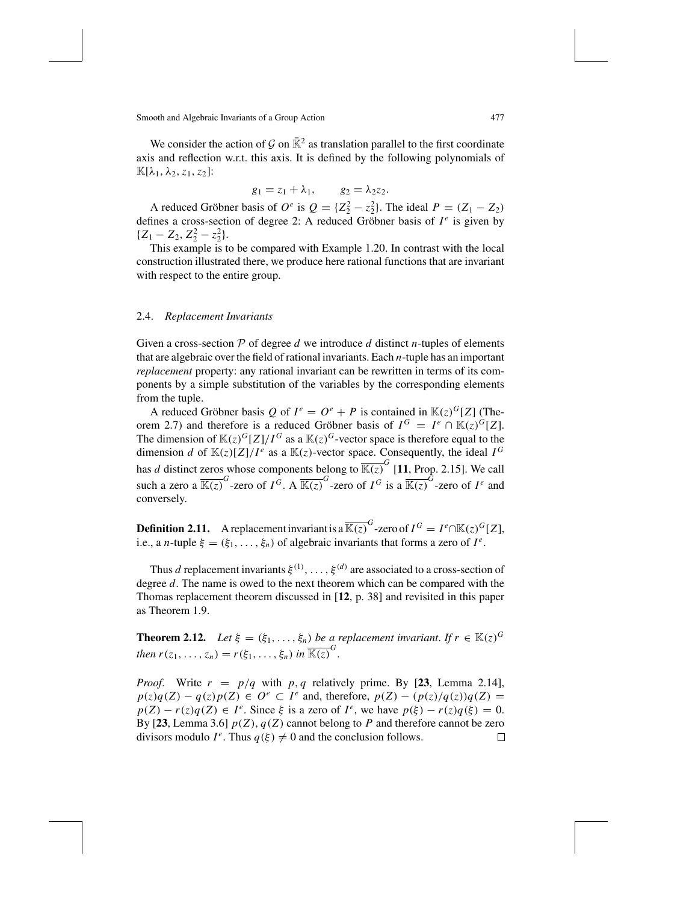We consider the action of G on  $\bar{\mathbb{K}}^2$  as translation parallel to the first coordinate axis and reflection w.r.t. this axis. It is defined by the following polynomials of  $\mathbb{K}[\lambda_1, \lambda_2, z_1, z_2]$ :

$$
g_1=z_1+\lambda_1, \qquad g_2=\lambda_2z_2.
$$

A reduced Gröbner basis of  $O^e$  is  $Q = \{Z_2^2 - z_2^2\}$ . The ideal  $P = (Z_1 - Z_2)$ defines a cross-section of degree 2: A reduced Gröbner basis of  $I^e$  is given by  ${Z_1 - Z_2, Z_2^2 - z_2^2}.$ 

This example is to be compared with Example 1.20. In contrast with the local construction illustrated there, we produce here rational functions that are invariant with respect to the entire group.

#### 2.4. *Replacement Invariants*

Given a cross-section  $P$  of degree  $d$  we introduce  $d$  distinct  $n$ -tuples of elements that are algebraic over the field of rational invariants. Each *n*-tuple has an important *replacement* property: any rational invariant can be rewritten in terms of its components by a simple substitution of the variables by the corresponding elements from the tuple.

A reduced Gröbner basis *Q* of  $I^e = O^e + P$  is contained in  $\mathbb{K}(z)^G[Z]$  (Theorem 2.7) and therefore is a reduced Gröbner basis of  $I^G = I^e \cap \mathbb{K}(z)^G[Z]$ . The dimension of  $\mathbb{K}(z)^G[Z]/I^G$  as a  $\mathbb{K}(z)^G$ -vector space is therefore equal to the dimension *d* of  $\mathbb{K}(z)[Z]/I^e$  as a  $\mathbb{K}(z)$ -vector space. Consequently, the ideal  $I^G$ has *d* distinct zeros whose components belong to  $\overline{\mathbb{K}(z)}^G$  [11, Prop. 2.15]. We call such a zero a  $\overline{\mathbb{K}(z)}^G$ -zero of  $I^G$ . A  $\overline{\mathbb{K}(z)}^G$ -zero of  $I^G$  is a  $\overline{\mathbb{K}(z)}^G$ -zero of  $I^e$  and conversely.

**Definition 2.11.** A replacement invariant is a  $\overline{\mathbb{K}(z)}^G$ -zero of  $I^G = I^e \cap \mathbb{K}(z)^G[Z]$ , i.e., a *n*-tuple  $\xi = (\xi_1, \dots, \xi_n)$  of algebraic invariants that forms a zero of  $I^e$ .

Thus *d* replacement invariants  $\xi^{(1)}, \ldots, \xi^{(d)}$  are associated to a cross-section of degree *d*. The name is owed to the next theorem which can be compared with the Thomas replacement theorem discussed in [**12**, p. 38] and revisited in this paper as Theorem 1.9.

**Theorem 2.12.** *Let*  $\xi = (\xi_1, \ldots, \xi_n)$  *be a replacement invariant. If*  $r \in \mathbb{K}(z)^G$ *then*  $r(z_1, ..., z_n) = r(\xi_1, ..., \xi_n)$  *in*  $\overline{\mathbb{K}(z)}^G$ .

*Proof.* Write  $r = p/q$  with  $p, q$  relatively prime. By [23, Lemma 2.14],  $p(z)q(Z) - q(z)p(Z) \in O^e \subset I^e$  and, therefore,  $p(Z) - (p(z)/q(z))q(Z) =$  $p(Z) - r(z)q(Z) \in I^e$ . Since  $\xi$  is a zero of  $I^e$ , we have  $p(\xi) - r(z)q(\xi) = 0$ . By [23, Lemma 3.6]  $p(Z)$ ,  $q(Z)$  cannot belong to P and therefore cannot be zero divisors modulo  $I^e$ . Thus  $q(\xi) \neq 0$  and the conclusion follows. П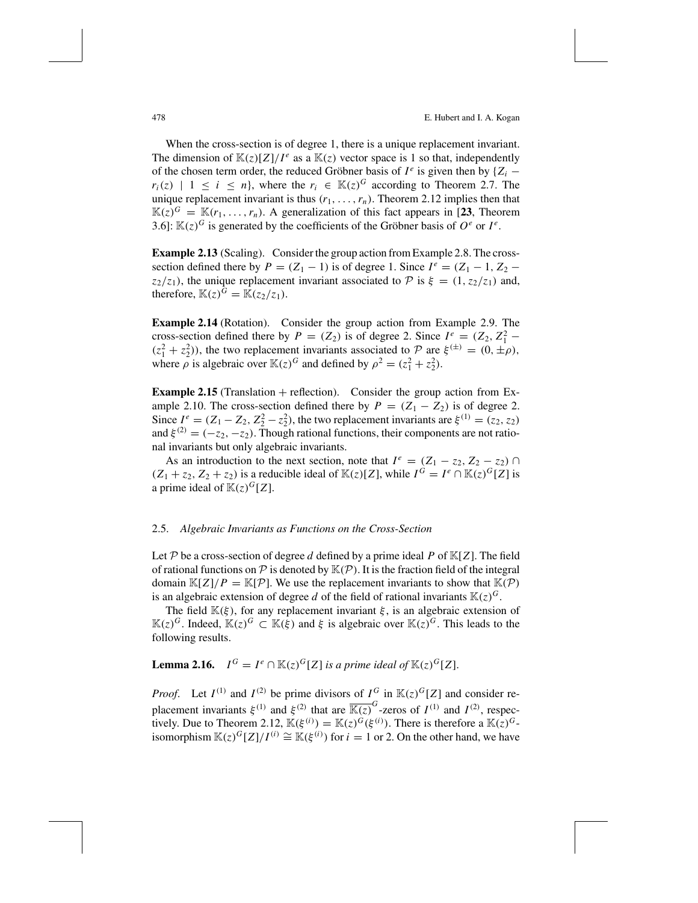When the cross-section is of degree 1, there is a unique replacement invariant. The dimension of  $\mathbb{K}(z)[Z]/I^e$  as a  $\mathbb{K}(z)$  vector space is 1 so that, independently of the chosen term order, the reduced Gröbner basis of  $I^e$  is given then by  $\{Z_i$  $r_i(z)$  | 1 ≤ *i* ≤ *n*}, where the  $r_i \text{ } \in \mathbb{K}(z)^G$  according to Theorem 2.7. The unique replacement invariant is thus  $(r_1, \ldots, r_n)$ . Theorem 2.12 implies then that  $\mathbb{K}(z)^G = \mathbb{K}(r_1, \ldots, r_n)$ . A generalization of this fact appears in [23, Theorem 3.6]:  $\mathbb{K}(z)^G$  is generated by the coefficients of the Gröbner basis of  $O^e$  or  $I^e$ .

**Example 2.13** (Scaling). Consider the group action from Example 2.8. The crosssection defined there by  $P = (Z_1 - 1)$  is of degree 1. Since  $I^e = (Z_1 - 1, Z_2$ *z*<sub>2</sub>/*z*<sub>1</sub>), the unique replacement invariant associated to  $P$  is  $\xi = (1, z_2/z_1)$  and, therefore,  $\mathbb{K}(z)^G = \mathbb{K}(z_2/z_1)$ .

**Example 2.14** (Rotation). Consider the group action from Example 2.9. The cross-section defined there by  $P = (Z_2)$  is of degree 2. Since  $I^e = (Z_2, Z_1^2 (z_1^2 + z_2^2)$ ), the two replacement invariants associated to P are  $\xi^{(\pm)} = (0, \pm \rho)$ , where  $\rho$  is algebraic over  $\mathbb{K}(z)^G$  and defined by  $\rho^2 = (z_1^2 + z_2^2)$ .

**Example 2.15** (Translation  $+$  reflection). Consider the group action from Example 2.10. The cross-section defined there by  $P = (Z_1 - Z_2)$  is of degree 2. Since  $I^e = (Z_1 - Z_2, Z_2^2 - z_2^2)$ , the two replacement invariants are  $\xi^{(1)} = (z_2, z_2)$ and  $\xi^{(2)} = (-z_2, -z_2)$ . Though rational functions, their components are not rational invariants but only algebraic invariants.

As an introduction to the next section, note that  $I^e = (Z_1 - z_2, Z_2 - z_2) \cap I$  $(Z_1 + z_2, Z_2 + z_2)$  is a reducible ideal of  $\mathbb{K}(z)[Z]$ , while  $I^G = I^e \cap \mathbb{K}(z)^G[Z]$  is a prime ideal of  $\mathbb{K}(z)^G[Z]$ .

#### 2.5. *Algebraic Invariants as Functions on the Cross-Section*

Let P be a cross-section of degree d defined by a prime ideal P of  $K[Z]$ . The field of rational functions on  $P$  is denoted by  $\mathbb{K}(P)$ . It is the fraction field of the integral domain  $\mathbb{K}[Z]/P = \mathbb{K}[P]$ . We use the replacement invariants to show that  $\mathbb{K}(P)$ is an algebraic extension of degree *d* of the field of rational invariants  $\mathbb{K}(z)^G$ .

The field  $\mathbb{K}(\xi)$ , for any replacement invariant  $\xi$ , is an algebraic extension of  $\mathbb{K}(z)^{G}$ . Indeed,  $\mathbb{K}(z)^{G}$  ⊂  $\mathbb{K}(ξ)$  and ξ is algebraic over  $\mathbb{K}(z)^{G}$ . This leads to the following results.

## **Lemma 2.16.**  $I^G = I^e \cap \mathbb{K}(z)^G[Z]$  *is a prime ideal of*  $\mathbb{K}(z)^G[Z]$ .

*Proof.* Let  $I^{(1)}$  and  $I^{(2)}$  be prime divisors of  $I^G$  in  $\mathbb{K}(z)^G[Z]$  and consider replacement invariants  $\xi^{(1)}$  and  $\xi^{(2)}$  that are  $\overline{\mathbb{K}(z)}^G$ -zeros of  $I^{(1)}$  and  $I^{(2)}$ , respectively. Due to Theorem 2.12,  $\mathbb{K}(\xi^{(i)}) = \mathbb{K}(z)^G(\xi^{(i)})$ . There is therefore a  $\mathbb{K}(z)^G$ isomorphism  $\mathbb{K}(z)^G[Z]/I^{(i)} \cong \mathbb{K}(\xi^{(i)})$  for  $i = 1$  or 2. On the other hand, we have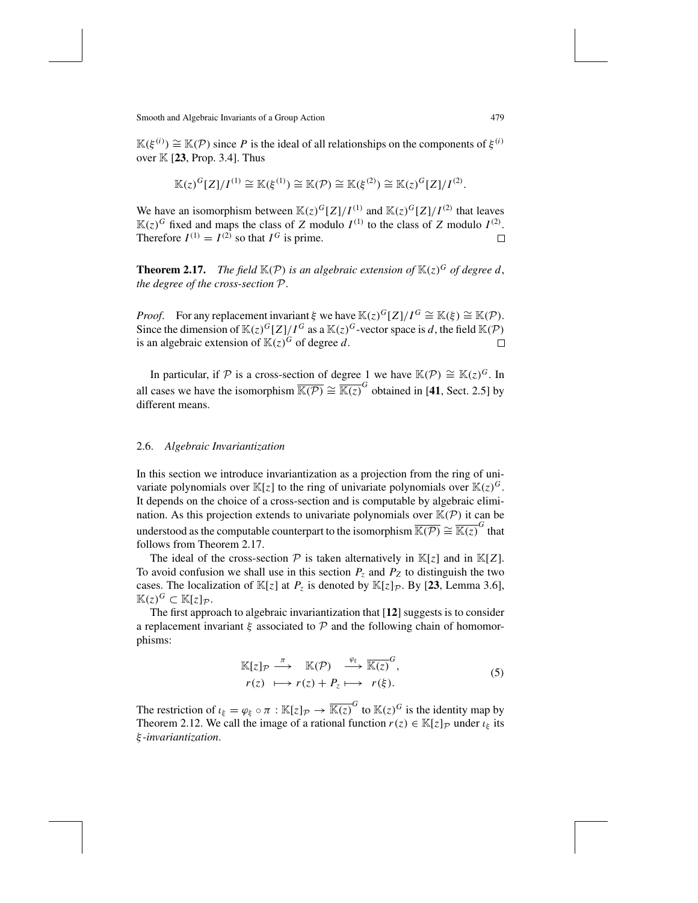$\mathbb{K}(\xi^{(i)}) \cong \mathbb{K}(\mathcal{P})$  since *P* is the ideal of all relationships on the components of  $\xi^{(i)}$ over  $K$  [23, Prop. 3.4]. Thus

$$
\mathbb{K}(z)^{G}[Z]/I^{(1)} \cong \mathbb{K}(\xi^{(1)}) \cong \mathbb{K}(\mathcal{P}) \cong \mathbb{K}(\xi^{(2)}) \cong \mathbb{K}(z)^{G}[Z]/I^{(2)}.
$$

We have an isomorphism between  $\mathbb{K}(z)^G[Z]/I^{(1)}$  and  $\mathbb{K}(z)^G[Z]/I^{(2)}$  that leaves  $\mathbb{K}(z)^G$  fixed and maps the class of *Z* modulo  $I^{(1)}$  to the class of *Z* modulo  $I^{(2)}$ . Therefore  $I^{(1)} = I^{(2)}$  so that  $I^G$  is prime.  $\Box$ 

**Theorem 2.17.** *The field*  $\mathbb{K}(P)$  *is an algebraic extension of*  $\mathbb{K}(z)^G$  *of degree d, the degree of the cross-section* P.

*Proof.* For any replacement invariant  $\xi$  we have  $\mathbb{K}(z)^G[Z]/I^G \cong \mathbb{K}(\xi) \cong \mathbb{K}(\mathcal{P})$ . Since the dimension of  $\mathbb{K}(z)^G[Z]/I^G$  as a  $\mathbb{K}(z)^G$ -vector space is *d*, the field  $\mathbb{K}(P)$  is an algebraic extension of  $\mathbb{K}(z)^G$  of degree *d*. is an algebraic extension of  $K(z)^G$  of degree *d*.

In particular, if P is a cross-section of degree 1 we have  $\mathbb{K}(\mathcal{P}) \cong \mathbb{K}(z)^G$ . In all cases we have the isomorphism  $\overline{\mathbb{K}(\mathcal{P})} \cong \overline{\mathbb{K}(z)}^G$  obtained in [41, Sect. 2.5] by different means.

## 2.6. *Algebraic Invariantization*

In this section we introduce invariantization as a projection from the ring of univariate polynomials over  $\mathbb{K}[z]$  to the ring of univariate polynomials over  $\mathbb{K}(z)^G$ . It depends on the choice of a cross-section and is computable by algebraic elimination. As this projection extends to univariate polynomials over  $\mathbb{K}(\mathcal{P})$  it can be understood as the computable counterpart to the isomorphism  $\overline{\mathbb{K}(\mathcal{P})} \cong \overline{\mathbb{K}(z)}^G$  that follows from Theorem 2.17.

The ideal of the cross-section  $P$  is taken alternatively in  $\mathbb{K}[z]$  and in  $\mathbb{K}[Z]$ . To avoid confusion we shall use in this section  $P_z$  and  $P_z$  to distinguish the two cases. The localization of  $\mathbb{K}[z]$  at  $P_z$  is denoted by  $\mathbb{K}[z]\mathbb{R}$ . By [23, Lemma 3.6],  $\mathbb{K}(z)^{G}$  ⊂  $\mathbb{K}[z]_{\mathcal{P}}$ .

The first approach to algebraic invariantization that [**12**] suggests is to consider a replacement invariant  $\xi$  associated to  $\mathcal P$  and the following chain of homomorphisms:

$$
\mathbb{K}[z]_p \stackrel{\pi}{\longrightarrow} \mathbb{K}(\mathcal{P}) \stackrel{\varphi_{\xi}}{\longrightarrow} \overline{\mathbb{K}(z)}^G,
$$
  
\n
$$
r(z) \longmapsto r(z) + P_z \longmapsto r(\xi).
$$
 (5)

The restriction of  $\iota_{\xi} = \varphi_{\xi} \circ \pi : \mathbb{K}[z]_{\mathcal{P}} \to \overline{\mathbb{K}(z)}^G$  to  $\mathbb{K}(z)^G$  is the identity map by Theorem 2.12. We call the image of a rational function  $r(z) \in \mathbb{K}[z]_p$  under  $\iota_{\xi}$  its ξ *-invariantization*.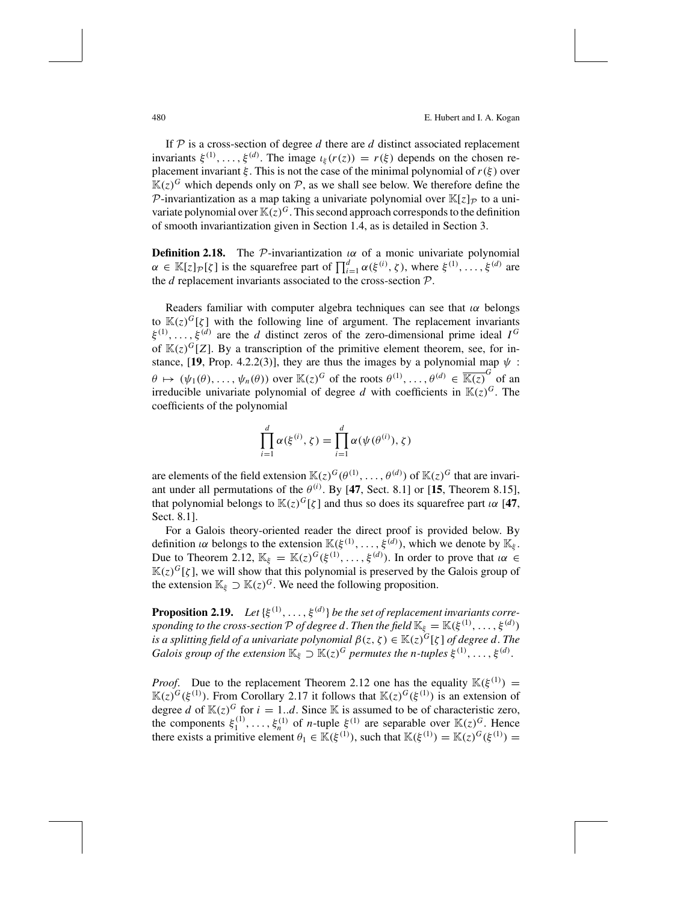If  $P$  is a cross-section of degree  $d$  there are  $d$  distinct associated replacement invariants  $\xi^{(1)}, \ldots, \xi^{(d)}$ . The image  $\iota_{\xi}(r(z)) = r(\xi)$  depends on the chosen replacement invariant  $\xi$ . This is not the case of the minimal polynomial of  $r(\xi)$  over  $K(z)^{G}$  which depends only on P, as we shall see below. We therefore define the P-invariantization as a map taking a univariate polynomial over  $\mathbb{K}[z]_P$  to a univariate polynomial over  $\mathbb{K}(z)^G$ . This second approach corresponds to the definition of smooth invariantization given in Section 1.4, as is detailed in Section 3.

**Definition 2.18.** The P-invariantization  $\alpha$  of a monic univariate polynomial  $\alpha \in \mathbb{K}[z]\mathcal{P}[\zeta]$  is the squarefree part of  $\prod_{i=1}^{d} \alpha(\xi^{(i)}, \zeta)$ , where  $\xi^{(1)}, \ldots, \xi^{(d)}$  are the *d* replacement invariants associated to the cross-section P.

Readers familiar with computer algebra techniques can see that  $\alpha$  belongs to  $K(z)^{G}[\zeta]$  with the following line of argument. The replacement invariants  $\xi^{(1)}, \ldots, \xi^{(d)}$  are the *d* distinct zeros of the zero-dimensional prime ideal  $I^G$ of  $K(z)^{G}[Z]$ . By a transcription of the primitive element theorem, see, for instance, [19, Prop. 4.2.2(3)], they are thus the images by a polynomial map  $\psi$ :  $\theta \mapsto (\psi_1(\theta), \dots, \psi_n(\theta))$  over  $\mathbb{K}(z)^G$  of the roots  $\theta^{(1)}, \dots, \theta^{(d)} \in \overline{\mathbb{K}(z)}^G$  of an irreducible univariate polynomial of degree *d* with coefficients in  $K(z)^G$ . The coefficients of the polynomial

$$
\prod_{i=1}^d \alpha(\xi^{(i)}, \zeta) = \prod_{i=1}^d \alpha(\psi(\theta^{(i)}), \zeta)
$$

are elements of the field extension  $\mathbb{K}(z)^G(\theta^{(1)}, \dots, \theta^{(d)})$  of  $\mathbb{K}(z)^G$  that are invariant under all permutations of the  $\theta^{(i)}$ . By [47, Sect. 8.1] or [15, Theorem 8.15], that polynomial belongs to  $\mathbb{K}(z)^G[\zeta]$  and thus so does its squarefree part  $i\alpha$  [47, Sect. 8.1].

For a Galois theory-oriented reader the direct proof is provided below. By definition  $\iota\alpha$  belongs to the extension  $\mathbb{K}(\xi^{(1)}, \ldots, \xi^{(d)})$ , which we denote by  $\mathbb{K}_{\xi}$ . Due to Theorem 2.12,  $\mathbb{K}_{\xi} = \mathbb{K}(z)^{G}(\xi^{(1)}, \ldots, \xi^{(d)})$ . In order to prove that  $i\alpha \in \mathbb{K}$  $K(z)^{G}[\zeta]$ , we will show that this polynomial is preserved by the Galois group of the extension  $\mathbb{K}_{\xi} \supset \mathbb{K}(z)^{G}$ . We need the following proposition.

**Proposition 2.19.** Let  $\{\xi^{(1)}, \ldots, \xi^{(d)}\}$  be the set of replacement invariants corre*sponding to the cross-section*  $P$  *of degree d*. *Then the field*  $\mathbb{K}_{\xi} = \mathbb{K}(\xi^{(1)}, \ldots, \xi^{(d)})$ *is a splitting field of a univariate polynomial*  $\beta(z, \zeta) \in \mathbb{K}(z)^G[\zeta]$  *of degree d*. The *Galois group of the extension*  $\mathbb{K}_{\xi} \supset \mathbb{K}(z)^G$  *permutes the n*-*tuples*  $\xi^{(1)}, \ldots, \xi^{(d)}$ .

*Proof.* Due to the replacement Theorem 2.12 one has the equality  $\mathbb{K}(\xi^{(1)}) =$  $\mathbb{K}(z)^G(\xi^{(1)})$ . From Corollary 2.17 it follows that  $\mathbb{K}(z)^G(\xi^{(1)})$  is an extension of degree *d* of  $\mathbb{K}(z)^G$  for  $i = 1...d$ . Since K is assumed to be of characteristic zero, the components  $\xi_1^{(1)}, \ldots, \xi_n^{(1)}$  of *n*-tuple  $\xi^{(1)}$  are separable over  $\mathbb{K}(z)^G$ . Hence there exists a primitive element  $\theta_1 \in \mathbb{K}(\xi^{(1)})$ , such that  $\mathbb{K}(\xi^{(1)}) = \mathbb{K}(z)^G(\xi^{(1)}) =$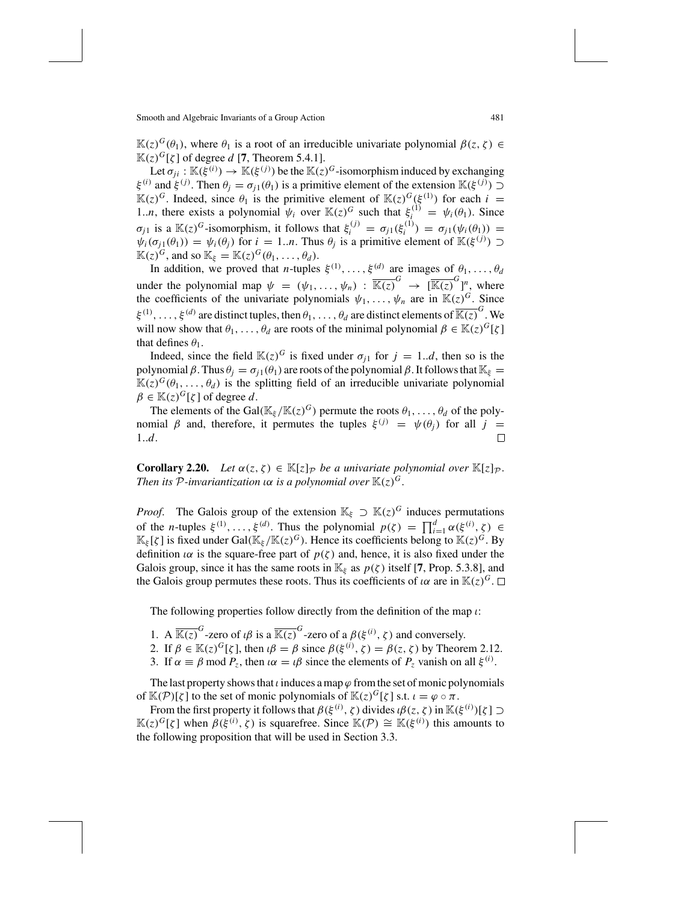$\mathbb{K}(z)^{G}(\theta_1)$ , where  $\theta_1$  is a root of an irreducible univariate polynomial  $β(z, ζ) ∈$  $\mathbb{K}(z)^G[\zeta]$  of degree *d* [7, Theorem 5.4.1].

Let  $\sigma_{ji} : \mathbb{K}(\xi^{(i)}) \to \mathbb{K}(\xi^{(j)})$  be the  $\mathbb{K}(z)^G$ -isomorphism induced by exchanging  $ξ<sup>(i)</sup>$  and *ξ*<sup>(*j*)</sup>. Then  $θ<sub>j</sub> = σ<sub>j1</sub>(θ<sub>1</sub>)$  is a primitive element of the extension K(*ξ*<sup>(*j*)</sup>) ⊃  $\mathbb{K}(z)^G$ . Indeed, since  $\theta_1$  is the primitive element of  $\mathbb{K}(z)^G(\xi^{(1)})$  for each  $i =$ 1.*n*, there exists a polynomial  $\psi_i$  over  $\mathbb{K}(z)^G$  such that  $\xi_i^{(1)} = \psi_i(\theta_1)$ . Since  $\sigma_{j1}$  is a  $\mathbb{K}(z)^G$ -isomorphism, it follows that  $\xi_i^{(j)} = \sigma_{j1}(\xi_i^{(1)}) = \sigma_{j1}(\psi_i(\theta_i)) =$  $\psi_i(\sigma_{j1}(\theta_1)) = \psi_i(\theta_j)$  for  $i = 1..n$ . Thus  $\theta_j$  is a primitive element of  $\mathbb{K}(\xi^{(j)}) \supset$  $\mathbb{K}(z)^G$ , and so  $\mathbb{K}_{\xi} = \mathbb{K}(z)^G(\theta_1, \dots, \theta_d)$ .

In addition, we proved that *n*-tuples  $\xi^{(1)}, \ldots, \xi^{(d)}$  are images of  $\theta_1, \ldots, \theta_d$ under the polynomial map  $\psi = (\psi_1, \dots, \psi_n) : \overline{\mathbb{K}(z)}^G \to [\overline{\mathbb{K}(z)}^G]_A^n$ , where the coefficients of the univariate polynomials  $\psi_1, \ldots, \psi_n$  are in  $\mathbb{K}(z)^G$ . Since  $\xi^{(1)}, \ldots, \xi^{(d)}$  are distinct tuples, then  $\theta_1, \ldots, \theta_d$  are distinct elements of  $\overline{\mathbb{K}(z)}^G$ . We will now show that  $\theta_1, \ldots, \theta_d$  are roots of the minimal polynomial  $\beta \in \mathbb{K}(z)^G[\zeta]$ that defines  $\theta_1$ .

Indeed, since the field  $\mathbb{K}(z)^G$  is fixed under  $\sigma_{j1}$  for  $j = 1..d$ , then so is the polynomial β. Thus  $\theta_j = \sigma_{j1}(\theta_1)$  are roots of the polynomial β. It follows that  $\mathbb{K}_{\xi} =$  $\mathbb{K}(z)^G(\theta_1,\ldots,\theta_d)$  is the splitting field of an irreducible univariate polynomial  $\beta \in \mathbb{K}(z)^G[\zeta]$  of degree *d*.

The elements of the Gal( $\mathbb{K}_{\xi}/\mathbb{K}(z)^{G}$ ) permute the roots  $\theta_1, \ldots, \theta_d$  of the polynomial β and, therefore, it permutes the tuples  $\xi^{(j)} = \psi(\theta_j)$  for all  $j = 1...d$ . 1..*d*.

**Corollary 2.20.** *Let*  $\alpha(z, \zeta) \in \mathbb{K}[z]_P$  *be a univariate polynomial over*  $\mathbb{K}[z]_P$ *. Then its*  $P$ -*invariantization*  $\alpha$  *is*  $a$  *polynomial over*  $\mathbb{K}(z)^G$ .

*Proof.* The Galois group of the extension  $\mathbb{K}_{\xi} \supset \mathbb{K}(z)^{G}$  induces permutations of the *n*-tuples  $\xi^{(1)}, \ldots, \xi^{(d)}$ . Thus the polynomial  $p(\zeta) = \prod_{i=1}^d \alpha(\xi^{(i)}, \zeta) \in \mathbb{R}^d$  $\mathbb{K}_{\xi}[\zeta]$  is fixed under Gal( $\mathbb{K}_{\xi}/\mathbb{K}(z)^{G}$ ). Hence its coefficients belong to  $\mathbb{K}(z)^{G}$ . By definition  $\alpha$  is the square-free part of  $p(\zeta)$  and, hence, it is also fixed under the Galois group, since it has the same roots in  $\mathbb{K}_{\xi}$  as  $p(\zeta)$  itself [7, Prop. 5.3.8], and the Galois group permutes these roots. Thus its coefficients of  $\alpha$  are in  $\mathbb{K}(z)^G$ .  $\Box$ 

The following properties follow directly from the definition of the map  $\iota$ :

- 1. A  $\overline{\mathbb{K}(z)}^G$ -zero of  $\iota\beta$  is a  $\overline{\mathbb{K}(z)}^G$ -zero of a  $\beta(\xi^{(i)}, \zeta)$  and conversely.
- 2. If  $\beta \in \mathbb{K}(z)^G[\zeta]$ , then  $\iota\beta = \beta$  since  $\beta(\xi^{(i)}, \zeta) = \beta(z, \zeta)$  by Theorem 2.12.
- 3. If  $\alpha \equiv \beta \mod P_z$ , then  $\iota \alpha = \iota \beta$  since the elements of  $P_z$  vanish on all  $\xi^{(i)}$ .

The last property shows that  $\iota$  induces a map  $\varphi$  from the set of monic polynomials of  $\mathbb{K}(\mathcal{P})[\zeta]$  to the set of monic polynomials of  $\mathbb{K}(z)^G[\zeta]$  s.t.  $\iota = \varphi \circ \pi$ .

From the first property it follows that  $\beta(\xi^{(i)}, \zeta)$  divides  $\iota\beta(z, \zeta)$  in  $\mathbb{K}(\xi^{(i)})[\zeta] \supset$  $\mathbb{K}(z)^G[\zeta]$  when  $\beta(\xi^{(i)}, \zeta)$  is squarefree. Since  $\mathbb{K}(\mathcal{P}) \cong \mathbb{K}(\xi^{(i)})$  this amounts to the following proposition that will be used in Section 3.3.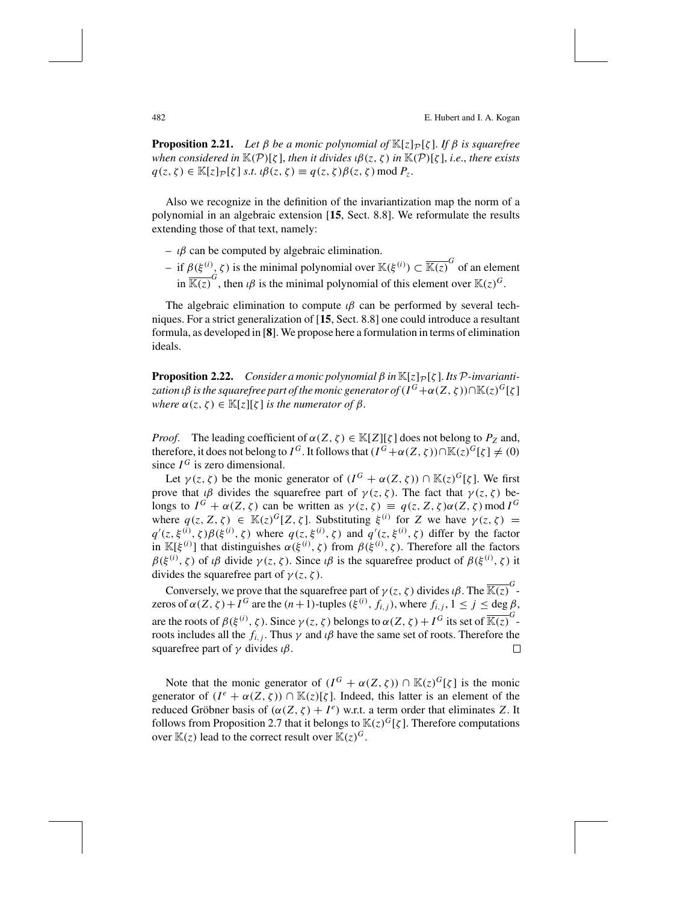**Proposition 2.21.** *Let*  $\beta$  *be a monic polynomial of*  $\mathbb{K}[z]_P[\zeta]$ *. If*  $\beta$  *is squarefree when considered in*  $\mathbb{K}(P)[\zeta]$ *, then it divides*  $\iota\beta(z,\zeta)$  *in*  $\mathbb{K}(P)[\zeta]$ *, i.e., there exists*  $q(z, \zeta) \in \mathbb{K}[z]_P[\zeta] \text{ s.t. } \iota \beta(z, \zeta) \equiv q(z, \zeta) \beta(z, \zeta) \text{ mod } P_z.$ 

Also we recognize in the definition of the invariantization map the norm of a polynomial in an algebraic extension [**15**, Sect. 8.8]. We reformulate the results extending those of that text, namely:

- $-$  *ιβ* can be computed by algebraic elimination.
- $-$  if  $β(ξ<sup>(i)</sup>, ζ)$  is the minimal polynomial over  $\mathbb{K}(ξ<sup>(i)</sup>) ⊂ \overline{\mathbb{K}(z)}^G$  of an element  $\overline{\mathbb{K}(z)}^G$ , then  $\iota\beta$  is the minimal polynomial of this element over  $\mathbb{K}(z)^G$ .

The algebraic elimination to compute  $\iota\beta$  can be performed by several techniques. For a strict generalization of [**15**, Sect. 8.8] one could introduce a resultant formula, as developed in [**8**]. We propose here a formulation in terms of elimination ideals.

**Proposition 2.22.** *Consider a monic polynomial*  $\beta$  *in*  $\mathbb{K}[z]_P[\zeta]$ *. Its*  $\mathcal{P}$ *-invariantization ιβ is the squarefree part of the monic generator of*  $(I^G + \alpha(Z, \zeta)) \cap \mathbb{K}(z)^G[\zeta]$ *where*  $\alpha(z, \zeta) \in \mathbb{K}[z][\zeta]$  *is the numerator of*  $\beta$ .

*Proof.* The leading coefficient of  $\alpha(Z, \zeta) \in \mathbb{K}[Z][\zeta]$  does not belong to  $P_Z$  and, therefore, it does not belong to *I*<sup>G</sup>. It follows that  $(I^G + \alpha(Z, \zeta)) \cap \mathbb{K}(z)^G[\zeta] \neq (0)$ since  $I^G$  is zero dimensional.

Let  $\gamma(z, \zeta)$  be the monic generator of  $(I^G + \alpha(Z, \zeta)) \cap \mathbb{K}(z)^G[\zeta]$ . We first prove that  $\iota\beta$  divides the squarefree part of  $\gamma(z,\zeta)$ . The fact that  $\gamma(z,\zeta)$  belongs to  $I^G + \alpha(Z, \zeta)$  can be written as  $\gamma(z, \zeta) \equiv q(z, Z, \zeta) \alpha(Z, \zeta) \text{ mod } I^G$ where  $q(z, Z, \zeta) \in \mathbb{K}(z)^G[Z, \zeta]$ . Substituting  $\xi^{(i)}$  for *Z* we have  $\gamma(z, \zeta) =$  $q'(z,\xi^{(i)},\zeta)\beta(\xi^{(i)},\zeta)$  where  $q(z,\xi^{(i)},\zeta)$  and  $q'(z,\xi^{(i)},\zeta)$  differ by the factor in  $\mathbb{K}[\xi^{(i)}]$  that distinguishes  $\alpha(\xi^{(i)}, \zeta)$  from  $\beta(\xi^{(i)}, \zeta)$ . Therefore all the factors  $\beta(\xi^{(i)}, \zeta)$  of  $\iota\beta$  divide  $\gamma(z, \zeta)$ . Since  $\iota\beta$  is the squarefree product of  $\beta(\xi^{(i)}, \zeta)$  it divides the squarefree part of  $\gamma(z, \zeta)$ .

Conversely, we prove that the squarefree part of  $\gamma(z, \zeta)$  divides  $\iota \beta$ . The  $\overline{\mathbb{K}(z)}^G$ zeros of  $\alpha(Z, \zeta) + I^G$  are the  $(n+1)$ -tuples  $(\xi^{(i)}, f_{i,j})$ , where  $f_{i,j}$ ,  $1 \le j \le \deg \beta$ , are the roots of  $\beta(\xi^{(i)}, \zeta)$ . Since  $\gamma(z, \zeta)$  belongs to  $\alpha(Z, \zeta) + I^G$  its set of  $\overline{\mathbb{K}(z)}^G$ roots includes all the  $f_{i,j}$ . Thus  $\gamma$  and  $\iota\beta$  have the same set of roots. Therefore the squarefree part of  $\gamma$  divides  $\iota\beta$ .  $\Box$ 

Note that the monic generator of  $(I^G + \alpha(Z, \zeta)) \cap \mathbb{K}(z)^G[\zeta]$  is the monic generator of  $(I^e + \alpha(Z, \zeta)) \cap \mathbb{K}(z)[\zeta]$ . Indeed, this latter is an element of the reduced Gröbner basis of  $(α(Z, ζ) + I<sup>e</sup>)$  w.r.t. a term order that eliminates *Z*. It follows from Proposition 2.7 that it belongs to  $\mathbb{K}(z)^G[\zeta]$ . Therefore computations over  $\mathbb{K}(z)$  lead to the correct result over  $\mathbb{K}(z)^G$ .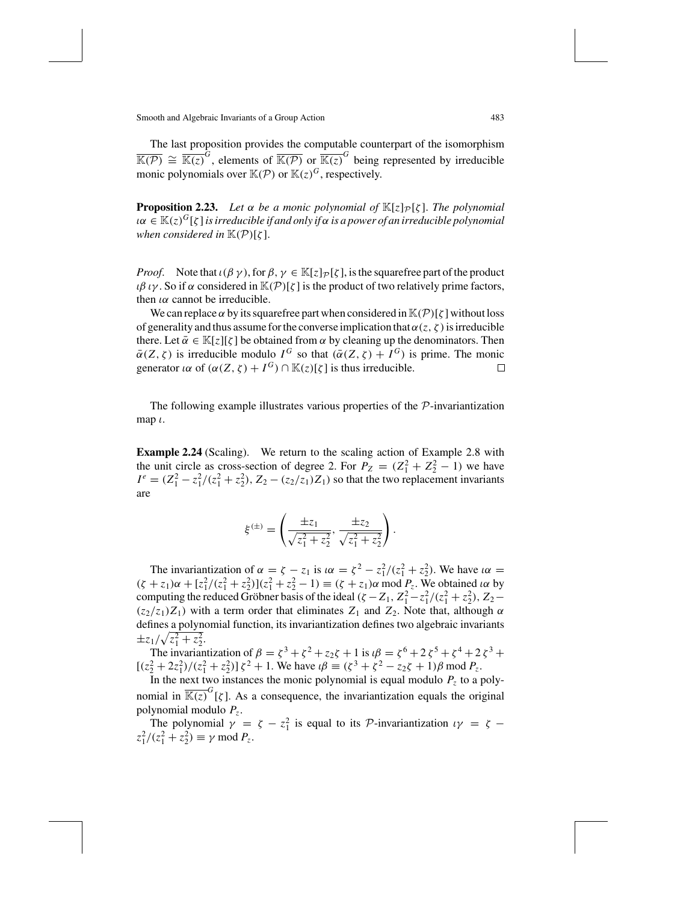The last proposition provides the computable counterpart of the isomorphism  $\overline{\mathbb{K}(\mathcal{P})} \cong \overline{\mathbb{K}(z)}^G$ , elements of  $\overline{\mathbb{K}(\mathcal{P})}$  or  $\overline{\mathbb{K}(z)}^G$  being represented by irreducible monic polynomials over  $\mathbb{K}(\mathcal{P})$  or  $\mathbb{K}(z)^G$ , respectively.

**Proposition 2.23.** Let  $\alpha$  be a monic polynomial of  $\mathbb{K}[z]_P[\zeta]$ . The polynomial  $\alpha \in K(z)^G[\zeta]$  *is irreducible if and only if*  $\alpha$  *is a power of an irreducible polynomial when considered in*  $\mathbb{K}(P)[\zeta]$ .

*Proof.* Note that  $\iota(\beta \gamma)$ , for  $\beta, \gamma \in \mathbb{K}[z]_{\mathcal{P}}[\zeta]$ , is the squarefree part of the product ιβ ιγ. So if α considered in  $\mathbb{K}(\mathcal{P})[\zeta]$  is the product of two relatively prime factors, then  $\iota\alpha$  cannot be irreducible.

We can replace  $\alpha$  by its squarefree part when considered in  $\mathbb{K}(\mathcal{P})[\zeta]$  without loss of generality and thus assume for the converse implication that  $\alpha(z, \zeta)$  is irreducible there. Let  $\bar{\alpha} \in \mathbb{K}[z][\zeta]$  be obtained from  $\alpha$  by cleaning up the denominators. Then  $\bar{\alpha}(Z, \zeta)$  is irreducible modulo  $I^G$  so that  $(\bar{\alpha}(Z, \zeta) + I^G)$  is prime. The monic generator  $\alpha$  of  $(\alpha(Z, \zeta) + I^G) \cap \mathbb{K}(z)[\zeta]$  is thus irreducible. generator *ια* of  $(\alpha(Z, \zeta) + I^G) \cap \mathbb{K}(z)[\zeta]$  is thus irreducible.

The following example illustrates various properties of the  $\mathcal{P}$ -invariantization map  $\iota$ .

**Example 2.24** (Scaling). We return to the scaling action of Example 2.8 with the unit circle as cross-section of degree 2. For  $P_Z = (Z_1^2 + Z_2^2 - 1)$  we have  $I^e = (Z_1^2 - z_1^2/(z_1^2 + z_2^2), Z_2 - (z_2/z_1)Z_1)$  so that the two replacement invariants are

$$
\xi^{(\pm)} = \left(\frac{\pm z_1}{\sqrt{z_1^2 + z_2^2}}, \frac{\pm z_2}{\sqrt{z_1^2 + z_2^2}}\right).
$$

The invariantization of  $\alpha = \zeta - z_1$  is  $\iota \alpha = \zeta^2 - z_1^2/(z_1^2 + z_2^2)$ . We have  $\iota \alpha =$  $(\zeta + z_1)\alpha + [z_1^2/(z_1^2 + z_2^2)](z_1^2 + z_2^2 - 1) \equiv (\zeta + z_1)\alpha \mod P_z$ . We obtained  $\alpha \text{ by }$ computing the reduced Gröbner basis of the ideal  $(\zeta - Z_1, Z_1^2 - z_1^2/(z_1^2 + z_2^2), Z_2 (z_2/z_1)Z_1$ ) with a term order that eliminates  $Z_1$  and  $Z_2$ . Note that, although  $\alpha$ defines a polynomial function, its invariantization defines two algebraic invariants  $\pm z_1/\sqrt{z_1^2+z_2^2}$ .

The invariantization of  $\beta = \zeta^3 + \zeta^2 + z_2\zeta + 1$  is  $\iota\beta = \zeta^6 + 2\zeta^5 + \zeta^4 + 2\zeta^3 +$  $[(z_2^2 + 2z_1^2)/(z_1^2 + z_2^2)] \zeta^2 + 1$ . We have  $i\beta \equiv (\zeta^3 + \zeta^2 - z_2\zeta + 1)\beta \mod P_z$ .

In the next two instances the monic polynomial is equal modulo  $P<sub>z</sub>$  to a polynomial in  $\overline{\mathbb{K}(z)}^G[\zeta]$ . As a consequence, the invariantization equals the original polynomial modulo *Pz*.

The polynomial  $\gamma = \zeta - z_1^2$  is equal to its P-invariantization  $\iota \gamma = \zeta$  $z_1^2/(z_1^2 + z_2^2) \equiv \gamma \mod P_z.$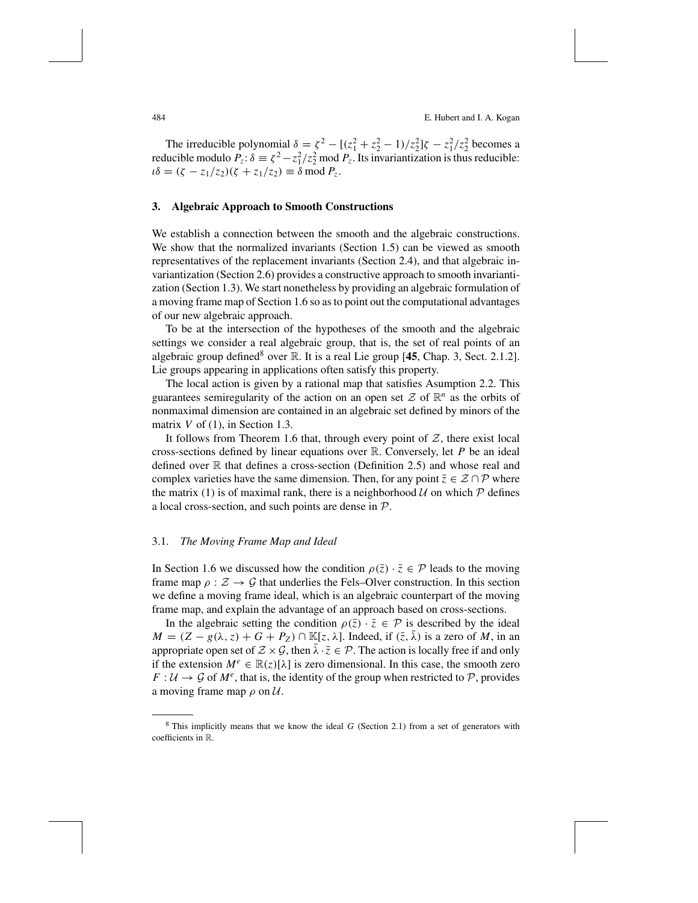484 E. Hubert and I. A. Kogan

The irreducible polynomial  $\delta = \zeta^2 - [(\zeta_1^2 + \zeta_2^2 - 1)/\zeta_2^2] \zeta - \zeta_1^2/\zeta_2^2$  becomes a reducible modulo  $P_z$ :  $\delta \equiv \zeta^2 - z_1^2/z_2^2 \mod P_z$ . Its invariantization is thus reducible:  $\iota \delta = (\zeta - z_1/z_2)(\zeta + z_1/z_2) \equiv \delta \mod P_z.$ 

#### **3. Algebraic Approach to Smooth Constructions**

We establish a connection between the smooth and the algebraic constructions. We show that the normalized invariants (Section 1.5) can be viewed as smooth representatives of the replacement invariants (Section 2.4), and that algebraic invariantization (Section 2.6) provides a constructive approach to smooth invariantization (Section 1.3). We start nonetheless by providing an algebraic formulation of a moving frame map of Section 1.6 so asto point out the computational advantages of our new algebraic approach.

To be at the intersection of the hypotheses of the smooth and the algebraic settings we consider a real algebraic group, that is, the set of real points of an algebraic group defined<sup>8</sup> over R. It is a real Lie group [45, Chap. 3, Sect. 2.1.2]. Lie groups appearing in applications often satisfy this property.

The local action is given by a rational map that satisfies Asumption 2.2. This guarantees semiregularity of the action on an open set  $\mathcal Z$  of  $\mathbb R^n$  as the orbits of nonmaximal dimension are contained in an algebraic set defined by minors of the matrix *V* of (1), in Section 1.3.

It follows from Theorem 1.6 that, through every point of  $Z$ , there exist local cross-sections defined by linear equations over R. Conversely, let *P* be an ideal defined over  $\mathbb R$  that defines a cross-section (Definition 2.5) and whose real and complex varieties have the same dimension. Then, for any point  $\bar{z} \in \mathcal{Z} \cap \mathcal{P}$  where the matrix (1) is of maximal rank, there is a neighborhood  $U$  on which  $\mathcal P$  defines a local cross-section, and such points are dense in P.

#### 3.1. *The Moving Frame Map and Ideal*

In Section 1.6 we discussed how the condition  $\rho(\bar{z}) \cdot \bar{z} \in \mathcal{P}$  leads to the moving frame map  $\rho : \mathcal{Z} \to \mathcal{G}$  that underlies the Fels–Olver construction. In this section we define a moving frame ideal, which is an algebraic counterpart of the moving frame map, and explain the advantage of an approach based on cross-sections.

In the algebraic setting the condition  $\rho(\bar{z}) \cdot \bar{z} \in \mathcal{P}$  is described by the ideal  $M = (Z - g(\lambda, z) + G + P_Z) \cap \mathbb{K}[z, \lambda]$ . Indeed, if  $(\overline{z}, \overline{\lambda})$  is a zero of *M*, in an appropriate open set of  $\mathcal{Z} \times \mathcal{G}$ , then  $\bar{\lambda} \cdot \bar{z} \in \mathcal{P}$ . The action is locally free if and only if the extension  $M^e \in \mathbb{R}(z)[\lambda]$  is zero dimensional. In this case, the smooth zero  $F: U \to \mathcal{G}$  of  $M^e$ , that is, the identity of the group when restricted to  $\mathcal{P}$ , provides a moving frame map  $\rho$  on  $\mathcal{U}$ .

<sup>8</sup> This implicitly means that we know the ideal *G* (Section 2.1) from a set of generators with coefficients in R.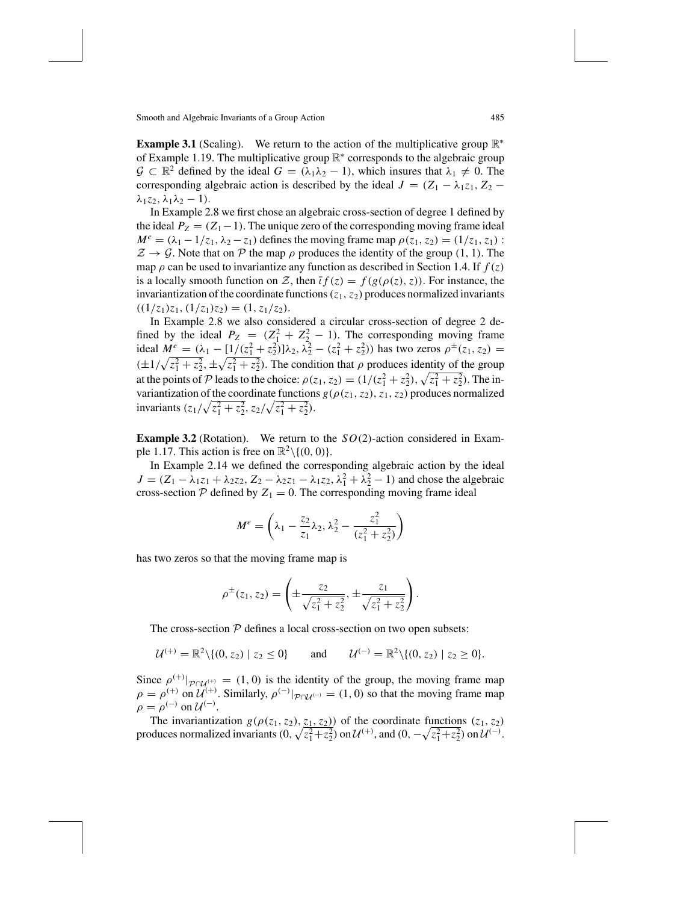**Example 3.1** (Scaling). We return to the action of the multiplicative group  $\mathbb{R}^*$ of Example 1.19. The multiplicative group R<sup>∗</sup> corresponds to the algebraic group  $\mathcal{G} \subset \mathbb{R}^2$  defined by the ideal  $G = (\lambda_1 \lambda_2 - 1)$ , which insures that  $\lambda_1 \neq 0$ . The corresponding algebraic action is described by the ideal  $J = (Z_1 - \lambda_1 z_1, Z_2 \lambda_1 z_2, \lambda_1 \lambda_2 - 1$ ).

In Example 2.8 we first chose an algebraic cross-section of degree 1 defined by the ideal  $P_Z = (Z_1 - 1)$ . The unique zero of the corresponding moving frame ideal  $M^e = (\lambda_1 - 1/z_1, \lambda_2 - z_1)$  defines the moving frame map  $\rho(z_1, z_2) = (1/z_1, z_1)$ :  $\mathcal{Z} \rightarrow \mathcal{G}$ . Note that on  $\mathcal P$  the map  $\rho$  produces the identity of the group (1, 1). The map  $\rho$  can be used to invariantize any function as described in Section 1.4. If  $f(z)$ is a locally smooth function on Z, then  $\overline{i} f(z) = f(g(\rho(z), z))$ . For instance, the invariantization of the coordinate functions  $(z_1, z_2)$  produces normalized invariants  $((1/z<sub>1</sub>)z<sub>1</sub>, (1/z<sub>1</sub>)z<sub>2</sub>) = (1, z<sub>1</sub>/z<sub>2</sub>).$ 

In Example 2.8 we also considered a circular cross-section of degree 2 defined by the ideal  $P_Z = (Z_1^2 + Z_2^2 - 1)$ . The corresponding moving frame ideal  $M^e = (\lambda_1 - [1/(\zeta_1^2 + \zeta_2^2)]\lambda_2, \lambda_2^2 - (\zeta_1^2 + \zeta_2^2))$  has two zeros  $\rho^{\pm}(z_1, z_2) =$  $(\pm 1/\sqrt{z_1^2 + z_2^2}, \pm \sqrt{z_1^2 + z_2^2})$ . The condition that  $\rho$  produces identity of the group at the points of P leads to the choice:  $\rho(z_1, z_2) = (1/(z_1^2 + z_2^2), \sqrt{z_1^2 + z_2^2})$ . The invariantization of the coordinate functions  $g(\rho(z_1, z_2), z_1, z_2)$  produces normalized invariants  $(z_1/\sqrt{z_1^2 + z_2^2}, z_2/\sqrt{z_1^2 + z_2^2}).$ 

**Example 3.2** (Rotation). We return to the *SO*(2)-action considered in Example 1.17. This action is free on  $\mathbb{R}^2 \setminus \{(0, 0)\}.$ 

In Example 2.14 we defined the corresponding algebraic action by the ideal  $J = (Z_1 - \lambda_1 z_1 + \lambda_2 z_2, Z_2 - \lambda_2 z_1 - \lambda_1 z_2, \lambda_1^2 + \lambda_2^2 - 1)$  and chose the algebraic cross-section  $P$  defined by  $Z_1 = 0$ . The corresponding moving frame ideal

$$
M^{e} = \left(\lambda_{1} - \frac{z_{2}}{z_{1}}\lambda_{2}, \lambda_{2}^{2} - \frac{z_{1}^{2}}{(z_{1}^{2} + z_{2}^{2})}\right)
$$

has two zeros so that the moving frame map is

$$
\rho^{\pm}(z_1, z_2) = \left(\pm \frac{z_2}{\sqrt{z_1^2 + z_2^2}}, \pm \frac{z_1}{\sqrt{z_1^2 + z_2^2}}\right).
$$

The cross-section  $P$  defines a local cross-section on two open subsets:

$$
\mathcal{U}^{(+)} = \mathbb{R}^2 \setminus \{ (0, z_2) \mid z_2 \leq 0 \} \quad \text{and} \quad \mathcal{U}^{(-)} = \mathbb{R}^2 \setminus \{ (0, z_2) \mid z_2 \geq 0 \}.
$$

Since  $\rho^{(+)}|_{\mathcal{P} \cap \mathcal{U}^{(+)}} = (1, 0)$  is the identity of the group, the moving frame map  $\rho = \rho^{(+)}$  on  $\mathcal{U}^{(+)}$ . Similarly,  $\rho^{(-)}|_{\mathcal{P} \cap \mathcal{U}^{(-)}} = (1,0)$  so that the moving frame map  $\rho = \rho^{(-)}$  on  $\mathcal{U}^{(-)}$ .

The invariantization  $g(\rho(z_1, z_2), z_1, z_2)$ ) of the coordinate functions  $(z_1, z_2)$ produces normalized invariants  $(0, \sqrt{z_1^2 + z_2^2})$  on  $\mathcal{U}^{(+)}$ , and  $(0, -\sqrt{z_1^2 + z_2^2})$  on  $\mathcal{U}^{(-)}$ .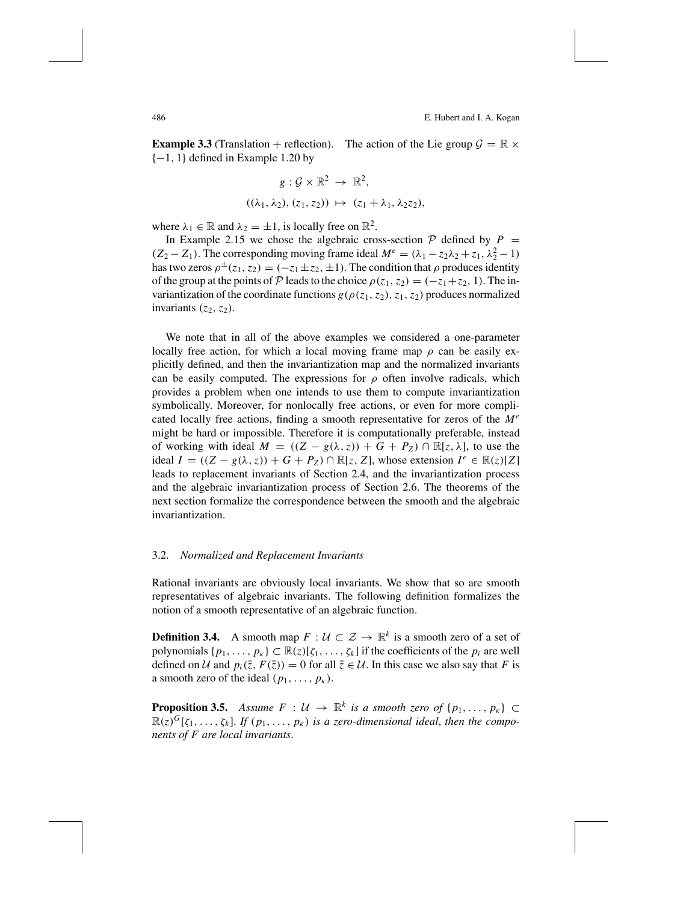**Example 3.3** (Translation + reflection). The action of the Lie group  $\mathcal{G} = \mathbb{R} \times$  $\{-1, 1\}$  defined in Example 1.20 by

$$
g: \mathcal{G} \times \mathbb{R}^2 \to \mathbb{R}^2,
$$
  

$$
((\lambda_1, \lambda_2), (z_1, z_2)) \mapsto (z_1 + \lambda_1, \lambda_2 z_2),
$$

where  $\lambda_1 \in \mathbb{R}$  and  $\lambda_2 = \pm 1$ , is locally free on  $\mathbb{R}^2$ .

In Example 2.15 we chose the algebraic cross-section  $P$  defined by  $P =$  $(Z_2 - Z_1)$ . The corresponding moving frame ideal  $M^e = (\lambda_1 - z_2\lambda_2 + z_1, \lambda_2^2 - 1)$ has two zeros  $\rho^{\pm}(z_1, z_2) = (-z_1 \pm z_2, \pm 1)$ . The condition that  $\rho$  produces identity of the group at the points of P leads to the choice  $\rho(z_1, z_2) = (-z_1 + z_2, 1)$ . The invariantization of the coordinate functions  $g(\rho(z_1, z_2), z_1, z_2)$  produces normalized invariants  $(z_2, z_2)$ .

We note that in all of the above examples we considered a one-parameter locally free action, for which a local moving frame map  $\rho$  can be easily explicitly defined, and then the invariantization map and the normalized invariants can be easily computed. The expressions for  $\rho$  often involve radicals, which provides a problem when one intends to use them to compute invariantization symbolically. Moreover, for nonlocally free actions, or even for more complicated locally free actions, finding a smooth representative for zeros of the *M<sup>e</sup>* might be hard or impossible. Therefore it is computationally preferable, instead of working with ideal  $M = ((Z - g(\lambda, z)) + G + P_Z) \cap \mathbb{R}[z, \lambda]$ , to use the ideal  $I = ((Z - g(\lambda, z)) + G + P_z) \cap \mathbb{R}[z, Z]$ , whose extension  $I^e \in \mathbb{R}(z)[Z]$ leads to replacement invariants of Section 2.4, and the invariantization process and the algebraic invariantization process of Section 2.6. The theorems of the next section formalize the correspondence between the smooth and the algebraic invariantization.

#### 3.2. *Normalized and Replacement Invariants*

Rational invariants are obviously local invariants. We show that so are smooth representatives of algebraic invariants. The following definition formalizes the notion of a smooth representative of an algebraic function.

**Definition 3.4.** A smooth map  $F: \mathcal{U} \subset \mathcal{Z} \to \mathbb{R}^k$  is a smooth zero of a set of polynomials  $\{p_1, \ldots, p_k\} \subset \mathbb{R}(z)[\zeta_1, \ldots, \zeta_k]$  if the coefficients of the  $p_i$  are well defined on U and  $p_i(\overline{z}, F(\overline{z})) = 0$  for all  $\overline{z} \in U$ . In this case we also say that F is a smooth zero of the ideal  $(p_1, \ldots, p_k)$ .

**Proposition 3.5.** *Assume*  $F: U \rightarrow \mathbb{R}^k$  *is a smooth zero of*  $\{p_1, \ldots, p_k\} \subset$  $\mathbb{R}(z)^G[\zeta_1,\ldots,\zeta_k]$ . If  $(p_1,\ldots,p_k)$  is a zero-dimensional ideal, then the compo*nents of F are local invariants*.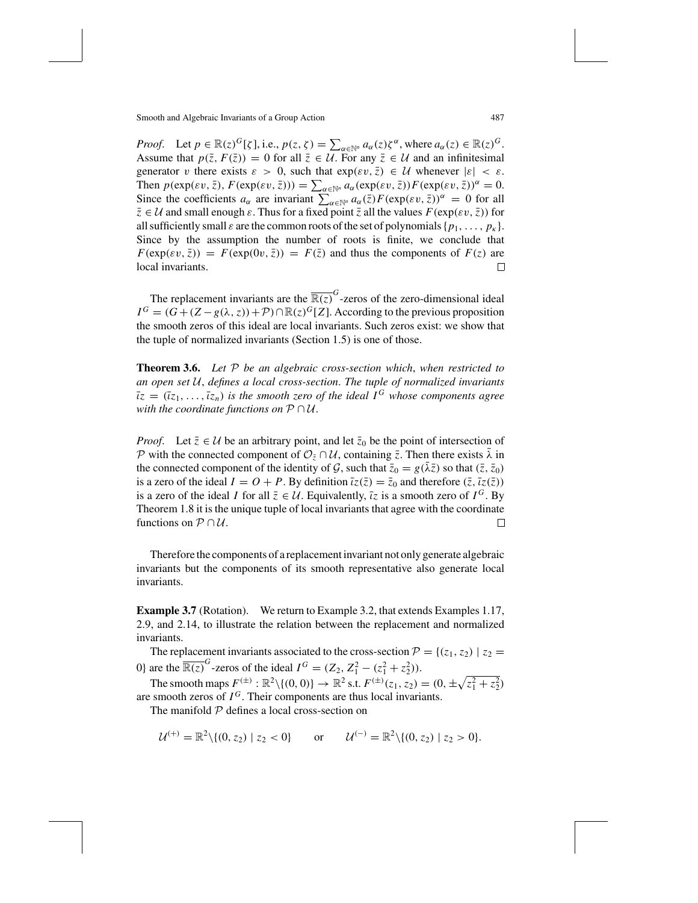*Proof.* Let  $p \in \mathbb{R}(z)^G[\zeta]$ , i.e.,  $p(z, \zeta) = \sum_{\alpha \in \mathbb{N}^n} a_\alpha(z) \zeta^\alpha$ , where  $a_\alpha(z) \in \mathbb{R}(z)^G$ . Assume that  $p(\bar{z}, F(\bar{z})) = 0$  for all  $\bar{z} \in \mathcal{U}$ . For any  $\bar{z} \in \mathcal{U}$  and an infinitesimal generator v there exists  $\varepsilon > 0$ , such that  $\exp(\varepsilon v, \overline{z}) \in \mathcal{U}$  whenever  $|\varepsilon| < \varepsilon$ . Then  $p(\exp(\varepsilon v, \bar{z}), F(\exp(\varepsilon v, \bar{z}))) = \sum_{\alpha \in \mathbb{N}^n} a_{\alpha}(\exp(\varepsilon v, \bar{z})) F(\exp(\varepsilon v, \bar{z}))^{\alpha} = 0.$ Since the coefficients  $a_{\alpha}$  are invariant  $\sum_{\alpha \in \mathbb{N}^n} a_{\alpha}(\bar{z}) F(\exp(\varepsilon v, \bar{z}))^{\alpha} = 0$  for all  $\bar{z} \in \mathcal{U}$  and small enough  $\varepsilon$ . Thus for a fixed point  $\bar{z}$  all the values  $F(\exp(\varepsilon v, \bar{z}))$  for all sufficiently small  $\varepsilon$  are the common roots of the set of polynomials  $\{p_1, \ldots, p_k\}$ . Since by the assumption the number of roots is finite, we conclude that  $F(\exp(\varepsilon v, \bar{z})) = F(\exp(0v, \bar{z})) = F(\bar{z})$  and thus the components of  $F(z)$  are local invariants. local invariants.

The replacement invariants are the  $\overline{\mathbb{R}(z)}^G$ -zeros of the zero-dimensional ideal  $I^G = (G + (Z - g(\lambda, z)) + \mathcal{P}) \cap \mathbb{R}(z)^G[Z]$ . According to the previous proposition the smooth zeros of this ideal are local invariants. Such zeros exist: we show that the tuple of normalized invariants (Section 1.5) is one of those.

**Theorem 3.6.** *Let* P *be an algebraic cross-section which*, *when restricted to an open set* U, *defines a local cross-section*. *The tuple of normalized invariants*  $\overline{\iota}z = (\overline{\iota}z_1, \ldots, \overline{\iota}z_n)$  *is the smooth zero of the ideal*  $I^G$  *whose components agree with the coordinate functions on* P ∩ U.

*Proof.* Let  $\bar{z} \in \mathcal{U}$  be an arbitrary point, and let  $\bar{z}_0$  be the point of intersection of P with the connected component of  $\mathcal{O}_{\bar{z}} \cap \mathcal{U}$ , containing  $\bar{z}$ . Then there exists  $\bar{\lambda}$  in the connected component of the identity of G, such that  $\bar{z}_0 = g(\bar{\lambda}\bar{z})$  so that  $(\bar{z}, \bar{z}_0)$ is a zero of the ideal  $I = O + P$ . By definition  $\overline{i}z(\overline{z}) = \overline{z}_0$  and therefore  $(\overline{z}, \overline{i}z(\overline{z}))$ is a zero of the ideal *I* for all  $\overline{z} \in \mathcal{U}$ . Equivalently,  $\overline{z}z$  is a smooth zero of  $I^G$ . By Theorem 1.8 it is the unique tuple of local invariants that agree with the coordinate functions on  $P \cap U$ .  $\Box$ 

Therefore the components of a replacement invariant not only generate algebraic invariants but the components of its smooth representative also generate local invariants.

**Example 3.7** (Rotation). We return to Example 3.2, that extends Examples 1.17, 2.9, and 2.14, to illustrate the relation between the replacement and normalized invariants.

The replacement invariants associated to the cross-section  $\mathcal{P} = \{(z_1, z_2) | z_2 =$ 0} are the  $\overline{\mathbb{R}(z)}^G$ -zeros of the ideal  $I^G = (Z_2, Z_1^2 - (z_1^2 + z_2^2)).$ 

The smooth maps  $F^{(\pm)} : \mathbb{R}^2 \setminus \{(0, 0)\} \to \mathbb{R}^2$  s.t.  $F^{(\pm)}(z_1, z_2) = (0, \pm \sqrt{z_1^2 + z_2^2})$ are smooth zeros of  $I^G$ . Their components are thus local invariants.

The manifold  $P$  defines a local cross-section on

$$
\mathcal{U}^{(+)} = \mathbb{R}^2 \setminus \{ (0, z_2) \mid z_2 < 0 \} \quad \text{or} \quad \mathcal{U}^{(-)} = \mathbb{R}^2 \setminus \{ (0, z_2) \mid z_2 > 0 \}.
$$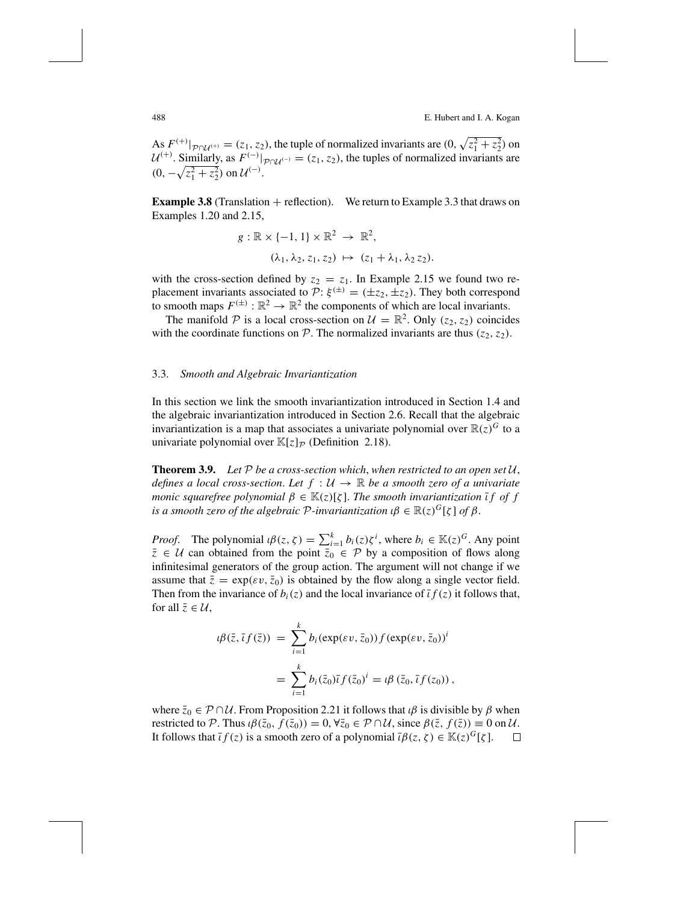488 E. Hubert and I. A. Kogan

As  $F^{(+)}|_{P \cap U^{(+)}} = (z_1, z_2)$ , the tuple of normalized invariants are  $(0, \sqrt{z_1^2 + z_2^2})$  on  $\mathcal{U}^{(+)}$ . Similarly, as  $F^{(-)}|_{\mathcal{P} \cap \mathcal{U}^{(-)}} = (z_1, z_2)$ , the tuples of normalized invariants are  $(0, -\sqrt{z_1^2 + z_2^2})$  on  $\mathcal{U}^{(-)}$ .

**Example 3.8** (Translation  $+$  reflection). We return to Example 3.3 that draws on Examples 1.20 and 2.15,

$$
g: \mathbb{R} \times \{-1, 1\} \times \mathbb{R}^2 \to \mathbb{R}^2,
$$
  

$$
(\lambda_1, \lambda_2, z_1, z_2) \mapsto (z_1 + \lambda_1, \lambda_2 z_2).
$$

with the cross-section defined by  $z_2 = z_1$ . In Example 2.15 we found two replacement invariants associated to  $\mathcal{P}$ :  $\xi^{(\pm)} = (\pm z_2, \pm z_2)$ . They both correspond to smooth maps  $F^{(\pm)} : \mathbb{R}^2 \to \mathbb{R}^2$  the components of which are local invariants.

The manifold P is a local cross-section on  $\mathcal{U} = \mathbb{R}^2$ . Only ( $z_2$ ,  $z_2$ ) coincides with the coordinate functions on  $P$ . The normalized invariants are thus  $(z_2, z_2)$ .

## 3.3. *Smooth and Algebraic Invariantization*

In this section we link the smooth invariantization introduced in Section 1.4 and the algebraic invariantization introduced in Section 2.6. Recall that the algebraic invariantization is a map that associates a univariate polynomial over  $\mathbb{R}(z)^G$  to a univariate polynomial over  $\mathbb{K}[z]_{\mathcal{P}}$  (Definition 2.18).

**Theorem 3.9.** Let  $P$  be a cross-section which, when restricted to an open set  $U$ , *defines a local cross-section. Let*  $f : U \rightarrow \mathbb{R}$  *be a smooth zero of a univariate monic squarefree polynomial*  $\beta \in \mathbb{K}(z)[\zeta]$ *. The smooth invariantization*  $\overline{\iota}$  *f of f is a smooth zero of the algebraic*  $P$ *-invariantization*  $\iota \beta \in \mathbb{R}(z)^G[\zeta]$  *of*  $\beta$ .

*Proof.* The polynomial  $i\beta(z, \zeta) = \sum_{i=1}^{k} b_i(z) \zeta^i$ , where  $b_i \in \mathbb{K}(z)^G$ . Any point  $\overline{z} \in U$  can obtained from the point  $\overline{z}_0 \in \mathcal{P}$  by a composition of flows along infinitesimal generators of the group action. The argument will not change if we assume that  $\bar{z} = \exp(\varepsilon v, \bar{z}_0)$  is obtained by the flow along a single vector field. Then from the invariance of  $b_i(z)$  and the local invariance of  $\overline{i}f(z)$  it follows that, for all  $\bar{z} \in \mathcal{U}$ ,

$$
\iota \beta(\bar{z}, \bar{t}f(\bar{z})) = \sum_{i=1}^{k} b_i (\exp(\varepsilon v, \bar{z}_0)) f (\exp(\varepsilon v, \bar{z}_0))^i
$$
  
= 
$$
\sum_{i=1}^{k} b_i (\bar{z}_0) \bar{t} f(\bar{z}_0)^i = \iota \beta (\bar{z}_0, \bar{t}f(z_0)),
$$

where  $\bar{z}_0 \in \mathcal{P} \cap \mathcal{U}$ . From Proposition 2.21 it follows that  $\iota \beta$  is divisible by  $\beta$  when restricted to P. Thus  $i\beta(\bar{z}_0, f(\bar{z}_0)) = 0$ ,  $\forall \bar{z}_0 \in \mathcal{P} \cap \mathcal{U}$ , since  $\beta(\bar{z}, f(\bar{z})) \equiv 0$  on  $\mathcal{U}$ .<br>It follows that  $\bar{t}f(z)$  is a smooth zero of a polynomial  $\bar{t}\beta(z, \zeta) \in \mathbb{K}(z)^G[\zeta]$ . □ It follows that  $\bar{t}f(z)$  is a smooth zero of a polynomial  $\bar{t}\beta(z,\zeta) \in \mathbb{K}(z)^G[\zeta]$ .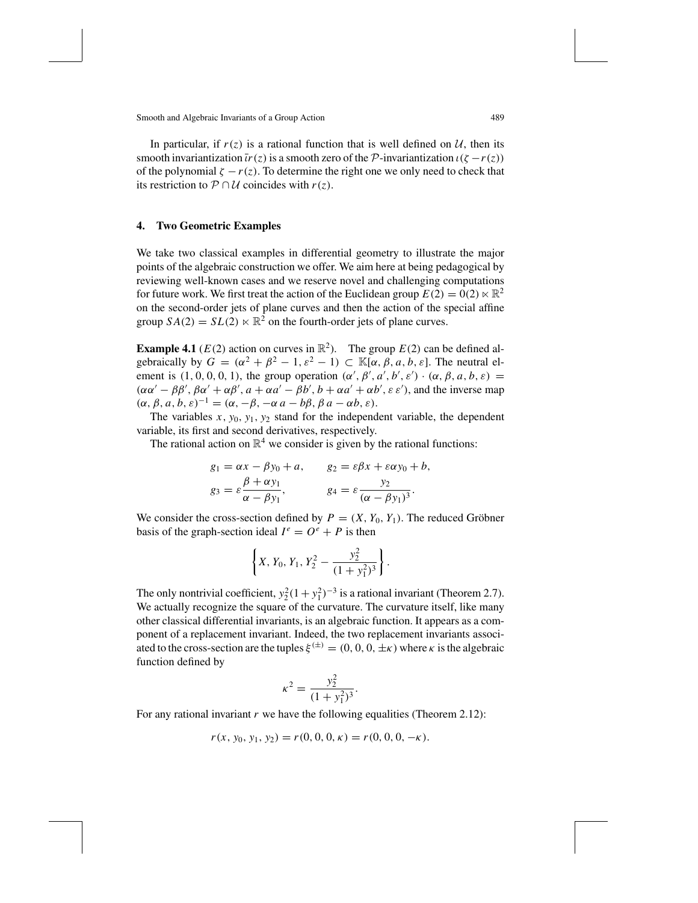In particular, if  $r(z)$  is a rational function that is well defined on  $U$ , then its smooth invariantization  $\overline{i}r(z)$  is a smooth zero of the P-invariantization  $\iota(\zeta - r(z))$ of the polynomial  $\zeta - r(z)$ . To determine the right one we only need to check that its restriction to  $P \cap U$  coincides with  $r(z)$ .

## **4. Two Geometric Examples**

We take two classical examples in differential geometry to illustrate the major points of the algebraic construction we offer. We aim here at being pedagogical by reviewing well-known cases and we reserve novel and challenging computations for future work. We first treat the action of the Euclidean group  $E(2) = 0(2) \ltimes \mathbb{R}^2$ on the second-order jets of plane curves and then the action of the special affine group  $SA(2) = SL(2) \ltimes \mathbb{R}^2$  on the fourth-order jets of plane curves.

**Example 4.1** ( $E(2)$  action on curves in  $\mathbb{R}^2$ ). The group  $E(2)$  can be defined algebraically by  $G = (\alpha^2 + \beta^2 - 1, \varepsilon^2 - 1) \subset \mathbb{K}[\alpha, \beta, a, b, \varepsilon]$ . The neutral element is  $(1, 0, 0, 0, 1)$ , the group operation  $(\alpha', \beta', \alpha', b', \varepsilon') \cdot (\alpha, \beta, a, b, \varepsilon) =$  $(\alpha\alpha' - \beta\beta', \beta\alpha' + \alpha\beta', a + \alpha a' - \beta b', b + \alpha a' + \alpha b', \varepsilon \varepsilon'$ , and the inverse map  $(\alpha, \beta, a, b, \varepsilon)^{-1} = (\alpha, -\beta, -\alpha a - b\beta, \beta a - \alpha b, \varepsilon).$ 

The variables  $x$ ,  $y_0$ ,  $y_1$ ,  $y_2$  stand for the independent variable, the dependent variable, its first and second derivatives, respectively.

The rational action on  $\mathbb{R}^4$  we consider is given by the rational functions:

$$
g_1 = \alpha x - \beta y_0 + a,
$$
  $g_2 = \varepsilon \beta x + \varepsilon \alpha y_0 + b,$   
\n $g_3 = \varepsilon \frac{\beta + \alpha y_1}{\alpha - \beta y_1},$   $g_4 = \varepsilon \frac{y_2}{(\alpha - \beta y_1)^3}.$ 

We consider the cross-section defined by  $P = (X, Y_0, Y_1)$ . The reduced Gröbner basis of the graph-section ideal  $I^e = O^e + P$  is then

$$
\left\{X, Y_0, Y_1, Y_2^2 - \frac{y_2^2}{(1 + y_1^2)^3}\right\}.
$$

The only nontrivial coefficient,  $y_2^2(1+y_1^2)^{-3}$  is a rational invariant (Theorem 2.7). We actually recognize the square of the curvature. The curvature itself, like many other classical differential invariants, is an algebraic function. It appears as a component of a replacement invariant. Indeed, the two replacement invariants associated to the cross-section are the tuples  $\xi^{(\pm)} = (0, 0, 0, \pm \kappa)$  where  $\kappa$  is the algebraic function defined by

$$
\kappa^2 = \frac{y_2^2}{(1+y_1^2)^3}.
$$

For any rational invariant  $r$  we have the following equalities (Theorem 2.12):

$$
r(x, y_0, y_1, y_2) = r(0, 0, 0, \kappa) = r(0, 0, 0, -\kappa).
$$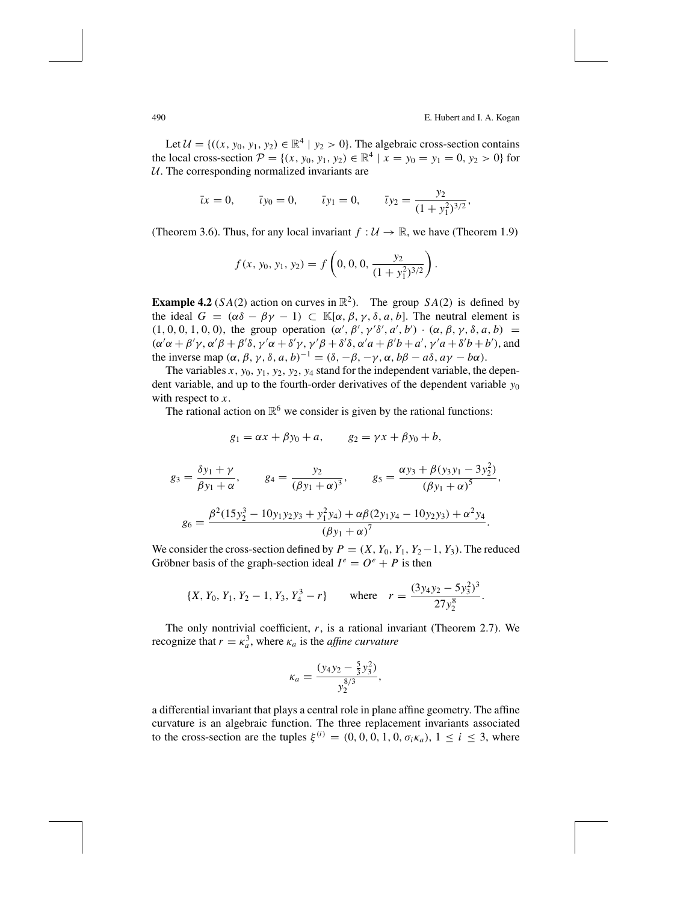Let  $\mathcal{U} = \{((x, y_0, y_1, y_2) \in \mathbb{R}^4 \mid y_2 > 0\}$ . The algebraic cross-section contains the local cross-section  $\mathcal{P} = \{(x, y_0, y_1, y_2) \in \mathbb{R}^4 \mid x = y_0 = y_1 = 0, y_2 > 0\}$  for  $U$ . The corresponding normalized invariants are

$$
\bar{\iota}x = 0
$$
,  $\bar{\iota}y_0 = 0$ ,  $\bar{\iota}y_1 = 0$ ,  $\bar{\iota}y_2 = \frac{y_2}{(1 + y_1^2)^{3/2}}$ ,

(Theorem 3.6). Thus, for any local invariant  $f : U \to \mathbb{R}$ , we have (Theorem 1.9)

$$
f(x, y_0, y_1, y_2) = f\left(0, 0, 0, \frac{y_2}{(1 + y_1^2)^{3/2}}\right).
$$

**Example 4.2** (*SA*(2) action on curves in  $\mathbb{R}^2$ ). The group *SA*(2) is defined by the ideal  $G = (\alpha \delta - \beta \gamma - 1) \subset \mathbb{K}[\alpha, \beta, \gamma, \delta, a, b]$ . The neutral element is  $(1, 0, 0, 1, 0, 0)$ , the group operation  $(\alpha', \beta', \gamma' \delta', a', b') \cdot (\alpha, \beta, \gamma, \delta, a, b)$  $(\alpha'\alpha + \beta'\gamma, \alpha'\beta + \beta'\delta, \gamma'\alpha + \delta'\gamma, \gamma'\beta + \delta'\delta, \alpha'a + \beta'b + a', \gamma'a + \delta'b + b')$ , and the inverse map  $(\alpha, \beta, \gamma, \delta, a, b)^{-1} = (\delta, -\beta, -\gamma, \alpha, b\beta - a\delta, a\gamma - b\alpha)$ .

The variables  $x$ ,  $y_0$ ,  $y_1$ ,  $y_2$ ,  $y_2$ ,  $y_4$  stand for the independent variable, the dependent variable, and up to the fourth-order derivatives of the dependent variable *y*<sup>0</sup> with respect to *x*.

The rational action on  $\mathbb{R}^6$  we consider is given by the rational functions:

$$
g_1 = \alpha x + \beta y_0 + a,
$$
  $g_2 = \gamma x + \beta y_0 + b,$ 

$$
g_3 = \frac{\delta y_1 + \gamma}{\beta y_1 + \alpha}, \qquad g_4 = \frac{y_2}{(\beta y_1 + \alpha)^3}, \qquad g_5 = \frac{\alpha y_3 + \beta (y_3 y_1 - 3 y_2^2)}{(\beta y_1 + \alpha)^5},
$$

$$
g_6 = \frac{\beta^2 (15 y_2^3 - 10 y_1 y_2 y_3 + y_1^2 y_4) + \alpha \beta (2 y_1 y_4 - 10 y_2 y_3) + \alpha^2 y_4}{(\beta y_1 + \alpha)^7}.
$$

We consider the cross-section defined by  $P = (X, Y_0, Y_1, Y_2 - 1, Y_3)$ . The reduced Gröbner basis of the graph-section ideal  $I^e = O^e + P$  is then

$$
\{X, Y_0, Y_1, Y_2 - 1, Y_3, Y_4^3 - r\} \quad \text{where} \quad r = \frac{(3y_4y_2 - 5y_3^2)^3}{27y_2^8}.
$$

The only nontrivial coefficient, *r*, is a rational invariant (Theorem 2.7). We recognize that  $r = \kappa_a^3$ , where  $\kappa_a$  is the *affine curvature* 

$$
\kappa_a = \frac{(y_4 y_2 - \frac{5}{3} y_3^2)}{y_2^{8/3}},
$$

a differential invariant that plays a central role in plane affine geometry. The affine curvature is an algebraic function. The three replacement invariants associated to the cross-section are the tuples  $\xi^{(i)} = (0, 0, 0, 1, 0, \sigma_i \kappa_a), 1 \le i \le 3$ , where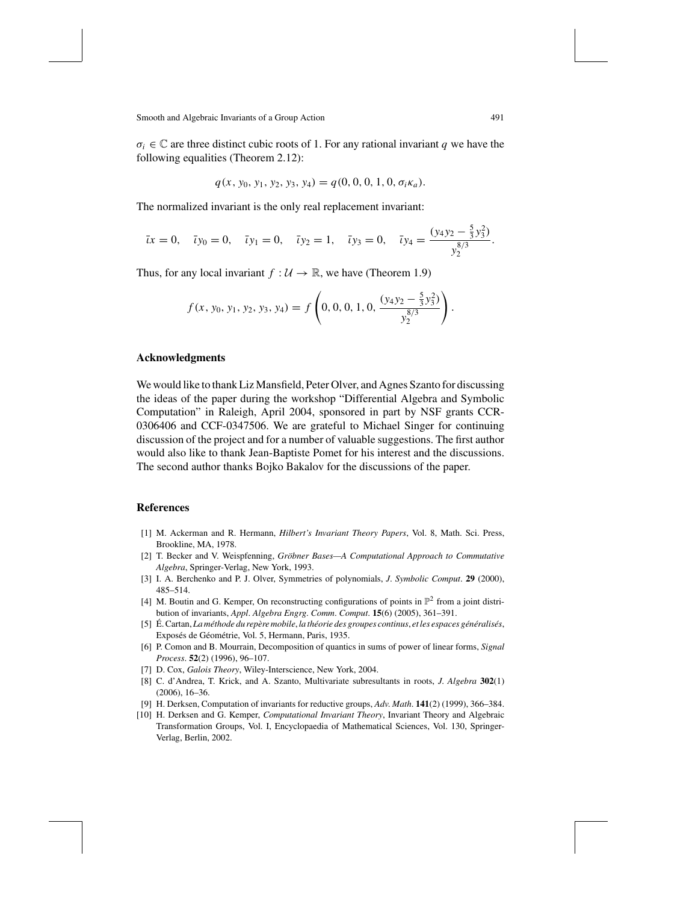$\sigma_i \in \mathbb{C}$  are three distinct cubic roots of 1. For any rational invariant *q* we have the following equalities (Theorem 2.12):

$$
q(x, y_0, y_1, y_2, y_3, y_4) = q(0, 0, 0, 1, 0, \sigma_i \kappa_a).
$$

The normalized invariant is the only real replacement invariant:

$$
\bar{\iota}x = 0
$$
,  $\bar{\iota}y_0 = 0$ ,  $\bar{\iota}y_1 = 0$ ,  $\bar{\iota}y_2 = 1$ ,  $\bar{\iota}y_3 = 0$ ,  $\bar{\iota}y_4 = \frac{(y_4y_2 - \frac{5}{3}y_3^2)}{y_2^{8/3}}$ .

Thus, for any local invariant  $f : U \to \mathbb{R}$ , we have (Theorem 1.9)

$$
f(x, y_0, y_1, y_2, y_3, y_4) = f\left(0, 0, 0, 1, 0, \frac{(y_4y_2 - \frac{5}{3}y_3^2)}{y_2^{8/3}}\right).
$$

## **Acknowledgments**

We would like to thankLiz Mansfield, Peter Olver, and Agnes Szanto for discussing the ideas of the paper during the workshop "Differential Algebra and Symbolic Computation" in Raleigh, April 2004, sponsored in part by NSF grants CCR-0306406 and CCF-0347506. We are grateful to Michael Singer for continuing discussion of the project and for a number of valuable suggestions. The first author would also like to thank Jean-Baptiste Pomet for his interest and the discussions. The second author thanks Bojko Bakalov for the discussions of the paper.

#### **References**

- [1] M. Ackerman and R. Hermann, *Hilbert's Invariant Theory Papers*, Vol. 8, Math. Sci. Press, Brookline, MA, 1978.
- [2] T. Becker and V. Weispfenning, *Gröbner Bases*-A *Computational Approach to Commutative Algebra*, Springer-Verlag, New York, 1993.
- [3] I. A. Berchenko and P. J. Olver, Symmetries of polynomials, *J*. *Symbolic Comput*. **29** (2000), 485–514.
- [4] M. Boutin and G. Kemper, On reconstructing configurations of points in  $\mathbb{P}^2$  from a joint distribution of invariants, *Appl*. *Algebra Engrg*. *Comm*. *Comput*. **15**(6) (2005), 361–391.
- [5] É. Cartan, La méthode du repère mobile, la théorie des groupes continus, et les espaces généralisés, Exposés de Géométrie, Vol. 5, Hermann, Paris, 1935.
- [6] P. Comon and B. Mourrain, Decomposition of quantics in sums of power of linear forms, *Signal Process*. **52**(2) (1996), 96–107.
- [7] D. Cox, *Galois Theory*, Wiley-Interscience, New York, 2004.
- [8] C. d'Andrea, T. Krick, and A. Szanto, Multivariate subresultants in roots, *J*. *Algebra* **302**(1) (2006), 16–36.
- [9] H. Derksen, Computation of invariants for reductive groups, *Adv*. *Math*. **141**(2) (1999), 366–384.
- [10] H. Derksen and G. Kemper, *Computational Invariant Theory*, Invariant Theory and Algebraic Transformation Groups, Vol. I, Encyclopaedia of Mathematical Sciences, Vol. 130, Springer-Verlag, Berlin, 2002.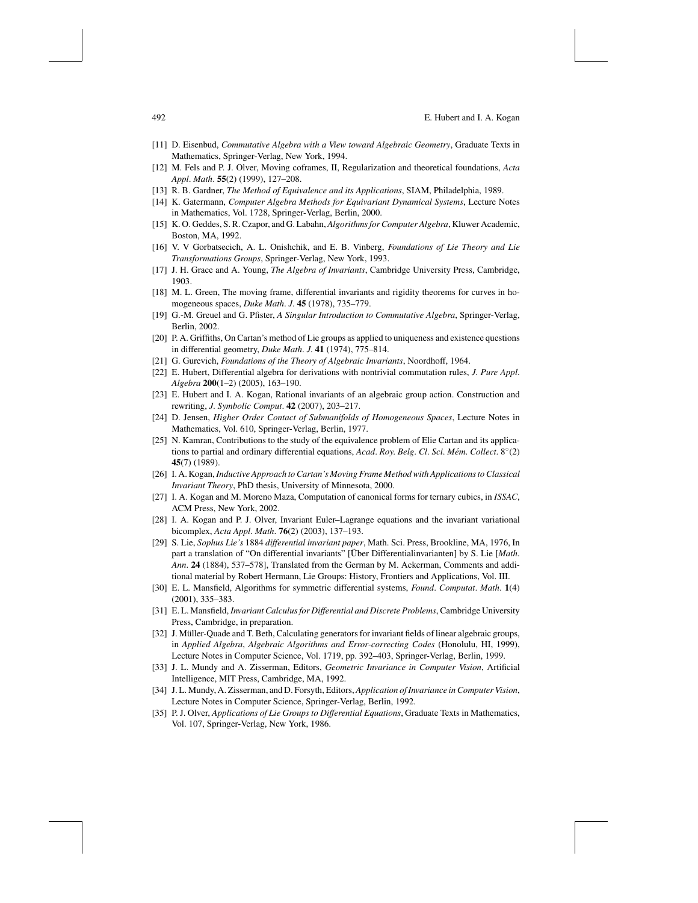- [11] D. Eisenbud, *Commutative Algebra with a View toward Algebraic Geometry*, Graduate Texts in Mathematics, Springer-Verlag, New York, 1994.
- [12] M. Fels and P. J. Olver, Moving coframes, II, Regularization and theoretical foundations, *Acta Appl*. *Math*. **55**(2) (1999), 127–208.
- [13] R. B. Gardner, *The Method of Equivalence and its Applications*, SIAM, Philadelphia, 1989.
- [14] K. Gatermann, *Computer Algebra Methods for Equivariant Dynamical Systems*, Lecture Notes in Mathematics, Vol. 1728, Springer-Verlag, Berlin, 2000.
- [15] K. O. Geddes, S.R.Czapor, and G. Labahn, *AlgorithmsforComputer Algebra*, Kluwer Academic, Boston, MA, 1992.
- [16] V. V Gorbatsecich, A. L. Onishchik, and E. B. Vinberg, *Foundations of Lie Theory and Lie Transformations Groups*, Springer-Verlag, New York, 1993.
- [17] J. H. Grace and A. Young, *The Algebra of Invariants*, Cambridge University Press, Cambridge, 1903.
- [18] M. L. Green, The moving frame, differential invariants and rigidity theorems for curves in homogeneous spaces, *Duke Math*. *J*. **45** (1978), 735–779.
- [19] G.-M. Greuel and G. Pfister, *A Singular Introduction to Commutative Algebra*, Springer-Verlag, Berlin, 2002.
- [20] P. A. Griffiths, On Cartan's method of Lie groups as applied to uniqueness and existence questions in differential geometry, *Duke Math*. *J*. **41** (1974), 775–814.
- [21] G. Gurevich, *Foundations of the Theory of Algebraic Invariants*, Noordhoff, 1964.
- [22] E. Hubert, Differential algebra for derivations with nontrivial commutation rules, *J*. *Pure Appl*. *Algebra* **200**(1–2) (2005), 163–190.
- [23] E. Hubert and I. A. Kogan, Rational invariants of an algebraic group action. Construction and rewriting, *J*. *Symbolic Comput*. **42** (2007), 203–217.
- [24] D. Jensen, *Higher Order Contact of Submanifolds of Homogeneous Spaces*, Lecture Notes in Mathematics, Vol. 610, Springer-Verlag, Berlin, 1977.
- [25] N. Kamran, Contributions to the study of the equivalence problem of Elie Cartan and its applications to partial and ordinary differential equations, *Acad*. *Roy*. *Belg*. *Cl*. *Sci*. *Mem´* . *Collect*. 8◦(2) **45**(7) (1989).
- [26] I. A. Kogan,*Inductive Approach toCartan's Moving Frame Methodwith ApplicationstoClassical Invariant Theory*, PhD thesis, University of Minnesota, 2000.
- [27] I. A. Kogan and M. Moreno Maza, Computation of canonical forms for ternary cubics, in *ISSAC*, ACM Press, New York, 2002.
- [28] I. A. Kogan and P. J. Olver, Invariant Euler–Lagrange equations and the invariant variational bicomplex, *Acta Appl*. *Math*. **76**(2) (2003), 137–193.
- [29] S. Lie, *Sophus Lie's* 1884 *differential invariant paper*, Math. Sci. Press, Brookline, MA, 1976, In part a translation of "On differential invariants" [Über Differentialinvarianten] by S. Lie [*Math*. *Ann*. **24** (1884), 537–578], Translated from the German by M. Ackerman, Comments and additional material by Robert Hermann, Lie Groups: History, Frontiers and Applications, Vol. III.
- [30] E. L. Mansfield, Algorithms for symmetric differential systems, *Found*. *Computat*. *Math*. **1**(4) (2001), 335–383.
- [31] E. L. Mansfield,*InvariantCalculusfor Differential and Discrete Problems*,Cambridge University Press, Cambridge, in preparation.
- [32] J. Müller-Quade and T. Beth, Calculating generators for invariant fields of linear algebraic groups, in *Applied Algebra*, *Algebraic Algorithms and Error-correcting Codes* (Honolulu, HI, 1999), Lecture Notes in Computer Science, Vol. 1719, pp. 392–403, Springer-Verlag, Berlin, 1999.
- [33] J. L. Mundy and A. Zisserman, Editors, *Geometric Invariance in Computer Vision*, Artificial Intelligence, MIT Press, Cambridge, MA, 1992.
- [34] J. L. Mundy, A. Zisserman, and D. Forsyth, Editors, *Application ofInvariance inComputer Vision*, Lecture Notes in Computer Science, Springer-Verlag, Berlin, 1992.
- [35] P. J. Olver, *Applications of Lie Groups to Differential Equations*, Graduate Texts in Mathematics, Vol. 107, Springer-Verlag, New York, 1986.